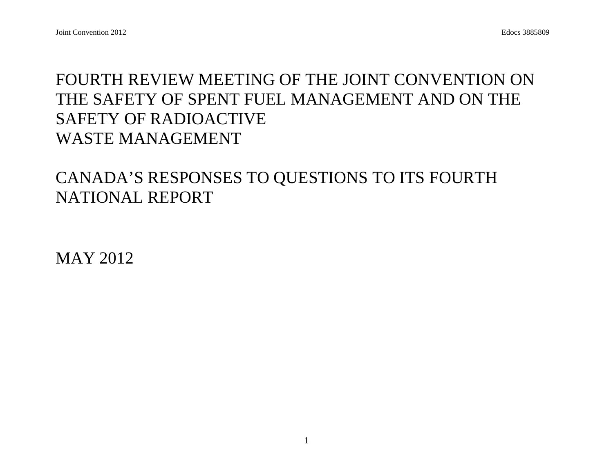## FOURTH REVIEW MEETING OF THE JOINT CONVENTION ON THE SAFETY OF SPENT FUEL MANAGEMENT AND ON THE SAFETY OF RADIOACTIVE WASTE MANAGEMENT

## CANADA'S RESPONSES TO QUESTIONS TO ITS FOURTH NATIONAL REPORT

MAY 2012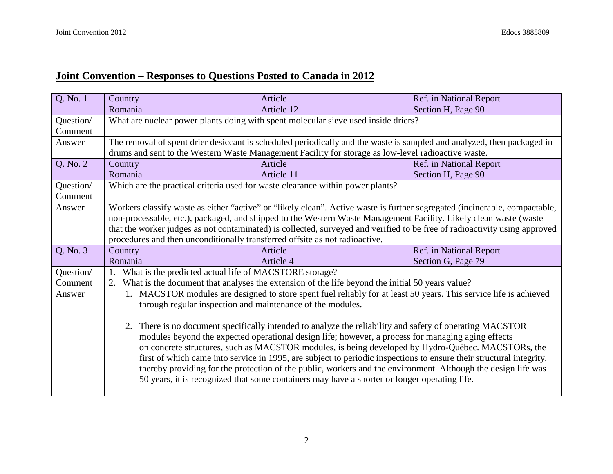## **Joint Convention – Responses to Questions Posted to Canada in 2012**

| Q. No. 1             | Country                                                                                                                                                                                                                                                                                                              | Article                                                                                                                                                                                                                                                                                                                              | Ref. in National Report |  |
|----------------------|----------------------------------------------------------------------------------------------------------------------------------------------------------------------------------------------------------------------------------------------------------------------------------------------------------------------|--------------------------------------------------------------------------------------------------------------------------------------------------------------------------------------------------------------------------------------------------------------------------------------------------------------------------------------|-------------------------|--|
|                      | Romania                                                                                                                                                                                                                                                                                                              | Article 12                                                                                                                                                                                                                                                                                                                           | Section H, Page 90      |  |
| Question/<br>Comment |                                                                                                                                                                                                                                                                                                                      | What are nuclear power plants doing with spent molecular sieve used inside driers?                                                                                                                                                                                                                                                   |                         |  |
| Answer               |                                                                                                                                                                                                                                                                                                                      | The removal of spent drier desiccant is scheduled periodically and the waste is sampled and analyzed, then packaged in<br>drums and sent to the Western Waste Management Facility for storage as low-level radioactive waste.                                                                                                        |                         |  |
| Q. No. 2             | Country                                                                                                                                                                                                                                                                                                              | Article                                                                                                                                                                                                                                                                                                                              | Ref. in National Report |  |
|                      | Romania                                                                                                                                                                                                                                                                                                              | Article 11                                                                                                                                                                                                                                                                                                                           | Section H, Page 90      |  |
| Question/<br>Comment | Which are the practical criteria used for waste clearance within power plants?                                                                                                                                                                                                                                       |                                                                                                                                                                                                                                                                                                                                      |                         |  |
| Answer               |                                                                                                                                                                                                                                                                                                                      | Workers classify waste as either "active" or "likely clean". Active waste is further segregated (incinerable, compactable,                                                                                                                                                                                                           |                         |  |
|                      |                                                                                                                                                                                                                                                                                                                      | non-processable, etc.), packaged, and shipped to the Western Waste Management Facility. Likely clean waste (waste                                                                                                                                                                                                                    |                         |  |
|                      |                                                                                                                                                                                                                                                                                                                      | that the worker judges as not contaminated) is collected, surveyed and verified to be free of radioactivity using approved                                                                                                                                                                                                           |                         |  |
|                      | procedures and then unconditionally transferred offsite as not radioactive.                                                                                                                                                                                                                                          |                                                                                                                                                                                                                                                                                                                                      |                         |  |
| Q. No. 3             | Country                                                                                                                                                                                                                                                                                                              | Article                                                                                                                                                                                                                                                                                                                              | Ref. in National Report |  |
|                      | Romania                                                                                                                                                                                                                                                                                                              | Article 4                                                                                                                                                                                                                                                                                                                            | Section G, Page 79      |  |
| Question/            | What is the predicted actual life of MACSTORE storage?                                                                                                                                                                                                                                                               |                                                                                                                                                                                                                                                                                                                                      |                         |  |
| Comment              | 2.                                                                                                                                                                                                                                                                                                                   | What is the document that analyses the extension of the life beyond the initial 50 years value?                                                                                                                                                                                                                                      |                         |  |
| Answer               |                                                                                                                                                                                                                                                                                                                      | 1. MACSTOR modules are designed to store spent fuel reliably for at least 50 years. This service life is achieved                                                                                                                                                                                                                    |                         |  |
|                      | through regular inspection and maintenance of the modules.                                                                                                                                                                                                                                                           |                                                                                                                                                                                                                                                                                                                                      |                         |  |
|                      | 2. There is no document specifically intended to analyze the reliability and safety of operating MACSTOR<br>modules beyond the expected operational design life; however, a process for managing aging effects<br>on concrete structures, such as MACSTOR modules, is being developed by Hydro-Québec. MACSTORs, the |                                                                                                                                                                                                                                                                                                                                      |                         |  |
|                      |                                                                                                                                                                                                                                                                                                                      | first of which came into service in 1995, are subject to periodic inspections to ensure their structural integrity,<br>thereby providing for the protection of the public, workers and the environment. Although the design life was<br>50 years, it is recognized that some containers may have a shorter or longer operating life. |                         |  |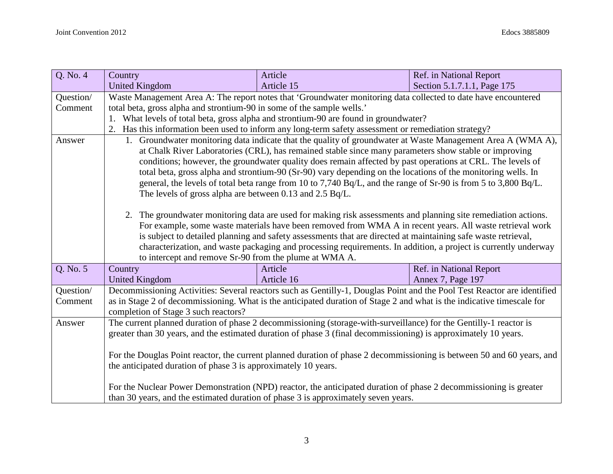| Q. No. 4  | Country                                                                                                                                                                                                                          | Article                                                                                                                 | Ref. in National Report     |  |  |
|-----------|----------------------------------------------------------------------------------------------------------------------------------------------------------------------------------------------------------------------------------|-------------------------------------------------------------------------------------------------------------------------|-----------------------------|--|--|
|           | <b>United Kingdom</b>                                                                                                                                                                                                            | Article 15                                                                                                              | Section 5.1.7.1.1, Page 175 |  |  |
| Question/ | Waste Management Area A: The report notes that 'Groundwater monitoring data collected to date have encountered                                                                                                                   |                                                                                                                         |                             |  |  |
| Comment   | total beta, gross alpha and strontium-90 in some of the sample wells.'                                                                                                                                                           |                                                                                                                         |                             |  |  |
|           | 1. What levels of total beta, gross alpha and strontium-90 are found in groundwater?                                                                                                                                             |                                                                                                                         |                             |  |  |
|           |                                                                                                                                                                                                                                  | Has this information been used to inform any long-term safety assessment or remediation strategy?                       |                             |  |  |
| Answer    |                                                                                                                                                                                                                                  | 1. Groundwater monitoring data indicate that the quality of groundwater at Waste Management Area A (WMA A),             |                             |  |  |
|           |                                                                                                                                                                                                                                  | at Chalk River Laboratories (CRL), has remained stable since many parameters show stable or improving                   |                             |  |  |
|           |                                                                                                                                                                                                                                  | conditions; however, the groundwater quality does remain affected by past operations at CRL. The levels of              |                             |  |  |
|           |                                                                                                                                                                                                                                  | total beta, gross alpha and strontium-90 (Sr-90) vary depending on the locations of the monitoring wells. In            |                             |  |  |
|           |                                                                                                                                                                                                                                  | general, the levels of total beta range from 10 to 7,740 Bq/L, and the range of Sr-90 is from 5 to 3,800 Bq/L.          |                             |  |  |
|           | The levels of gross alpha are between 0.13 and $2.5$ Bq/L.                                                                                                                                                                       |                                                                                                                         |                             |  |  |
|           |                                                                                                                                                                                                                                  | 2. The groundwater monitoring data are used for making risk assessments and planning site remediation actions.          |                             |  |  |
|           |                                                                                                                                                                                                                                  |                                                                                                                         |                             |  |  |
|           | For example, some waste materials have been removed from WMA A in recent years. All waste retrieval work                                                                                                                         |                                                                                                                         |                             |  |  |
|           | is subject to detailed planning and safety assessments that are directed at maintaining safe waste retrieval,<br>characterization, and waste packaging and processing requirements. In addition, a project is currently underway |                                                                                                                         |                             |  |  |
|           | to intercept and remove Sr-90 from the plume at WMA A.                                                                                                                                                                           |                                                                                                                         |                             |  |  |
| Q. No. 5  | Country                                                                                                                                                                                                                          | Article                                                                                                                 | Ref. in National Report     |  |  |
|           | United Kingdom                                                                                                                                                                                                                   | Article 16                                                                                                              | Annex 7, Page 197           |  |  |
| Question/ |                                                                                                                                                                                                                                  | Decommissioning Activities: Several reactors such as Gentilly-1, Douglas Point and the Pool Test Reactor are identified |                             |  |  |
| Comment   |                                                                                                                                                                                                                                  | as in Stage 2 of decommissioning. What is the anticipated duration of Stage 2 and what is the indicative timescale for  |                             |  |  |
|           | completion of Stage 3 such reactors?                                                                                                                                                                                             |                                                                                                                         |                             |  |  |
| Answer    |                                                                                                                                                                                                                                  | The current planned duration of phase 2 decommissioning (storage-with-surveillance) for the Gentilly-1 reactor is       |                             |  |  |
|           | greater than 30 years, and the estimated duration of phase 3 (final decommissioning) is approximately 10 years.                                                                                                                  |                                                                                                                         |                             |  |  |
|           |                                                                                                                                                                                                                                  |                                                                                                                         |                             |  |  |
|           | For the Douglas Point reactor, the current planned duration of phase 2 decommissioning is between 50 and 60 years, and                                                                                                           |                                                                                                                         |                             |  |  |
|           |                                                                                                                                                                                                                                  | the anticipated duration of phase 3 is approximately 10 years.                                                          |                             |  |  |
|           |                                                                                                                                                                                                                                  |                                                                                                                         |                             |  |  |
|           |                                                                                                                                                                                                                                  | For the Nuclear Power Demonstration (NPD) reactor, the anticipated duration of phase 2 decommissioning is greater       |                             |  |  |
|           |                                                                                                                                                                                                                                  | than 30 years, and the estimated duration of phase 3 is approximately seven years.                                      |                             |  |  |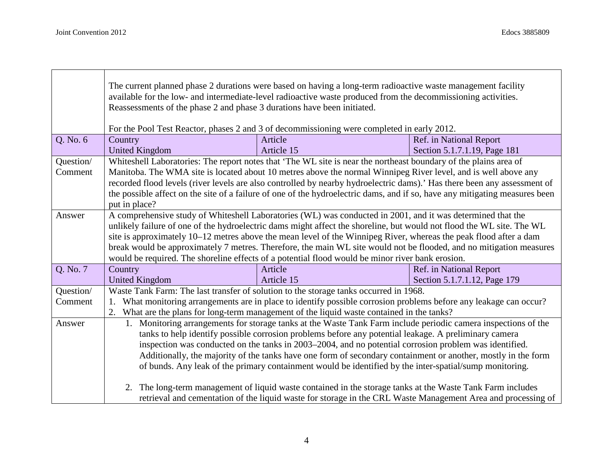|           | The current planned phase 2 durations were based on having a long-term radioactive waste management facility<br>available for the low- and intermediate-level radioactive waste produced from the decommissioning activities.<br>Reassessments of the phase 2 and phase 3 durations have been initiated.<br>For the Pool Test Reactor, phases 2 and 3 of decommissioning were completed in early 2012. |                                                                                                                             |                              |  |  |
|-----------|--------------------------------------------------------------------------------------------------------------------------------------------------------------------------------------------------------------------------------------------------------------------------------------------------------------------------------------------------------------------------------------------------------|-----------------------------------------------------------------------------------------------------------------------------|------------------------------|--|--|
| Q. No. 6  | Country                                                                                                                                                                                                                                                                                                                                                                                                | Article                                                                                                                     | Ref. in National Report      |  |  |
|           | <b>United Kingdom</b>                                                                                                                                                                                                                                                                                                                                                                                  | Article 15                                                                                                                  | Section 5.1.7.1.19, Page 181 |  |  |
| Question/ |                                                                                                                                                                                                                                                                                                                                                                                                        | Whiteshell Laboratories: The report notes that 'The WL site is near the northeast boundary of the plains area of            |                              |  |  |
| Comment   |                                                                                                                                                                                                                                                                                                                                                                                                        | Manitoba. The WMA site is located about 10 metres above the normal Winnipeg River level, and is well above any              |                              |  |  |
|           |                                                                                                                                                                                                                                                                                                                                                                                                        | recorded flood levels (river levels are also controlled by nearby hydroelectric dams).' Has there been any assessment of    |                              |  |  |
|           |                                                                                                                                                                                                                                                                                                                                                                                                        | the possible affect on the site of a failure of one of the hydroelectric dams, and if so, have any mitigating measures been |                              |  |  |
|           | put in place?                                                                                                                                                                                                                                                                                                                                                                                          |                                                                                                                             |                              |  |  |
| Answer    |                                                                                                                                                                                                                                                                                                                                                                                                        | A comprehensive study of Whiteshell Laboratories (WL) was conducted in 2001, and it was determined that the                 |                              |  |  |
|           |                                                                                                                                                                                                                                                                                                                                                                                                        | unlikely failure of one of the hydroelectric dams might affect the shoreline, but would not flood the WL site. The WL       |                              |  |  |
|           | site is approximately 10–12 metres above the mean level of the Winnipeg River, whereas the peak flood after a dam                                                                                                                                                                                                                                                                                      |                                                                                                                             |                              |  |  |
|           | break would be approximately 7 metres. Therefore, the main WL site would not be flooded, and no mitigation measures                                                                                                                                                                                                                                                                                    |                                                                                                                             |                              |  |  |
|           | would be required. The shoreline effects of a potential flood would be minor river bank erosion.                                                                                                                                                                                                                                                                                                       |                                                                                                                             |                              |  |  |
| Q. No. 7  | Country                                                                                                                                                                                                                                                                                                                                                                                                | Article                                                                                                                     | Ref. in National Report      |  |  |
|           | <b>United Kingdom</b>                                                                                                                                                                                                                                                                                                                                                                                  | Article 15                                                                                                                  | Section 5.1.7.1.12, Page 179 |  |  |
| Question/ |                                                                                                                                                                                                                                                                                                                                                                                                        | Waste Tank Farm: The last transfer of solution to the storage tanks occurred in 1968.                                       |                              |  |  |
| Comment   | What monitoring arrangements are in place to identify possible corrosion problems before any leakage can occur?                                                                                                                                                                                                                                                                                        |                                                                                                                             |                              |  |  |
|           | 2. What are the plans for long-term management of the liquid waste contained in the tanks?                                                                                                                                                                                                                                                                                                             |                                                                                                                             |                              |  |  |
| Answer    |                                                                                                                                                                                                                                                                                                                                                                                                        | 1. Monitoring arrangements for storage tanks at the Waste Tank Farm include periodic camera inspections of the              |                              |  |  |
|           |                                                                                                                                                                                                                                                                                                                                                                                                        | tanks to help identify possible corrosion problems before any potential leakage. A preliminary camera                       |                              |  |  |
|           |                                                                                                                                                                                                                                                                                                                                                                                                        | inspection was conducted on the tanks in 2003–2004, and no potential corrosion problem was identified.                      |                              |  |  |
|           |                                                                                                                                                                                                                                                                                                                                                                                                        | Additionally, the majority of the tanks have one form of secondary containment or another, mostly in the form               |                              |  |  |
|           |                                                                                                                                                                                                                                                                                                                                                                                                        | of bunds. Any leak of the primary containment would be identified by the inter-spatial/sump monitoring.                     |                              |  |  |
|           |                                                                                                                                                                                                                                                                                                                                                                                                        |                                                                                                                             |                              |  |  |
|           |                                                                                                                                                                                                                                                                                                                                                                                                        | 2. The long-term management of liquid waste contained in the storage tanks at the Waste Tank Farm includes                  |                              |  |  |
|           |                                                                                                                                                                                                                                                                                                                                                                                                        | retrieval and cementation of the liquid waste for storage in the CRL Waste Management Area and processing of                |                              |  |  |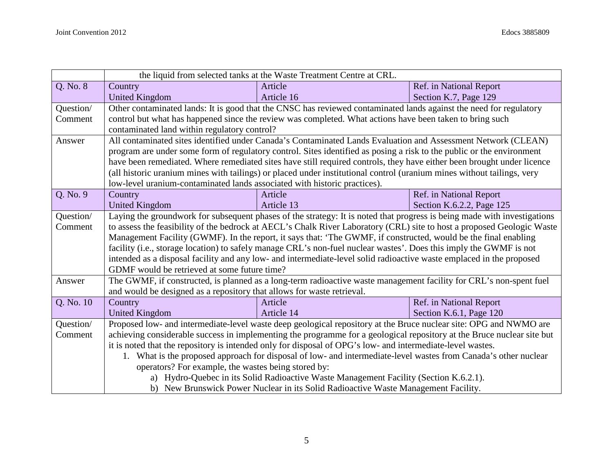|           | the liquid from selected tanks at the Waste Treatment Centre at CRL.                                                     |                                                                                                                        |                           |  |
|-----------|--------------------------------------------------------------------------------------------------------------------------|------------------------------------------------------------------------------------------------------------------------|---------------------------|--|
| Q. No. 8  | Country                                                                                                                  | Article                                                                                                                | Ref. in National Report   |  |
|           | <b>United Kingdom</b>                                                                                                    | Article 16                                                                                                             | Section K.7, Page 129     |  |
| Question/ |                                                                                                                          | Other contaminated lands: It is good that the CNSC has reviewed contaminated lands against the need for regulatory     |                           |  |
| Comment   |                                                                                                                          | control but what has happened since the review was completed. What actions have been taken to bring such               |                           |  |
|           | contaminated land within regulatory control?                                                                             |                                                                                                                        |                           |  |
| Answer    |                                                                                                                          | All contaminated sites identified under Canada's Contaminated Lands Evaluation and Assessment Network (CLEAN)          |                           |  |
|           |                                                                                                                          | program are under some form of regulatory control. Sites identified as posing a risk to the public or the environment  |                           |  |
|           |                                                                                                                          | have been remediated. Where remediated sites have still required controls, they have either been brought under licence |                           |  |
|           |                                                                                                                          | (all historic uranium mines with tailings) or placed under institutional control (uranium mines without tailings, very |                           |  |
|           | low-level uranium-contaminated lands associated with historic practices).                                                |                                                                                                                        |                           |  |
| Q. No. 9  | Country                                                                                                                  | Article                                                                                                                | Ref. in National Report   |  |
|           | <b>United Kingdom</b>                                                                                                    | Article 13                                                                                                             | Section K.6.2.2, Page 125 |  |
| Question/ | Laying the groundwork for subsequent phases of the strategy: It is noted that progress is being made with investigations |                                                                                                                        |                           |  |
| Comment   |                                                                                                                          | to assess the feasibility of the bedrock at AECL's Chalk River Laboratory (CRL) site to host a proposed Geologic Waste |                           |  |
|           | Management Facility (GWMF). In the report, it says that: 'The GWMF, if constructed, would be the final enabling          |                                                                                                                        |                           |  |
|           | facility (i.e., storage location) to safely manage CRL's non-fuel nuclear wastes'. Does this imply the GWMF is not       |                                                                                                                        |                           |  |
|           | intended as a disposal facility and any low- and intermediate-level solid radioactive waste emplaced in the proposed     |                                                                                                                        |                           |  |
|           | GDMF would be retrieved at some future time?                                                                             |                                                                                                                        |                           |  |
| Answer    |                                                                                                                          | The GWMF, if constructed, is planned as a long-term radioactive waste management facility for CRL's non-spent fuel     |                           |  |
|           | and would be designed as a repository that allows for waste retrieval.                                                   |                                                                                                                        |                           |  |
| Q. No. 10 | Country                                                                                                                  | Article                                                                                                                | Ref. in National Report   |  |
|           | <b>United Kingdom</b>                                                                                                    | Article 14                                                                                                             | Section K.6.1, Page 120   |  |
| Question/ |                                                                                                                          | Proposed low- and intermediate-level waste deep geological repository at the Bruce nuclear site: OPG and NWMO are      |                           |  |
| Comment   |                                                                                                                          | achieving considerable success in implementing the programme for a geological repository at the Bruce nuclear site but |                           |  |
|           |                                                                                                                          | it is noted that the repository is intended only for disposal of OPG's low- and intermediate-level wastes.             |                           |  |
|           |                                                                                                                          | 1. What is the proposed approach for disposal of low- and intermediate-level wastes from Canada's other nuclear        |                           |  |
|           | operators? For example, the wastes being stored by:                                                                      |                                                                                                                        |                           |  |
|           |                                                                                                                          | a) Hydro-Quebec in its Solid Radioactive Waste Management Facility (Section K.6.2.1).                                  |                           |  |
|           | b) New Brunswick Power Nuclear in its Solid Radioactive Waste Management Facility.                                       |                                                                                                                        |                           |  |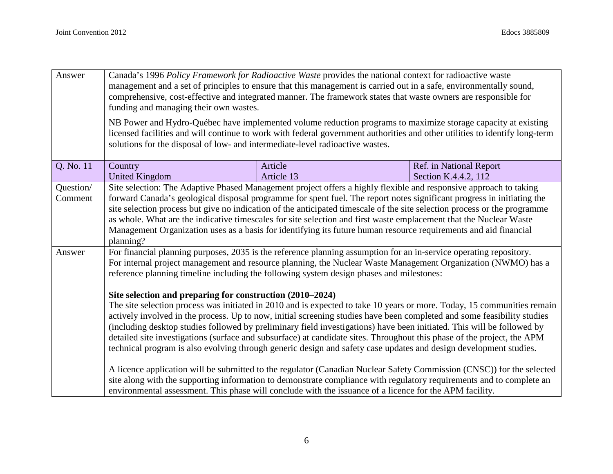| Answer               | Canada's 1996 Policy Framework for Radioactive Waste provides the national context for radioactive waste<br>management and a set of principles to ensure that this management is carried out in a safe, environmentally sound,<br>comprehensive, cost-effective and integrated manner. The framework states that waste owners are responsible for<br>funding and managing their own wastes.<br>NB Power and Hydro-Québec have implemented volume reduction programs to maximize storage capacity at existing<br>licensed facilities and will continue to work with federal government authorities and other utilities to identify long-term                                               |                       |                                                 |  |
|----------------------|-------------------------------------------------------------------------------------------------------------------------------------------------------------------------------------------------------------------------------------------------------------------------------------------------------------------------------------------------------------------------------------------------------------------------------------------------------------------------------------------------------------------------------------------------------------------------------------------------------------------------------------------------------------------------------------------|-----------------------|-------------------------------------------------|--|
|                      | solutions for the disposal of low- and intermediate-level radioactive wastes.                                                                                                                                                                                                                                                                                                                                                                                                                                                                                                                                                                                                             |                       |                                                 |  |
| Q. No. 11            | Country<br><b>United Kingdom</b>                                                                                                                                                                                                                                                                                                                                                                                                                                                                                                                                                                                                                                                          | Article<br>Article 13 | Ref. in National Report<br>Section K.4.4.2, 112 |  |
| Question/<br>Comment | Site selection: The Adaptive Phased Management project offers a highly flexible and responsive approach to taking<br>forward Canada's geological disposal programme for spent fuel. The report notes significant progress in initiating the<br>site selection process but give no indication of the anticipated timescale of the site selection process or the programme<br>as whole. What are the indicative timescales for site selection and first waste emplacement that the Nuclear Waste<br>Management Organization uses as a basis for identifying its future human resource requirements and aid financial<br>planning?                                                           |                       |                                                 |  |
| Answer               | For financial planning purposes, 2035 is the reference planning assumption for an in-service operating repository.<br>For internal project management and resource planning, the Nuclear Waste Management Organization (NWMO) has a<br>reference planning timeline including the following system design phases and milestones:                                                                                                                                                                                                                                                                                                                                                           |                       |                                                 |  |
|                      | Site selection and preparing for construction (2010–2024)<br>The site selection process was initiated in 2010 and is expected to take 10 years or more. Today, 15 communities remain<br>actively involved in the process. Up to now, initial screening studies have been completed and some feasibility studies<br>(including desktop studies followed by preliminary field investigations) have been initiated. This will be followed by<br>detailed site investigations (surface and subsurface) at candidate sites. Throughout this phase of the project, the APM<br>technical program is also evolving through generic design and safety case updates and design development studies. |                       |                                                 |  |
|                      | A licence application will be submitted to the regulator (Canadian Nuclear Safety Commission (CNSC)) for the selected<br>site along with the supporting information to demonstrate compliance with regulatory requirements and to complete an<br>environmental assessment. This phase will conclude with the issuance of a licence for the APM facility.                                                                                                                                                                                                                                                                                                                                  |                       |                                                 |  |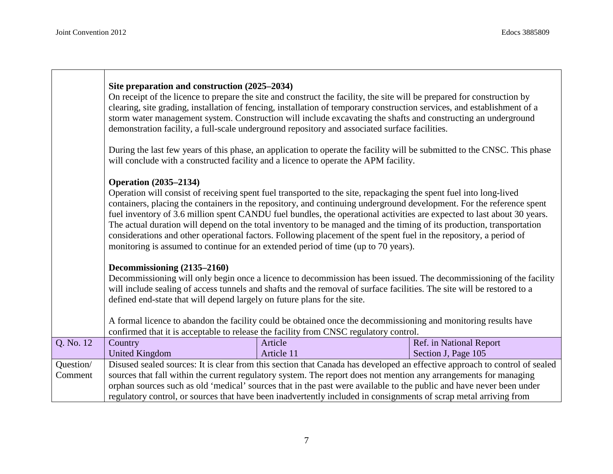|                      | Site preparation and construction (2025–2034)                                                                                                                                                                                                                                                                                                                                                                                                                                                                                                                                                                                                                                                                                               | On receipt of the licence to prepare the site and construct the facility, the site will be prepared for construction by<br>clearing, site grading, installation of fencing, installation of temporary construction services, and establishment of a<br>storm water management system. Construction will include excavating the shafts and constructing an underground<br>demonstration facility, a full-scale underground repository and associated surface facilities.                      |                         |  |  |
|----------------------|---------------------------------------------------------------------------------------------------------------------------------------------------------------------------------------------------------------------------------------------------------------------------------------------------------------------------------------------------------------------------------------------------------------------------------------------------------------------------------------------------------------------------------------------------------------------------------------------------------------------------------------------------------------------------------------------------------------------------------------------|----------------------------------------------------------------------------------------------------------------------------------------------------------------------------------------------------------------------------------------------------------------------------------------------------------------------------------------------------------------------------------------------------------------------------------------------------------------------------------------------|-------------------------|--|--|
|                      | During the last few years of this phase, an application to operate the facility will be submitted to the CNSC. This phase<br>will conclude with a constructed facility and a licence to operate the APM facility.                                                                                                                                                                                                                                                                                                                                                                                                                                                                                                                           |                                                                                                                                                                                                                                                                                                                                                                                                                                                                                              |                         |  |  |
|                      | <b>Operation</b> (2035–2134)<br>Operation will consist of receiving spent fuel transported to the site, repackaging the spent fuel into long-lived<br>containers, placing the containers in the repository, and continuing underground development. For the reference spent<br>fuel inventory of 3.6 million spent CANDU fuel bundles, the operational activities are expected to last about 30 years.<br>The actual duration will depend on the total inventory to be managed and the timing of its production, transportation<br>considerations and other operational factors. Following placement of the spent fuel in the repository, a period of<br>monitoring is assumed to continue for an extended period of time (up to 70 years). |                                                                                                                                                                                                                                                                                                                                                                                                                                                                                              |                         |  |  |
|                      | Decommissioning (2135–2160)<br>defined end-state that will depend largely on future plans for the site.                                                                                                                                                                                                                                                                                                                                                                                                                                                                                                                                                                                                                                     | Decommissioning will only begin once a licence to decommission has been issued. The decommissioning of the facility<br>will include sealing of access tunnels and shafts and the removal of surface facilities. The site will be restored to a<br>A formal licence to abandon the facility could be obtained once the decommissioning and monitoring results have                                                                                                                            |                         |  |  |
| Q. No. 12            | Country                                                                                                                                                                                                                                                                                                                                                                                                                                                                                                                                                                                                                                                                                                                                     | confirmed that it is acceptable to release the facility from CNSC regulatory control.<br>Article                                                                                                                                                                                                                                                                                                                                                                                             | Ref. in National Report |  |  |
|                      | <b>United Kingdom</b>                                                                                                                                                                                                                                                                                                                                                                                                                                                                                                                                                                                                                                                                                                                       | Article 11                                                                                                                                                                                                                                                                                                                                                                                                                                                                                   | Section J, Page 105     |  |  |
| Question/<br>Comment |                                                                                                                                                                                                                                                                                                                                                                                                                                                                                                                                                                                                                                                                                                                                             | Disused sealed sources: It is clear from this section that Canada has developed an effective approach to control of sealed<br>sources that fall within the current regulatory system. The report does not mention any arrangements for managing<br>orphan sources such as old 'medical' sources that in the past were available to the public and have never been under<br>regulatory control, or sources that have been inadvertently included in consignments of scrap metal arriving from |                         |  |  |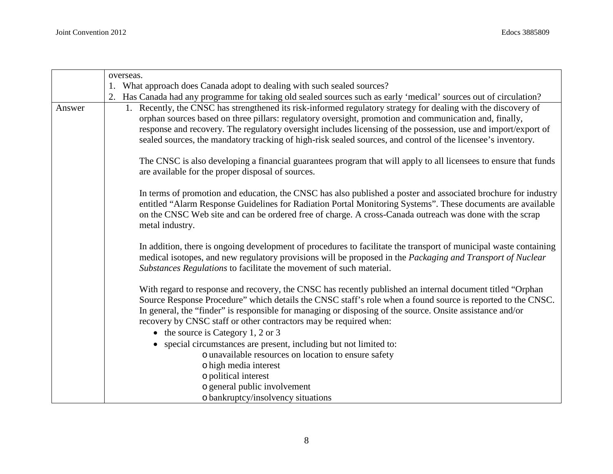|        | overseas.                                                                                                                                                                                                                                                                                                                                                                                                                                                  |
|--------|------------------------------------------------------------------------------------------------------------------------------------------------------------------------------------------------------------------------------------------------------------------------------------------------------------------------------------------------------------------------------------------------------------------------------------------------------------|
|        | 1. What approach does Canada adopt to dealing with such sealed sources?                                                                                                                                                                                                                                                                                                                                                                                    |
|        | Has Canada had any programme for taking old sealed sources such as early 'medical' sources out of circulation?                                                                                                                                                                                                                                                                                                                                             |
| Answer | 1. Recently, the CNSC has strengthened its risk-informed regulatory strategy for dealing with the discovery of<br>orphan sources based on three pillars: regulatory oversight, promotion and communication and, finally,<br>response and recovery. The regulatory oversight includes licensing of the possession, use and import/export of<br>sealed sources, the mandatory tracking of high-risk sealed sources, and control of the licensee's inventory. |
|        | The CNSC is also developing a financial guarantees program that will apply to all licensees to ensure that funds<br>are available for the proper disposal of sources.                                                                                                                                                                                                                                                                                      |
|        | In terms of promotion and education, the CNSC has also published a poster and associated brochure for industry<br>entitled "Alarm Response Guidelines for Radiation Portal Monitoring Systems". These documents are available<br>on the CNSC Web site and can be ordered free of charge. A cross-Canada outreach was done with the scrap<br>metal industry.                                                                                                |
|        | In addition, there is ongoing development of procedures to facilitate the transport of municipal waste containing<br>medical isotopes, and new regulatory provisions will be proposed in the Packaging and Transport of Nuclear<br>Substances Regulations to facilitate the movement of such material.                                                                                                                                                     |
|        | With regard to response and recovery, the CNSC has recently published an internal document titled "Orphan<br>Source Response Procedure" which details the CNSC staff's role when a found source is reported to the CNSC.<br>In general, the "finder" is responsible for managing or disposing of the source. Onsite assistance and/or<br>recovery by CNSC staff or other contractors may be required when:<br>$\bullet$ the source is Category 1, 2 or 3   |
|        | • special circumstances are present, including but not limited to:                                                                                                                                                                                                                                                                                                                                                                                         |
|        | o unavailable resources on location to ensure safety                                                                                                                                                                                                                                                                                                                                                                                                       |
|        | o high media interest                                                                                                                                                                                                                                                                                                                                                                                                                                      |
|        | o political interest                                                                                                                                                                                                                                                                                                                                                                                                                                       |
|        | o general public involvement                                                                                                                                                                                                                                                                                                                                                                                                                               |
|        | o bankruptcy/insolvency situations                                                                                                                                                                                                                                                                                                                                                                                                                         |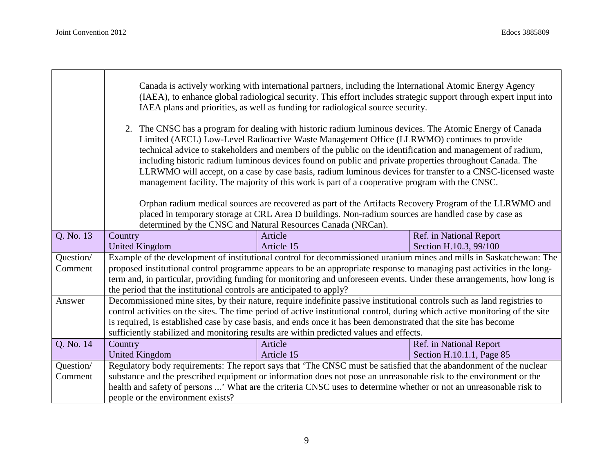|           | Canada is actively working with international partners, including the International Atomic Energy Agency<br>(IAEA), to enhance global radiological security. This effort includes strategic support through expert input into<br>IAEA plans and priorities, as well as funding for radiological source security.<br>2. The CNSC has a program for dealing with historic radium luminous devices. The Atomic Energy of Canada<br>Limited (AECL) Low-Level Radioactive Waste Management Office (LLRWMO) continues to provide |                                                                                                                          |                           |  |
|-----------|----------------------------------------------------------------------------------------------------------------------------------------------------------------------------------------------------------------------------------------------------------------------------------------------------------------------------------------------------------------------------------------------------------------------------------------------------------------------------------------------------------------------------|--------------------------------------------------------------------------------------------------------------------------|---------------------------|--|
|           | technical advice to stakeholders and members of the public on the identification and management of radium,<br>including historic radium luminous devices found on public and private properties throughout Canada. The<br>LLRWMO will accept, on a case by case basis, radium luminous devices for transfer to a CNSC-licensed waste<br>management facility. The majority of this work is part of a cooperative program with the CNSC.                                                                                     |                                                                                                                          |                           |  |
|           | Orphan radium medical sources are recovered as part of the Artifacts Recovery Program of the LLRWMO and<br>placed in temporary storage at CRL Area D buildings. Non-radium sources are handled case by case as                                                                                                                                                                                                                                                                                                             |                                                                                                                          |                           |  |
|           |                                                                                                                                                                                                                                                                                                                                                                                                                                                                                                                            | determined by the CNSC and Natural Resources Canada (NRCan).                                                             |                           |  |
| Q. No. 13 | Country                                                                                                                                                                                                                                                                                                                                                                                                                                                                                                                    | Article                                                                                                                  | Ref. in National Report   |  |
|           | <b>United Kingdom</b>                                                                                                                                                                                                                                                                                                                                                                                                                                                                                                      | Article 15                                                                                                               | Section H.10.3, 99/100    |  |
| Question/ |                                                                                                                                                                                                                                                                                                                                                                                                                                                                                                                            | Example of the development of institutional control for decommissioned uranium mines and mills in Saskatchewan: The      |                           |  |
| Comment   |                                                                                                                                                                                                                                                                                                                                                                                                                                                                                                                            | proposed institutional control programme appears to be an appropriate response to managing past activities in the long-  |                           |  |
|           | term and, in particular, providing funding for monitoring and unforeseen events. Under these arrangements, how long is                                                                                                                                                                                                                                                                                                                                                                                                     |                                                                                                                          |                           |  |
|           | the period that the institutional controls are anticipated to apply?                                                                                                                                                                                                                                                                                                                                                                                                                                                       |                                                                                                                          |                           |  |
| Answer    |                                                                                                                                                                                                                                                                                                                                                                                                                                                                                                                            | Decommissioned mine sites, by their nature, require indefinite passive institutional controls such as land registries to |                           |  |
|           | control activities on the sites. The time period of active institutional control, during which active monitoring of the site                                                                                                                                                                                                                                                                                                                                                                                               |                                                                                                                          |                           |  |
|           | is required, is established case by case basis, and ends once it has been demonstrated that the site has become                                                                                                                                                                                                                                                                                                                                                                                                            |                                                                                                                          |                           |  |
|           | sufficiently stabilized and monitoring results are within predicted values and effects.                                                                                                                                                                                                                                                                                                                                                                                                                                    |                                                                                                                          |                           |  |
| Q. No. 14 | Country                                                                                                                                                                                                                                                                                                                                                                                                                                                                                                                    | Article                                                                                                                  | Ref. in National Report   |  |
|           | <b>United Kingdom</b>                                                                                                                                                                                                                                                                                                                                                                                                                                                                                                      | Article 15                                                                                                               | Section H.10.1.1, Page 85 |  |
| Question/ |                                                                                                                                                                                                                                                                                                                                                                                                                                                                                                                            | Regulatory body requirements: The report says that 'The CNSC must be satisfied that the abandonment of the nuclear       |                           |  |
| Comment   |                                                                                                                                                                                                                                                                                                                                                                                                                                                                                                                            | substance and the prescribed equipment or information does not pose an unreasonable risk to the environment or the       |                           |  |
|           |                                                                                                                                                                                                                                                                                                                                                                                                                                                                                                                            | health and safety of persons ' What are the criteria CNSC uses to determine whether or not an unreasonable risk to       |                           |  |
|           | people or the environment exists?                                                                                                                                                                                                                                                                                                                                                                                                                                                                                          |                                                                                                                          |                           |  |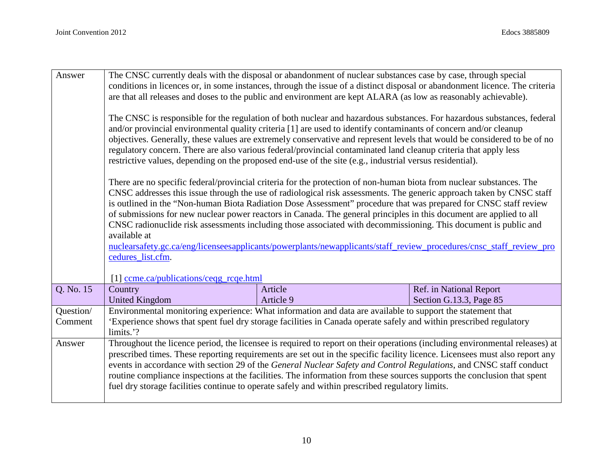| Answer    |                                                                                                                     | The CNSC currently deals with the disposal or abandonment of nuclear substances case by case, through special               |                                                                                                                             |  |  |
|-----------|---------------------------------------------------------------------------------------------------------------------|-----------------------------------------------------------------------------------------------------------------------------|-----------------------------------------------------------------------------------------------------------------------------|--|--|
|           |                                                                                                                     | conditions in licences or, in some instances, through the issue of a distinct disposal or abandonment licence. The criteria |                                                                                                                             |  |  |
|           | are that all releases and doses to the public and environment are kept ALARA (as low as reasonably achievable).     |                                                                                                                             |                                                                                                                             |  |  |
|           |                                                                                                                     |                                                                                                                             |                                                                                                                             |  |  |
|           |                                                                                                                     | The CNSC is responsible for the regulation of both nuclear and hazardous substances. For hazardous substances, federal      |                                                                                                                             |  |  |
|           |                                                                                                                     | and/or provincial environmental quality criteria [1] are used to identify contaminants of concern and/or cleanup            |                                                                                                                             |  |  |
|           |                                                                                                                     | objectives. Generally, these values are extremely conservative and represent levels that would be considered to be of no    |                                                                                                                             |  |  |
|           |                                                                                                                     | regulatory concern. There are also various federal/provincial contaminated land cleanup criteria that apply less            |                                                                                                                             |  |  |
|           |                                                                                                                     | restrictive values, depending on the proposed end-use of the site (e.g., industrial versus residential).                    |                                                                                                                             |  |  |
|           |                                                                                                                     | There are no specific federal/provincial criteria for the protection of non-human biota from nuclear substances. The        |                                                                                                                             |  |  |
|           |                                                                                                                     | CNSC addresses this issue through the use of radiological risk assessments. The generic approach taken by CNSC staff        |                                                                                                                             |  |  |
|           |                                                                                                                     | is outlined in the "Non-human Biota Radiation Dose Assessment" procedure that was prepared for CNSC staff review            |                                                                                                                             |  |  |
|           |                                                                                                                     | of submissions for new nuclear power reactors in Canada. The general principles in this document are applied to all         |                                                                                                                             |  |  |
|           |                                                                                                                     | CNSC radionuclide risk assessments including those associated with decommissioning. This document is public and             |                                                                                                                             |  |  |
|           | available at                                                                                                        |                                                                                                                             |                                                                                                                             |  |  |
|           | nuclearsafety.gc.ca/eng/licenseesapplicants/powerplants/newapplicants/staff_review_procedures/cnsc_staff_review_pro |                                                                                                                             |                                                                                                                             |  |  |
|           | cedures list.cfm.                                                                                                   |                                                                                                                             |                                                                                                                             |  |  |
|           |                                                                                                                     |                                                                                                                             |                                                                                                                             |  |  |
|           | [1] ccme.ca/publications/ceqg_rcqe.html                                                                             |                                                                                                                             |                                                                                                                             |  |  |
| Q. No. 15 | Country                                                                                                             | Article                                                                                                                     | Ref. in National Report                                                                                                     |  |  |
|           | <b>United Kingdom</b>                                                                                               | Article 9                                                                                                                   | Section G.13.3, Page 85                                                                                                     |  |  |
| Question/ |                                                                                                                     | Environmental monitoring experience: What information and data are available to support the statement that                  |                                                                                                                             |  |  |
| Comment   |                                                                                                                     | 'Experience shows that spent fuel dry storage facilities in Canada operate safely and within prescribed regulatory          |                                                                                                                             |  |  |
|           | limits.'?                                                                                                           |                                                                                                                             |                                                                                                                             |  |  |
| Answer    |                                                                                                                     |                                                                                                                             | Throughout the licence period, the licensee is required to report on their operations (including environmental releases) at |  |  |
|           |                                                                                                                     | prescribed times. These reporting requirements are set out in the specific facility licence. Licensees must also report any |                                                                                                                             |  |  |
|           |                                                                                                                     | events in accordance with section 29 of the General Nuclear Safety and Control Regulations, and CNSC staff conduct          |                                                                                                                             |  |  |
|           |                                                                                                                     | routine compliance inspections at the facilities. The information from these sources supports the conclusion that spent     |                                                                                                                             |  |  |
|           |                                                                                                                     | fuel dry storage facilities continue to operate safely and within prescribed regulatory limits.                             |                                                                                                                             |  |  |
|           |                                                                                                                     |                                                                                                                             |                                                                                                                             |  |  |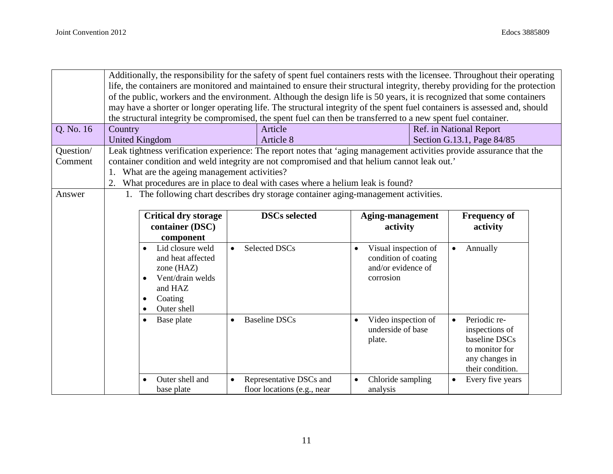|           |                                                                                                                              | Additionally, the responsibility for the safety of spent fuel containers rests with the licensee. Throughout their operating |                                                                                                                            |                                  |                            |
|-----------|------------------------------------------------------------------------------------------------------------------------------|------------------------------------------------------------------------------------------------------------------------------|----------------------------------------------------------------------------------------------------------------------------|----------------------------------|----------------------------|
|           | life, the containers are monitored and maintained to ensure their structural integrity, thereby providing for the protection |                                                                                                                              |                                                                                                                            |                                  |                            |
|           |                                                                                                                              | of the public, workers and the environment. Although the design life is 50 years, it is recognized that some containers      |                                                                                                                            |                                  |                            |
|           |                                                                                                                              |                                                                                                                              | may have a shorter or longer operating life. The structural integrity of the spent fuel containers is assessed and, should |                                  |                            |
|           |                                                                                                                              |                                                                                                                              | the structural integrity be compromised, the spent fuel can then be transferred to a new spent fuel container.             |                                  |                            |
| Q. No. 16 | Country                                                                                                                      |                                                                                                                              | Article                                                                                                                    |                                  | Ref. in National Report    |
|           |                                                                                                                              | <b>United Kingdom</b>                                                                                                        | Article 8                                                                                                                  |                                  | Section G.13.1, Page 84/85 |
| Question/ |                                                                                                                              |                                                                                                                              | Leak tightness verification experience: The report notes that 'aging management activities provide assurance that the      |                                  |                            |
| Comment   |                                                                                                                              |                                                                                                                              | container condition and weld integrity are not compromised and that helium cannot leak out.'                               |                                  |                            |
|           |                                                                                                                              | What are the ageing management activities?                                                                                   |                                                                                                                            |                                  |                            |
|           |                                                                                                                              |                                                                                                                              | 2. What procedures are in place to deal with cases where a helium leak is found?                                           |                                  |                            |
| Answer    |                                                                                                                              |                                                                                                                              | 1. The following chart describes dry storage container aging-management activities.                                        |                                  |                            |
|           |                                                                                                                              |                                                                                                                              |                                                                                                                            |                                  |                            |
|           |                                                                                                                              | <b>Critical dry storage</b>                                                                                                  | <b>DSCs selected</b>                                                                                                       | Aging-management                 | <b>Frequency of</b>        |
|           |                                                                                                                              | container (DSC)                                                                                                              |                                                                                                                            | activity                         | activity                   |
|           |                                                                                                                              | component                                                                                                                    |                                                                                                                            |                                  |                            |
|           |                                                                                                                              | Lid closure weld                                                                                                             | <b>Selected DSCs</b><br>$\bullet$                                                                                          | Visual inspection of             | Annually                   |
|           |                                                                                                                              | and heat affected                                                                                                            |                                                                                                                            | condition of coating             |                            |
|           |                                                                                                                              | zone $(HAZ)$                                                                                                                 |                                                                                                                            | and/or evidence of               |                            |
|           |                                                                                                                              | Vent/drain welds                                                                                                             |                                                                                                                            | corrosion                        |                            |
|           |                                                                                                                              | and HAZ                                                                                                                      |                                                                                                                            |                                  |                            |
|           |                                                                                                                              | Coating<br>$\bullet$                                                                                                         |                                                                                                                            |                                  |                            |
|           |                                                                                                                              | Outer shell<br>$\bullet$                                                                                                     |                                                                                                                            |                                  |                            |
|           |                                                                                                                              | Base plate<br>$\bullet$                                                                                                      | <b>Baseline DSCs</b><br>$\bullet$                                                                                          | Video inspection of<br>$\bullet$ | Periodic re-<br>$\bullet$  |
|           |                                                                                                                              |                                                                                                                              |                                                                                                                            | underside of base                | inspections of             |
|           |                                                                                                                              |                                                                                                                              |                                                                                                                            | plate.                           | baseline DSCs              |
|           |                                                                                                                              |                                                                                                                              |                                                                                                                            |                                  | to monitor for             |
|           |                                                                                                                              |                                                                                                                              |                                                                                                                            |                                  | any changes in             |
|           |                                                                                                                              |                                                                                                                              |                                                                                                                            |                                  | their condition.           |
|           |                                                                                                                              | Outer shell and                                                                                                              | Representative DSCs and<br>$\bullet$                                                                                       | Chloride sampling                | Every five years           |
|           |                                                                                                                              | base plate                                                                                                                   | floor locations (e.g., near                                                                                                | analysis                         |                            |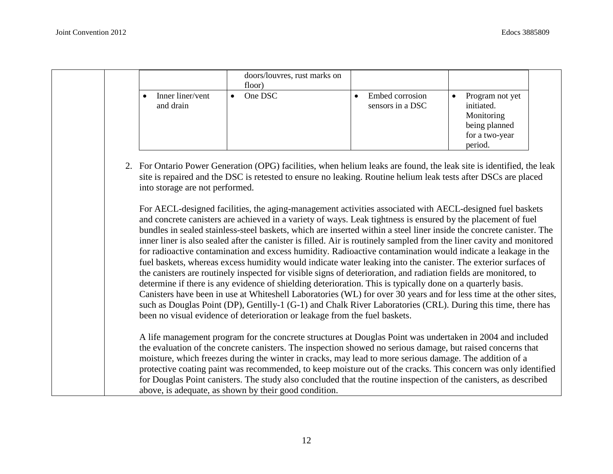|                               | doors/louvres, rust marks on<br>floor) |                                     |                                                                                           |  |
|-------------------------------|----------------------------------------|-------------------------------------|-------------------------------------------------------------------------------------------|--|
| Inner liner/vent<br>and drain | One DSC                                | Embed corrosion<br>sensors in a DSC | Program not yet<br>initiated.<br>Monitoring<br>being planned<br>for a two-year<br>period. |  |

2. For Ontario Power Generation (OPG) facilities, when helium leaks are found, the leak site is identified, the leak site is repaired and the DSC is retested to ensure no leaking. Routine helium leak tests after DSCs are placed into storage are not performed.

For AECL-designed facilities, the aging-management activities associated with AECL-designed fuel baskets and concrete canisters are achieved in a variety of ways. Leak tightness is ensured by the placement of fuel bundles in sealed stainless-steel baskets, which are inserted within a steel liner inside the concrete canister. The inner liner is also sealed after the canister is filled. Air is routinely sampled from the liner cavity and monitored for radioactive contamination and excess humidity. Radioactive contamination would indicate a leakage in the fuel baskets, whereas excess humidity would indicate water leaking into the canister. The exterior surfaces of the canisters are routinely inspected for visible signs of deterioration, and radiation fields are monitored, to determine if there is any evidence of shielding deterioration. This is typically done on a quarterly basis. Canisters have been in use at Whiteshell Laboratories (WL) for over 30 years and for less time at the other sites, such as Douglas Point (DP), Gentilly-1 (G-1) and Chalk River Laboratories (CRL). During this time, there has been no visual evidence of deterioration or leakage from the fuel baskets.

A life management program for the concrete structures at Douglas Point was undertaken in 2004 and included the evaluation of the concrete canisters. The inspection showed no serious damage, but raised concerns that moisture, which freezes during the winter in cracks, may lead to more serious damage. The addition of a protective coating paint was recommended, to keep moisture out of the cracks. This concern was only identified for Douglas Point canisters. The study also concluded that the routine inspection of the canisters, as described above, is adequate, as shown by their good condition.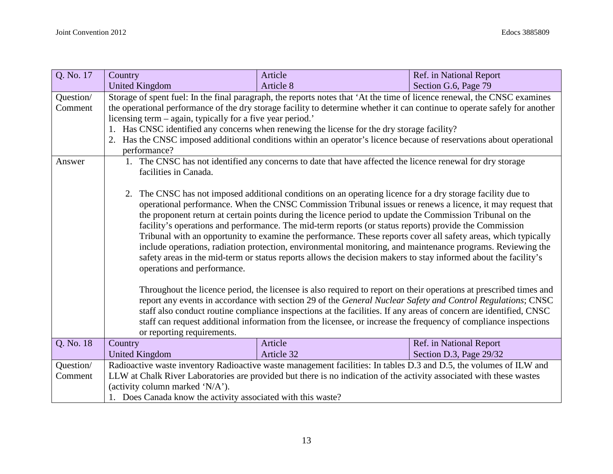| Q. No. 17            | Country                                                                                                                                                                                                                                                                                                                                                                                                                                                                                                                                                                                                                                                                                                                                                                                                                                                                                                                                                                                                                                                                                                                                                                                                         | Article                                                                                                                                                                                                                                                                                                                                                                                                                                                                                                                                  | Ref. in National Report |  |  |
|----------------------|-----------------------------------------------------------------------------------------------------------------------------------------------------------------------------------------------------------------------------------------------------------------------------------------------------------------------------------------------------------------------------------------------------------------------------------------------------------------------------------------------------------------------------------------------------------------------------------------------------------------------------------------------------------------------------------------------------------------------------------------------------------------------------------------------------------------------------------------------------------------------------------------------------------------------------------------------------------------------------------------------------------------------------------------------------------------------------------------------------------------------------------------------------------------------------------------------------------------|------------------------------------------------------------------------------------------------------------------------------------------------------------------------------------------------------------------------------------------------------------------------------------------------------------------------------------------------------------------------------------------------------------------------------------------------------------------------------------------------------------------------------------------|-------------------------|--|--|
|                      | <b>United Kingdom</b>                                                                                                                                                                                                                                                                                                                                                                                                                                                                                                                                                                                                                                                                                                                                                                                                                                                                                                                                                                                                                                                                                                                                                                                           | Article 8                                                                                                                                                                                                                                                                                                                                                                                                                                                                                                                                | Section G.6, Page 79    |  |  |
| Question/<br>Comment | performance?                                                                                                                                                                                                                                                                                                                                                                                                                                                                                                                                                                                                                                                                                                                                                                                                                                                                                                                                                                                                                                                                                                                                                                                                    | Storage of spent fuel: In the final paragraph, the reports notes that 'At the time of licence renewal, the CNSC examines<br>the operational performance of the dry storage facility to determine whether it can continue to operate safely for another<br>licensing term – again, typically for a five year period.'<br>1. Has CNSC identified any concerns when renewing the license for the dry storage facility?<br>Has the CNSC imposed additional conditions within an operator's licence because of reservations about operational |                         |  |  |
| Answer               | 1. The CNSC has not identified any concerns to date that have affected the licence renewal for dry storage<br>facilities in Canada.<br>2. The CNSC has not imposed additional conditions on an operating licence for a dry storage facility due to<br>operational performance. When the CNSC Commission Tribunal issues or renews a licence, it may request that<br>the proponent return at certain points during the licence period to update the Commission Tribunal on the<br>facility's operations and performance. The mid-term reports (or status reports) provide the Commission<br>Tribunal with an opportunity to examine the performance. These reports cover all safety areas, which typically<br>include operations, radiation protection, environmental monitoring, and maintenance programs. Reviewing the<br>safety areas in the mid-term or status reports allows the decision makers to stay informed about the facility's<br>operations and performance.<br>Throughout the licence period, the licensee is also required to report on their operations at prescribed times and<br>report any events in accordance with section 29 of the General Nuclear Safety and Control Regulations; CNSC |                                                                                                                                                                                                                                                                                                                                                                                                                                                                                                                                          |                         |  |  |
|                      | staff also conduct routine compliance inspections at the facilities. If any areas of concern are identified, CNSC<br>staff can request additional information from the licensee, or increase the frequency of compliance inspections<br>or reporting requirements.                                                                                                                                                                                                                                                                                                                                                                                                                                                                                                                                                                                                                                                                                                                                                                                                                                                                                                                                              |                                                                                                                                                                                                                                                                                                                                                                                                                                                                                                                                          |                         |  |  |
| Q. No. 18            | Country                                                                                                                                                                                                                                                                                                                                                                                                                                                                                                                                                                                                                                                                                                                                                                                                                                                                                                                                                                                                                                                                                                                                                                                                         | Article                                                                                                                                                                                                                                                                                                                                                                                                                                                                                                                                  | Ref. in National Report |  |  |
|                      | <b>United Kingdom</b>                                                                                                                                                                                                                                                                                                                                                                                                                                                                                                                                                                                                                                                                                                                                                                                                                                                                                                                                                                                                                                                                                                                                                                                           | Article 32                                                                                                                                                                                                                                                                                                                                                                                                                                                                                                                               | Section D.3, Page 29/32 |  |  |
| Question/            |                                                                                                                                                                                                                                                                                                                                                                                                                                                                                                                                                                                                                                                                                                                                                                                                                                                                                                                                                                                                                                                                                                                                                                                                                 | Radioactive waste inventory Radioactive waste management facilities: In tables D.3 and D.5, the volumes of ILW and                                                                                                                                                                                                                                                                                                                                                                                                                       |                         |  |  |
| Comment              | LLW at Chalk River Laboratories are provided but there is no indication of the activity associated with these wastes                                                                                                                                                                                                                                                                                                                                                                                                                                                                                                                                                                                                                                                                                                                                                                                                                                                                                                                                                                                                                                                                                            |                                                                                                                                                                                                                                                                                                                                                                                                                                                                                                                                          |                         |  |  |
|                      | (activity column marked 'N/A').                                                                                                                                                                                                                                                                                                                                                                                                                                                                                                                                                                                                                                                                                                                                                                                                                                                                                                                                                                                                                                                                                                                                                                                 |                                                                                                                                                                                                                                                                                                                                                                                                                                                                                                                                          |                         |  |  |
|                      | 1. Does Canada know the activity associated with this waste?                                                                                                                                                                                                                                                                                                                                                                                                                                                                                                                                                                                                                                                                                                                                                                                                                                                                                                                                                                                                                                                                                                                                                    |                                                                                                                                                                                                                                                                                                                                                                                                                                                                                                                                          |                         |  |  |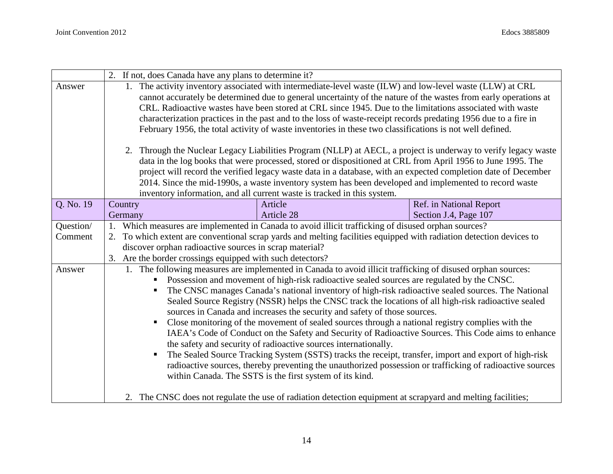|           | 2. If not, does Canada have any plans to determine it?                                                                                                                                           |                                                                                                                                                                                   |                         |  |
|-----------|--------------------------------------------------------------------------------------------------------------------------------------------------------------------------------------------------|-----------------------------------------------------------------------------------------------------------------------------------------------------------------------------------|-------------------------|--|
| Answer    | 1. The activity inventory associated with intermediate-level waste (ILW) and low-level waste (LLW) at CRL                                                                                        |                                                                                                                                                                                   |                         |  |
|           | cannot accurately be determined due to general uncertainty of the nature of the wastes from early operations at                                                                                  |                                                                                                                                                                                   |                         |  |
|           |                                                                                                                                                                                                  | CRL. Radioactive wastes have been stored at CRL since 1945. Due to the limitations associated with waste                                                                          |                         |  |
|           |                                                                                                                                                                                                  | characterization practices in the past and to the loss of waste-receipt records predating 1956 due to a fire in                                                                   |                         |  |
|           |                                                                                                                                                                                                  | February 1956, the total activity of waste inventories in these two classifications is not well defined.                                                                          |                         |  |
|           |                                                                                                                                                                                                  | 2. Through the Nuclear Legacy Liabilities Program (NLLP) at AECL, a project is underway to verify legacy waste                                                                    |                         |  |
|           |                                                                                                                                                                                                  | data in the log books that were processed, stored or dispositioned at CRL from April 1956 to June 1995. The                                                                       |                         |  |
|           |                                                                                                                                                                                                  | project will record the verified legacy waste data in a database, with an expected completion date of December                                                                    |                         |  |
|           |                                                                                                                                                                                                  | 2014. Since the mid-1990s, a waste inventory system has been developed and implemented to record waste                                                                            |                         |  |
|           |                                                                                                                                                                                                  | inventory information, and all current waste is tracked in this system.                                                                                                           |                         |  |
| Q. No. 19 | Country                                                                                                                                                                                          | Article                                                                                                                                                                           | Ref. in National Report |  |
|           | Germany                                                                                                                                                                                          | Article 28                                                                                                                                                                        | Section J.4, Page 107   |  |
| Question/ |                                                                                                                                                                                                  | Which measures are implemented in Canada to avoid illicit trafficking of disused orphan sources?                                                                                  |                         |  |
| Comment   | 2.                                                                                                                                                                                               | To which extent are conventional scrap yards and melting facilities equipped with radiation detection devices to                                                                  |                         |  |
|           | discover orphan radioactive sources in scrap material?                                                                                                                                           |                                                                                                                                                                                   |                         |  |
|           | 3. Are the border crossings equipped with such detectors?                                                                                                                                        |                                                                                                                                                                                   |                         |  |
| Answer    |                                                                                                                                                                                                  | 1. The following measures are implemented in Canada to avoid illicit trafficking of disused orphan sources:                                                                       |                         |  |
|           | Possession and movement of high-risk radioactive sealed sources are regulated by the CNSC.<br>The CNSC manages Canada's national inventory of high-risk radioactive sealed sources. The National |                                                                                                                                                                                   |                         |  |
|           |                                                                                                                                                                                                  |                                                                                                                                                                                   |                         |  |
|           |                                                                                                                                                                                                  | Sealed Source Registry (NSSR) helps the CNSC track the locations of all high-risk radioactive sealed<br>sources in Canada and increases the security and safety of those sources. |                         |  |
|           | п                                                                                                                                                                                                | Close monitoring of the movement of sealed sources through a national registry complies with the                                                                                  |                         |  |
|           |                                                                                                                                                                                                  | IAEA's Code of Conduct on the Safety and Security of Radioactive Sources. This Code aims to enhance                                                                               |                         |  |
|           |                                                                                                                                                                                                  | the safety and security of radioactive sources internationally.                                                                                                                   |                         |  |
|           |                                                                                                                                                                                                  | The Sealed Source Tracking System (SSTS) tracks the receipt, transfer, import and export of high-risk                                                                             |                         |  |
|           |                                                                                                                                                                                                  | radioactive sources, thereby preventing the unauthorized possession or trafficking of radioactive sources                                                                         |                         |  |
|           |                                                                                                                                                                                                  | within Canada. The SSTS is the first system of its kind.                                                                                                                          |                         |  |
|           |                                                                                                                                                                                                  |                                                                                                                                                                                   |                         |  |
|           |                                                                                                                                                                                                  | 2. The CNSC does not regulate the use of radiation detection equipment at scrapyard and melting facilities;                                                                       |                         |  |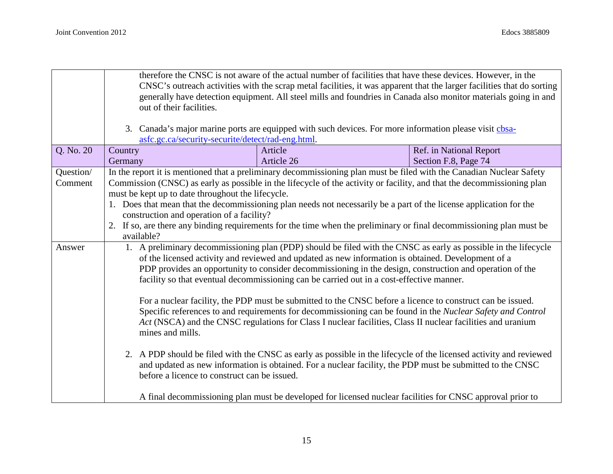|           | therefore the CNSC is not aware of the actual number of facilities that have these devices. However, in the<br>CNSC's outreach activities with the scrap metal facilities, it was apparent that the larger facilities that do sorting<br>generally have detection equipment. All steel mills and foundries in Canada also monitor materials going in and<br>out of their facilities.<br>3. Canada's major marine ports are equipped with such devices. For more information please visit chosa-<br>asfc.gc.ca/security-securite/detect/rad-eng.html. |            |                                                                                                                        |  |
|-----------|------------------------------------------------------------------------------------------------------------------------------------------------------------------------------------------------------------------------------------------------------------------------------------------------------------------------------------------------------------------------------------------------------------------------------------------------------------------------------------------------------------------------------------------------------|------------|------------------------------------------------------------------------------------------------------------------------|--|
| Q. No. 20 | Country                                                                                                                                                                                                                                                                                                                                                                                                                                                                                                                                              | Article    | Ref. in National Report                                                                                                |  |
|           | Germany                                                                                                                                                                                                                                                                                                                                                                                                                                                                                                                                              | Article 26 | Section F.8, Page 74                                                                                                   |  |
| Question/ |                                                                                                                                                                                                                                                                                                                                                                                                                                                                                                                                                      |            | In the report it is mentioned that a preliminary decommissioning plan must be filed with the Canadian Nuclear Safety   |  |
| Comment   |                                                                                                                                                                                                                                                                                                                                                                                                                                                                                                                                                      |            | Commission (CNSC) as early as possible in the lifecycle of the activity or facility, and that the decommissioning plan |  |
|           | must be kept up to date throughout the lifecycle.                                                                                                                                                                                                                                                                                                                                                                                                                                                                                                    |            |                                                                                                                        |  |
|           |                                                                                                                                                                                                                                                                                                                                                                                                                                                                                                                                                      |            | 1. Does that mean that the decommissioning plan needs not necessarily be a part of the license application for the     |  |
|           | construction and operation of a facility?                                                                                                                                                                                                                                                                                                                                                                                                                                                                                                            |            |                                                                                                                        |  |
|           | available?                                                                                                                                                                                                                                                                                                                                                                                                                                                                                                                                           |            | 2. If so, are there any binding requirements for the time when the preliminary or final decommissioning plan must be   |  |
| Answer    | 1. A preliminary decommissioning plan (PDP) should be filed with the CNSC as early as possible in the lifecycle                                                                                                                                                                                                                                                                                                                                                                                                                                      |            |                                                                                                                        |  |
|           | of the licensed activity and reviewed and updated as new information is obtained. Development of a                                                                                                                                                                                                                                                                                                                                                                                                                                                   |            |                                                                                                                        |  |
|           | PDP provides an opportunity to consider decommissioning in the design, construction and operation of the                                                                                                                                                                                                                                                                                                                                                                                                                                             |            |                                                                                                                        |  |
|           | facility so that eventual decommissioning can be carried out in a cost-effective manner.                                                                                                                                                                                                                                                                                                                                                                                                                                                             |            |                                                                                                                        |  |
|           |                                                                                                                                                                                                                                                                                                                                                                                                                                                                                                                                                      |            | For a nuclear facility, the PDP must be submitted to the CNSC before a licence to construct can be issued.             |  |
|           |                                                                                                                                                                                                                                                                                                                                                                                                                                                                                                                                                      |            | Specific references to and requirements for decommissioning can be found in the Nuclear Safety and Control             |  |
|           | Act (NSCA) and the CNSC regulations for Class I nuclear facilities, Class II nuclear facilities and uranium<br>mines and mills.                                                                                                                                                                                                                                                                                                                                                                                                                      |            |                                                                                                                        |  |
|           | 2. A PDP should be filed with the CNSC as early as possible in the lifecycle of the licensed activity and reviewed<br>and updated as new information is obtained. For a nuclear facility, the PDP must be submitted to the CNSC<br>before a licence to construct can be issued.                                                                                                                                                                                                                                                                      |            |                                                                                                                        |  |
|           |                                                                                                                                                                                                                                                                                                                                                                                                                                                                                                                                                      |            | A final decommissioning plan must be developed for licensed nuclear facilities for CNSC approval prior to              |  |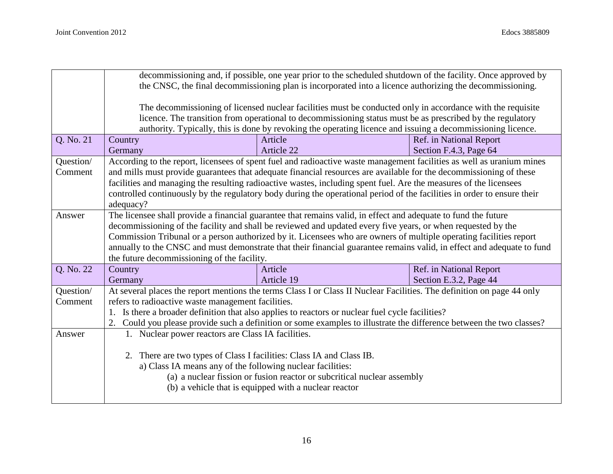|           | decommissioning and, if possible, one year prior to the scheduled shutdown of the facility. Once approved by<br>the CNSC, the final decommissioning plan is incorporated into a licence authorizing the decommissioning. |                                                                                                                         |                         |  |
|-----------|--------------------------------------------------------------------------------------------------------------------------------------------------------------------------------------------------------------------------|-------------------------------------------------------------------------------------------------------------------------|-------------------------|--|
|           | The decommissioning of licensed nuclear facilities must be conducted only in accordance with the requisite                                                                                                               |                                                                                                                         |                         |  |
|           |                                                                                                                                                                                                                          | licence. The transition from operational to decommissioning status must be as prescribed by the regulatory              |                         |  |
|           |                                                                                                                                                                                                                          | authority. Typically, this is done by revoking the operating licence and issuing a decommissioning licence.             |                         |  |
| Q. No. 21 | Country                                                                                                                                                                                                                  | Article                                                                                                                 | Ref. in National Report |  |
|           | Germany                                                                                                                                                                                                                  | Article 22                                                                                                              | Section F.4.3, Page 64  |  |
| Question/ |                                                                                                                                                                                                                          | According to the report, licensees of spent fuel and radioactive waste management facilities as well as uranium mines   |                         |  |
| Comment   |                                                                                                                                                                                                                          | and mills must provide guarantees that adequate financial resources are available for the decommissioning of these      |                         |  |
|           |                                                                                                                                                                                                                          | facilities and managing the resulting radioactive wastes, including spent fuel. Are the measures of the licensees       |                         |  |
|           |                                                                                                                                                                                                                          | controlled continuously by the regulatory body during the operational period of the facilities in order to ensure their |                         |  |
|           | adequacy?                                                                                                                                                                                                                |                                                                                                                         |                         |  |
| Answer    |                                                                                                                                                                                                                          | The licensee shall provide a financial guarantee that remains valid, in effect and adequate to fund the future          |                         |  |
|           |                                                                                                                                                                                                                          | decommissioning of the facility and shall be reviewed and updated every five years, or when requested by the            |                         |  |
|           | Commission Tribunal or a person authorized by it. Licensees who are owners of multiple operating facilities report                                                                                                       |                                                                                                                         |                         |  |
|           | annually to the CNSC and must demonstrate that their financial guarantee remains valid, in effect and adequate to fund<br>the future decommissioning of the facility.                                                    |                                                                                                                         |                         |  |
| Q. No. 22 | Article<br>Ref. in National Report<br>Country                                                                                                                                                                            |                                                                                                                         |                         |  |
|           | Germany                                                                                                                                                                                                                  | Article 19                                                                                                              | Section E.3.2, Page 44  |  |
| Question/ |                                                                                                                                                                                                                          | At several places the report mentions the terms Class I or Class II Nuclear Facilities. The definition on page 44 only  |                         |  |
| Comment   | refers to radioactive waste management facilities.                                                                                                                                                                       |                                                                                                                         |                         |  |
|           |                                                                                                                                                                                                                          | 1. Is there a broader definition that also applies to reactors or nuclear fuel cycle facilities?                        |                         |  |
|           |                                                                                                                                                                                                                          | 2. Could you please provide such a definition or some examples to illustrate the difference between the two classes?    |                         |  |
| Answer    | 1. Nuclear power reactors are Class IA facilities.                                                                                                                                                                       |                                                                                                                         |                         |  |
|           |                                                                                                                                                                                                                          |                                                                                                                         |                         |  |
|           | 2. There are two types of Class I facilities: Class IA and Class IB.                                                                                                                                                     |                                                                                                                         |                         |  |
|           | a) Class IA means any of the following nuclear facilities:                                                                                                                                                               |                                                                                                                         |                         |  |
|           |                                                                                                                                                                                                                          | (a) a nuclear fission or fusion reactor or subcritical nuclear assembly                                                 |                         |  |
|           |                                                                                                                                                                                                                          | (b) a vehicle that is equipped with a nuclear reactor                                                                   |                         |  |
|           |                                                                                                                                                                                                                          |                                                                                                                         |                         |  |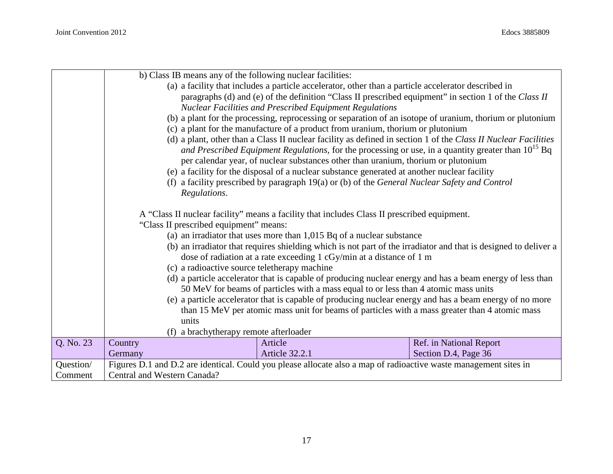|           |                                                                                                                 | b) Class IB means any of the following nuclear facilities:                                                       |                                                                                                                 |
|-----------|-----------------------------------------------------------------------------------------------------------------|------------------------------------------------------------------------------------------------------------------|-----------------------------------------------------------------------------------------------------------------|
|           |                                                                                                                 | (a) a facility that includes a particle accelerator, other than a particle accelerator described in              |                                                                                                                 |
|           |                                                                                                                 |                                                                                                                  | paragraphs (d) and (e) of the definition "Class II prescribed equipment" in section 1 of the Class II           |
|           |                                                                                                                 | <b>Nuclear Facilities and Prescribed Equipment Regulations</b>                                                   |                                                                                                                 |
|           |                                                                                                                 |                                                                                                                  | (b) a plant for the processing, reprocessing or separation of an isotope of uranium, thorium or plutonium       |
|           |                                                                                                                 | (c) a plant for the manufacture of a product from uranium, thorium or plutonium                                  |                                                                                                                 |
|           |                                                                                                                 |                                                                                                                  | (d) a plant, other than a Class II nuclear facility as defined in section 1 of the Class II Nuclear Facilities  |
|           |                                                                                                                 |                                                                                                                  | and Prescribed Equipment Regulations, for the processing or use, in a quantity greater than 10 <sup>15</sup> Bq |
|           |                                                                                                                 | per calendar year, of nuclear substances other than uranium, thorium or plutonium                                |                                                                                                                 |
|           |                                                                                                                 | (e) a facility for the disposal of a nuclear substance generated at another nuclear facility                     |                                                                                                                 |
|           |                                                                                                                 | (f) a facility prescribed by paragraph 19(a) or (b) of the General Nuclear Safety and Control                    |                                                                                                                 |
|           | Regulations.                                                                                                    |                                                                                                                  |                                                                                                                 |
|           |                                                                                                                 |                                                                                                                  |                                                                                                                 |
|           |                                                                                                                 | A "Class II nuclear facility" means a facility that includes Class II prescribed equipment.                      |                                                                                                                 |
|           | "Class II prescribed equipment" means:                                                                          |                                                                                                                  |                                                                                                                 |
|           | (a) an irradiator that uses more than $1,015$ Bq of a nuclear substance                                         |                                                                                                                  |                                                                                                                 |
|           | (b) an irradiator that requires shielding which is not part of the irradiator and that is designed to deliver a |                                                                                                                  |                                                                                                                 |
|           | dose of radiation at a rate exceeding 1 cGy/min at a distance of 1 m                                            |                                                                                                                  |                                                                                                                 |
|           |                                                                                                                 | (c) a radioactive source teletherapy machine                                                                     |                                                                                                                 |
|           |                                                                                                                 |                                                                                                                  | (d) a particle accelerator that is capable of producing nuclear energy and has a beam energy of less than       |
|           |                                                                                                                 | 50 MeV for beams of particles with a mass equal to or less than 4 atomic mass units                              |                                                                                                                 |
|           |                                                                                                                 |                                                                                                                  | (e) a particle accelerator that is capable of producing nuclear energy and has a beam energy of no more         |
|           |                                                                                                                 | than 15 MeV per atomic mass unit for beams of particles with a mass greater than 4 atomic mass                   |                                                                                                                 |
|           | units                                                                                                           |                                                                                                                  |                                                                                                                 |
|           |                                                                                                                 | (f) a brachytherapy remote afterloader                                                                           |                                                                                                                 |
| Q. No. 23 | Country                                                                                                         | Article                                                                                                          | Ref. in National Report                                                                                         |
|           | Germany                                                                                                         | <b>Article 32.2.1</b>                                                                                            | Section D.4, Page 36                                                                                            |
| Question/ |                                                                                                                 | Figures D.1 and D.2 are identical. Could you please allocate also a map of radioactive waste management sites in |                                                                                                                 |
| Comment   | Central and Western Canada?                                                                                     |                                                                                                                  |                                                                                                                 |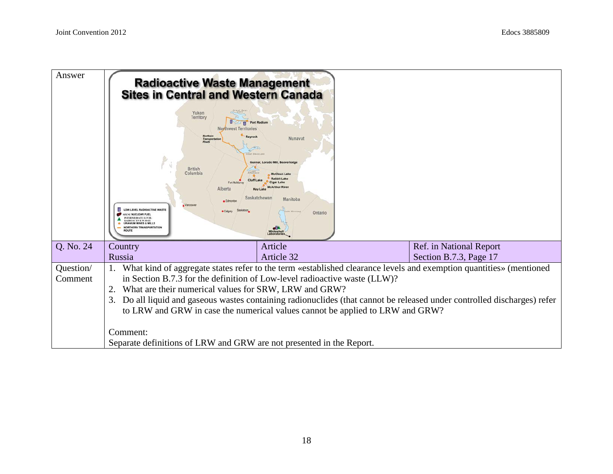| Answer    | OW LEVEL RADIOACTIVE WASTE<br><b>ENT NUCLEAR FUEL</b><br>TERMEDIATE LEVEL<br><b>DIOACTIVE WASTE</b>                         | <b>Radioactive Waste Management</b><br><b>Sites in Central and Western Canada</b><br>Yukon<br>Territory<br><b>Port Radium</b><br><b>Northwest Territories</b><br><b><i>Mortheri</i></b><br>Rayrock<br>Nunavut<br>Transportat<br>Route<br><b>Vest Stave Las</b><br>Lorado Mill, Beaverlodo<br><b>British</b><br>Columbia<br><b>Rabbit Lake</b><br><b>Cigar Lake</b><br>Fort McMun<br><b>McArthur River</b><br>Alberta<br>Saskatchewan<br>Manitoba<br>· Edmonto<br>Vancouver<br>· Calgan<br>Ontario<br><b>Whiteshell</b> |  |                         |
|-----------|-----------------------------------------------------------------------------------------------------------------------------|------------------------------------------------------------------------------------------------------------------------------------------------------------------------------------------------------------------------------------------------------------------------------------------------------------------------------------------------------------------------------------------------------------------------------------------------------------------------------------------------------------------------|--|-------------------------|
| Q. No. 24 | Country                                                                                                                     | Article                                                                                                                                                                                                                                                                                                                                                                                                                                                                                                                |  | Ref. in National Report |
|           | Russia                                                                                                                      | Article 32                                                                                                                                                                                                                                                                                                                                                                                                                                                                                                             |  | Section B.7.3, Page 17  |
| Question/ |                                                                                                                             | What kind of aggregate states refer to the term «established clearance levels and exemption quantities» (mentioned                                                                                                                                                                                                                                                                                                                                                                                                     |  |                         |
| Comment   |                                                                                                                             | in Section B.7.3 for the definition of Low-level radioactive waste (LLW)?                                                                                                                                                                                                                                                                                                                                                                                                                                              |  |                         |
|           | 2.                                                                                                                          | What are their numerical values for SRW, LRW and GRW?                                                                                                                                                                                                                                                                                                                                                                                                                                                                  |  |                         |
|           | Do all liquid and gaseous wastes containing radionuclides (that cannot be released under controlled discharges) refer<br>3. |                                                                                                                                                                                                                                                                                                                                                                                                                                                                                                                        |  |                         |
|           | to LRW and GRW in case the numerical values cannot be applied to LRW and GRW?                                               |                                                                                                                                                                                                                                                                                                                                                                                                                                                                                                                        |  |                         |
|           | Comment:                                                                                                                    |                                                                                                                                                                                                                                                                                                                                                                                                                                                                                                                        |  |                         |
|           |                                                                                                                             | Separate definitions of LRW and GRW are not presented in the Report.                                                                                                                                                                                                                                                                                                                                                                                                                                                   |  |                         |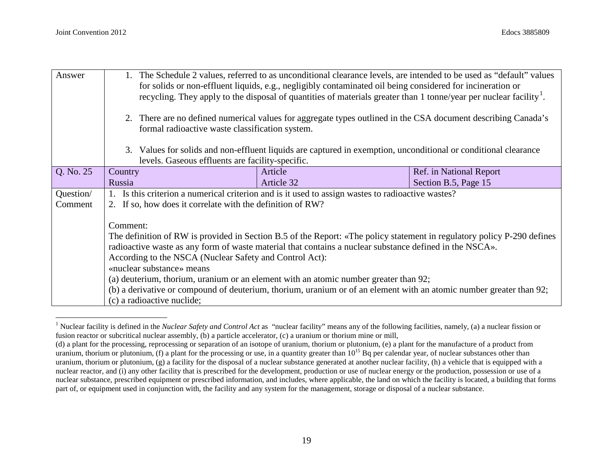| Answer    | The Schedule 2 values, referred to as unconditional clearance levels, are intended to be used as "default" values<br>for solids or non-effluent liquids, e.g., negligibly contaminated oil being considered for incineration or<br>recycling. They apply to the disposal of quantities of materials greater than 1 tonne/year per nuclear facility. <sup>1</sup> . |                                                                                                                         |                         |  |
|-----------|--------------------------------------------------------------------------------------------------------------------------------------------------------------------------------------------------------------------------------------------------------------------------------------------------------------------------------------------------------------------|-------------------------------------------------------------------------------------------------------------------------|-------------------------|--|
|           | 2. There are no defined numerical values for aggregate types outlined in the CSA document describing Canada's<br>formal radioactive waste classification system.                                                                                                                                                                                                   |                                                                                                                         |                         |  |
|           | 3. Values for solids and non-effluent liquids are captured in exemption, unconditional or conditional clearance<br>levels. Gaseous effluents are facility-specific.                                                                                                                                                                                                |                                                                                                                         |                         |  |
| Q. No. 25 | Country                                                                                                                                                                                                                                                                                                                                                            | Article                                                                                                                 | Ref. in National Report |  |
|           | Russia                                                                                                                                                                                                                                                                                                                                                             | Article 32                                                                                                              | Section B.5, Page 15    |  |
| Question/ |                                                                                                                                                                                                                                                                                                                                                                    | 1. Is this criterion a numerical criterion and is it used to assign wastes to radioactive wastes?                       |                         |  |
| Comment   | 2. If so, how does it correlate with the definition of RW?                                                                                                                                                                                                                                                                                                         |                                                                                                                         |                         |  |
|           | Comment:                                                                                                                                                                                                                                                                                                                                                           |                                                                                                                         |                         |  |
|           |                                                                                                                                                                                                                                                                                                                                                                    | The definition of RW is provided in Section B.5 of the Report: «The policy statement in regulatory policy P-290 defines |                         |  |
|           |                                                                                                                                                                                                                                                                                                                                                                    | radioactive waste as any form of waste material that contains a nuclear substance defined in the NSCA».                 |                         |  |
|           | According to the NSCA (Nuclear Safety and Control Act):                                                                                                                                                                                                                                                                                                            |                                                                                                                         |                         |  |
|           | «nuclear substance» means                                                                                                                                                                                                                                                                                                                                          |                                                                                                                         |                         |  |
|           |                                                                                                                                                                                                                                                                                                                                                                    | (a) deuterium, thorium, uranium or an element with an atomic number greater than 92;                                    |                         |  |
|           |                                                                                                                                                                                                                                                                                                                                                                    | (b) a derivative or compound of deuterium, thorium, uranium or of an element with an atomic number greater than 92;     |                         |  |
|           | (c) a radioactive nuclide;                                                                                                                                                                                                                                                                                                                                         |                                                                                                                         |                         |  |

<sup>&</sup>lt;sup>1</sup> Nuclear facility is defined in the *Nuclear Safety and Control Act* as "nuclear facility" means any of the following facilities, namely, (a) a nuclear fission or fusion reactor or subcritical nuclear assembly, (b) a particle accelerator, (c) a uranium or thorium mine or mill,

<sup>(</sup>d) a plant for the processing, reprocessing or separation of an isotope of uranium, thorium or plutonium, (e) a plant for the manufacture of a product from uranium, thorium or plutonium, (f) a plant for the processing or use, in a quantity greater than  $10^{15}$  Bq per calendar year, of nuclear substances other than uranium, thorium or plutonium, (g) a facility for the disposal of a nuclear substance generated at another nuclear facility, (h) a vehicle that is equipped with a nuclear reactor, and (i) any other facility that is prescribed for the development, production or use of nuclear energy or the production, possession or use of a nuclear substance, prescribed equipment or prescribed information, and includes, where applicable, the land on which the facility is located, a building that forms part of, or equipment used in conjunction with, the facility and any system for the management, storage or disposal of a nuclear substance.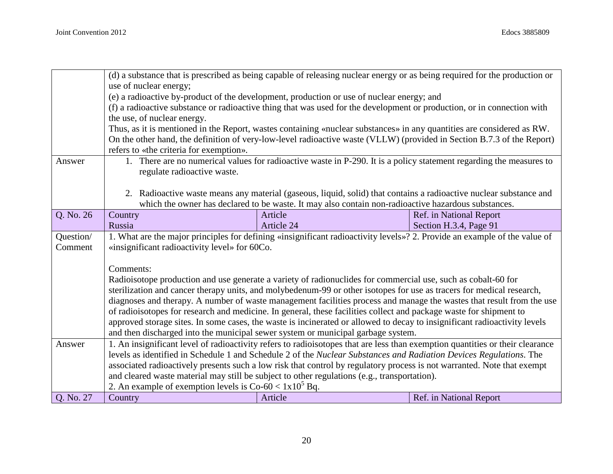|           | (d) a substance that is prescribed as being capable of releasing nuclear energy or as being required for the production or<br>use of nuclear energy; |                                                                                                                                                                                                                                                  |                         |  |
|-----------|------------------------------------------------------------------------------------------------------------------------------------------------------|--------------------------------------------------------------------------------------------------------------------------------------------------------------------------------------------------------------------------------------------------|-------------------------|--|
|           | (e) a radioactive by-product of the development, production or use of nuclear energy; and                                                            |                                                                                                                                                                                                                                                  |                         |  |
|           |                                                                                                                                                      | (f) a radioactive substance or radioactive thing that was used for the development or production, or in connection with                                                                                                                          |                         |  |
|           | the use, of nuclear energy.                                                                                                                          |                                                                                                                                                                                                                                                  |                         |  |
|           |                                                                                                                                                      | Thus, as it is mentioned in the Report, wastes containing «nuclear substances» in any quantities are considered as RW.<br>On the other hand, the definition of very-low-level radioactive waste (VLLW) (provided in Section B.7.3 of the Report) |                         |  |
|           | refers to «the criteria for exemption».                                                                                                              |                                                                                                                                                                                                                                                  |                         |  |
| Answer    |                                                                                                                                                      | 1. There are no numerical values for radioactive waste in P-290. It is a policy statement regarding the measures to                                                                                                                              |                         |  |
|           | regulate radioactive waste.                                                                                                                          |                                                                                                                                                                                                                                                  |                         |  |
|           |                                                                                                                                                      |                                                                                                                                                                                                                                                  |                         |  |
|           |                                                                                                                                                      | 2. Radioactive waste means any material (gaseous, liquid, solid) that contains a radioactive nuclear substance and                                                                                                                               |                         |  |
| Q. No. 26 | Country                                                                                                                                              | which the owner has declared to be waste. It may also contain non-radioactive hazardous substances.<br>Article                                                                                                                                   | Ref. in National Report |  |
|           | Russia                                                                                                                                               | Article 24                                                                                                                                                                                                                                       | Section H.3.4, Page 91  |  |
| Question/ |                                                                                                                                                      | 1. What are the major principles for defining «insignificant radioactivity levels»? 2. Provide an example of the value of                                                                                                                        |                         |  |
| Comment   | «insignificant radioactivity level» for 60Co.                                                                                                        |                                                                                                                                                                                                                                                  |                         |  |
|           |                                                                                                                                                      |                                                                                                                                                                                                                                                  |                         |  |
|           | Comments:                                                                                                                                            |                                                                                                                                                                                                                                                  |                         |  |
|           | Radioisotope production and use generate a variety of radionuclides for commercial use, such as cobalt-60 for                                        |                                                                                                                                                                                                                                                  |                         |  |
|           |                                                                                                                                                      | sterilization and cancer therapy units, and molybedenum-99 or other isotopes for use as tracers for medical research,                                                                                                                            |                         |  |
|           |                                                                                                                                                      | diagnoses and therapy. A number of waste management facilities process and manage the wastes that result from the use<br>of radioisotopes for research and medicine. In general, these facilities collect and package waste for shipment to      |                         |  |
|           |                                                                                                                                                      | approved storage sites. In some cases, the waste is incinerated or allowed to decay to insignificant radioactivity levels                                                                                                                        |                         |  |
|           |                                                                                                                                                      | and then discharged into the municipal sewer system or municipal garbage system.                                                                                                                                                                 |                         |  |
| Answer    |                                                                                                                                                      | 1. An insignificant level of radioactivity refers to radioisotopes that are less than exemption quantities or their clearance                                                                                                                    |                         |  |
|           |                                                                                                                                                      | levels as identified in Schedule 1 and Schedule 2 of the Nuclear Substances and Radiation Devices Regulations. The                                                                                                                               |                         |  |
|           |                                                                                                                                                      | associated radioactively presents such a low risk that control by regulatory process is not warranted. Note that exempt                                                                                                                          |                         |  |
|           |                                                                                                                                                      | and cleared waste material may still be subject to other regulations (e.g., transportation).                                                                                                                                                     |                         |  |
|           | 2. An example of exemption levels is $Co-60 < 1x10^5$ Bq.                                                                                            |                                                                                                                                                                                                                                                  |                         |  |
| Q. No. 27 | Country                                                                                                                                              | Article                                                                                                                                                                                                                                          | Ref. in National Report |  |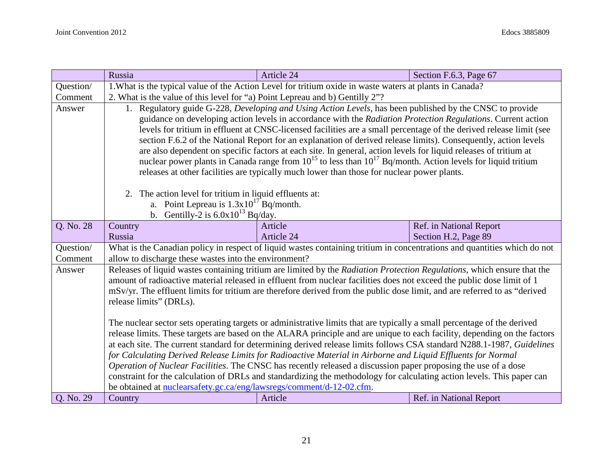|           | Russia                                                                                                                                                                                                                                            | Article 24                                                                                                               | Section F.6.3, Page 67                          |  |
|-----------|---------------------------------------------------------------------------------------------------------------------------------------------------------------------------------------------------------------------------------------------------|--------------------------------------------------------------------------------------------------------------------------|-------------------------------------------------|--|
| Question/ | 1. What is the typical value of the Action Level for tritium oxide in waste waters at plants in Canada?                                                                                                                                           |                                                                                                                          |                                                 |  |
| Comment   | 2. What is the value of this level for "a) Point Lepreau and b) Gentilly 2"?                                                                                                                                                                      |                                                                                                                          |                                                 |  |
| Answer    |                                                                                                                                                                                                                                                   | 1. Regulatory guide G-228, Developing and Using Action Levels, has been published by the CNSC to provide                 |                                                 |  |
|           |                                                                                                                                                                                                                                                   | guidance on developing action levels in accordance with the Radiation Protection Regulations. Current action             |                                                 |  |
|           | levels for tritium in effluent at CNSC-licensed facilities are a small percentage of the derived release limit (see                                                                                                                               |                                                                                                                          |                                                 |  |
|           | section F.6.2 of the National Report for an explanation of derived release limits). Consequently, action levels                                                                                                                                   |                                                                                                                          |                                                 |  |
|           |                                                                                                                                                                                                                                                   | are also dependent on specific factors at each site. In general, action levels for liquid releases of tritium at         |                                                 |  |
|           |                                                                                                                                                                                                                                                   | nuclear power plants in Canada range from $10^{15}$ to less than $10^{17}$ Bq/month. Action levels for liquid tritium    |                                                 |  |
|           |                                                                                                                                                                                                                                                   | releases at other facilities are typically much lower than those for nuclear power plants.                               |                                                 |  |
|           |                                                                                                                                                                                                                                                   |                                                                                                                          |                                                 |  |
|           | 2. The action level for tritium in liquid effluents at:                                                                                                                                                                                           |                                                                                                                          |                                                 |  |
|           | a. Point Lepreau is $1.3 \times 10^{17}$ Bq/month.                                                                                                                                                                                                |                                                                                                                          |                                                 |  |
|           | b. Gentilly-2 is $6.0x10^{13}$ Bq/day.                                                                                                                                                                                                            | Article                                                                                                                  |                                                 |  |
| Q. No. 28 | Country<br>Russia                                                                                                                                                                                                                                 | Article 24                                                                                                               | Ref. in National Report<br>Section H.2, Page 89 |  |
| Question/ |                                                                                                                                                                                                                                                   | What is the Canadian policy in respect of liquid wastes containing tritium in concentrations and quantities which do not |                                                 |  |
| Comment   | allow to discharge these wastes into the environment?                                                                                                                                                                                             |                                                                                                                          |                                                 |  |
| Answer    |                                                                                                                                                                                                                                                   |                                                                                                                          |                                                 |  |
|           | Releases of liquid wastes containing tritium are limited by the Radiation Protection Regulations, which ensure that the<br>amount of radioactive material released in effluent from nuclear facilities does not exceed the public dose limit of 1 |                                                                                                                          |                                                 |  |
|           | mSv/yr. The effluent limits for tritium are therefore derived from the public dose limit, and are referred to as "derived                                                                                                                         |                                                                                                                          |                                                 |  |
|           | release limits" (DRLs).                                                                                                                                                                                                                           |                                                                                                                          |                                                 |  |
|           |                                                                                                                                                                                                                                                   |                                                                                                                          |                                                 |  |
|           |                                                                                                                                                                                                                                                   | The nuclear sector sets operating targets or administrative limits that are typically a small percentage of the derived  |                                                 |  |
|           |                                                                                                                                                                                                                                                   | release limits. These targets are based on the ALARA principle and are unique to each facility, depending on the factors |                                                 |  |
|           |                                                                                                                                                                                                                                                   | at each site. The current standard for determining derived release limits follows CSA standard N288.1-1987, Guidelines   |                                                 |  |
|           |                                                                                                                                                                                                                                                   | for Calculating Derived Release Limits for Radioactive Material in Airborne and Liquid Effluents for Normal              |                                                 |  |
|           |                                                                                                                                                                                                                                                   | Operation of Nuclear Facilities. The CNSC has recently released a discussion paper proposing the use of a dose           |                                                 |  |
|           |                                                                                                                                                                                                                                                   | constraint for the calculation of DRLs and standardizing the methodology for calculating action levels. This paper can   |                                                 |  |
|           | be obtained at nuclearsafety.gc.ca/eng/lawsregs/comment/d-12-02.cfm.                                                                                                                                                                              |                                                                                                                          |                                                 |  |
| Q. No. 29 | Country                                                                                                                                                                                                                                           | Article                                                                                                                  | Ref. in National Report                         |  |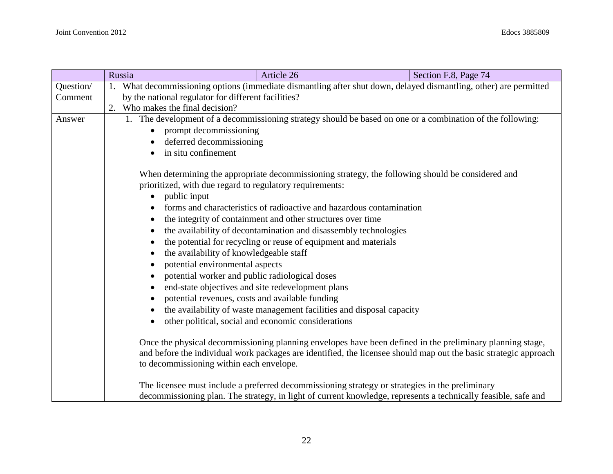|                                                                                                                                                                                                                                                                           | Russia                                                                                                                                                                                     | Article 26                                                                                                                                                                                                        | Section F.8, Page 74 |  |  |  |
|---------------------------------------------------------------------------------------------------------------------------------------------------------------------------------------------------------------------------------------------------------------------------|--------------------------------------------------------------------------------------------------------------------------------------------------------------------------------------------|-------------------------------------------------------------------------------------------------------------------------------------------------------------------------------------------------------------------|----------------------|--|--|--|
| Question/                                                                                                                                                                                                                                                                 | 1. What decommissioning options (immediate dismantling after shut down, delayed dismantling, other) are permitted                                                                          |                                                                                                                                                                                                                   |                      |  |  |  |
| Comment                                                                                                                                                                                                                                                                   |                                                                                                                                                                                            | by the national regulator for different facilities?                                                                                                                                                               |                      |  |  |  |
|                                                                                                                                                                                                                                                                           | 2. Who makes the final decision?                                                                                                                                                           |                                                                                                                                                                                                                   |                      |  |  |  |
| Answer                                                                                                                                                                                                                                                                    |                                                                                                                                                                                            | 1. The development of a decommissioning strategy should be based on one or a combination of the following:                                                                                                        |                      |  |  |  |
|                                                                                                                                                                                                                                                                           | $\bullet$                                                                                                                                                                                  | prompt decommissioning                                                                                                                                                                                            |                      |  |  |  |
|                                                                                                                                                                                                                                                                           | deferred decommissioning                                                                                                                                                                   |                                                                                                                                                                                                                   |                      |  |  |  |
|                                                                                                                                                                                                                                                                           | in situ confinement                                                                                                                                                                        |                                                                                                                                                                                                                   |                      |  |  |  |
|                                                                                                                                                                                                                                                                           | When determining the appropriate decommissioning strategy, the following should be considered and<br>prioritized, with due regard to regulatory requirements:<br>public input<br>$\bullet$ |                                                                                                                                                                                                                   |                      |  |  |  |
|                                                                                                                                                                                                                                                                           |                                                                                                                                                                                            | forms and characteristics of radioactive and hazardous contamination                                                                                                                                              |                      |  |  |  |
|                                                                                                                                                                                                                                                                           |                                                                                                                                                                                            | the integrity of containment and other structures over time                                                                                                                                                       |                      |  |  |  |
|                                                                                                                                                                                                                                                                           |                                                                                                                                                                                            | the availability of decontamination and disassembly technologies                                                                                                                                                  |                      |  |  |  |
|                                                                                                                                                                                                                                                                           |                                                                                                                                                                                            | the potential for recycling or reuse of equipment and materials                                                                                                                                                   |                      |  |  |  |
|                                                                                                                                                                                                                                                                           |                                                                                                                                                                                            | the availability of knowledgeable staff                                                                                                                                                                           |                      |  |  |  |
|                                                                                                                                                                                                                                                                           | potential environmental aspects                                                                                                                                                            |                                                                                                                                                                                                                   |                      |  |  |  |
|                                                                                                                                                                                                                                                                           | potential worker and public radiological doses                                                                                                                                             |                                                                                                                                                                                                                   |                      |  |  |  |
|                                                                                                                                                                                                                                                                           | end-state objectives and site redevelopment plans                                                                                                                                          |                                                                                                                                                                                                                   |                      |  |  |  |
|                                                                                                                                                                                                                                                                           | potential revenues, costs and available funding                                                                                                                                            |                                                                                                                                                                                                                   |                      |  |  |  |
|                                                                                                                                                                                                                                                                           |                                                                                                                                                                                            | the availability of waste management facilities and disposal capacity                                                                                                                                             |                      |  |  |  |
|                                                                                                                                                                                                                                                                           | other political, social and economic considerations                                                                                                                                        |                                                                                                                                                                                                                   |                      |  |  |  |
| Once the physical decommissioning planning envelopes have been defined in the preliminary planning stage,<br>and before the individual work packages are identified, the licensee should map out the basic strategic approach<br>to decommissioning within each envelope. |                                                                                                                                                                                            |                                                                                                                                                                                                                   |                      |  |  |  |
|                                                                                                                                                                                                                                                                           |                                                                                                                                                                                            | The licensee must include a preferred decommissioning strategy or strategies in the preliminary<br>decommissioning plan. The strategy, in light of current knowledge, represents a technically feasible, safe and |                      |  |  |  |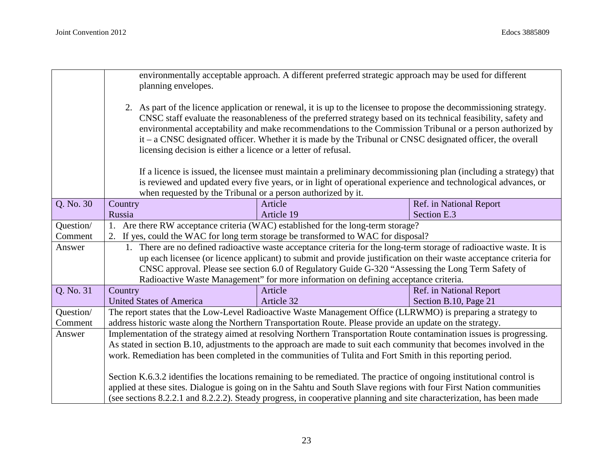|           | environmentally acceptable approach. A different preferred strategic approach may be used for different<br>planning envelopes.                                                                                                                                                                                                                                                                                                                                                                                                        |                                                                                                                                                                                                                                               |                         |  |
|-----------|---------------------------------------------------------------------------------------------------------------------------------------------------------------------------------------------------------------------------------------------------------------------------------------------------------------------------------------------------------------------------------------------------------------------------------------------------------------------------------------------------------------------------------------|-----------------------------------------------------------------------------------------------------------------------------------------------------------------------------------------------------------------------------------------------|-------------------------|--|
|           | 2. As part of the licence application or renewal, it is up to the licensee to propose the decommissioning strategy.<br>CNSC staff evaluate the reasonableness of the preferred strategy based on its technical feasibility, safety and<br>environmental acceptability and make recommendations to the Commission Tribunal or a person authorized by<br>$it - a CNSC$ designated officer. Whether it is made by the Tribunal or CNSC designated officer, the overall<br>licensing decision is either a licence or a letter of refusal. |                                                                                                                                                                                                                                               |                         |  |
|           |                                                                                                                                                                                                                                                                                                                                                                                                                                                                                                                                       | If a licence is issued, the licensee must maintain a preliminary decommissioning plan (including a strategy) that                                                                                                                             |                         |  |
|           | when requested by the Tribunal or a person authorized by it.                                                                                                                                                                                                                                                                                                                                                                                                                                                                          | is reviewed and updated every five years, or in light of operational experience and technological advances, or                                                                                                                                |                         |  |
| Q. No. 30 | Country                                                                                                                                                                                                                                                                                                                                                                                                                                                                                                                               | Article                                                                                                                                                                                                                                       | Ref. in National Report |  |
|           | Russia                                                                                                                                                                                                                                                                                                                                                                                                                                                                                                                                | Article 19                                                                                                                                                                                                                                    | Section E.3             |  |
| Question/ |                                                                                                                                                                                                                                                                                                                                                                                                                                                                                                                                       | 1. Are there RW acceptance criteria (WAC) established for the long-term storage?                                                                                                                                                              |                         |  |
| Comment   |                                                                                                                                                                                                                                                                                                                                                                                                                                                                                                                                       | 2. If yes, could the WAC for long term storage be transformed to WAC for disposal?                                                                                                                                                            |                         |  |
| Answer    |                                                                                                                                                                                                                                                                                                                                                                                                                                                                                                                                       | 1. There are no defined radioactive waste acceptance criteria for the long-term storage of radioactive waste. It is                                                                                                                           |                         |  |
|           |                                                                                                                                                                                                                                                                                                                                                                                                                                                                                                                                       | up each licensee (or licence applicant) to submit and provide justification on their waste acceptance criteria for                                                                                                                            |                         |  |
|           | CNSC approval. Please see section 6.0 of Regulatory Guide G-320 "Assessing the Long Term Safety of                                                                                                                                                                                                                                                                                                                                                                                                                                    |                                                                                                                                                                                                                                               |                         |  |
|           | Radioactive Waste Management" for more information on defining acceptance criteria.                                                                                                                                                                                                                                                                                                                                                                                                                                                   |                                                                                                                                                                                                                                               |                         |  |
| Q. No. 31 | Country                                                                                                                                                                                                                                                                                                                                                                                                                                                                                                                               | Article                                                                                                                                                                                                                                       | Ref. in National Report |  |
|           | <b>United States of America</b>                                                                                                                                                                                                                                                                                                                                                                                                                                                                                                       | Article 32                                                                                                                                                                                                                                    | Section B.10, Page 21   |  |
| Question/ |                                                                                                                                                                                                                                                                                                                                                                                                                                                                                                                                       | The report states that the Low-Level Radioactive Waste Management Office (LLRWMO) is preparing a strategy to                                                                                                                                  |                         |  |
| Comment   | address historic waste along the Northern Transportation Route. Please provide an update on the strategy.                                                                                                                                                                                                                                                                                                                                                                                                                             |                                                                                                                                                                                                                                               |                         |  |
| Answer    | Implementation of the strategy aimed at resolving Northern Transportation Route contamination issues is progressing.                                                                                                                                                                                                                                                                                                                                                                                                                  |                                                                                                                                                                                                                                               |                         |  |
|           | As stated in section B.10, adjustments to the approach are made to suit each community that becomes involved in the                                                                                                                                                                                                                                                                                                                                                                                                                   |                                                                                                                                                                                                                                               |                         |  |
|           |                                                                                                                                                                                                                                                                                                                                                                                                                                                                                                                                       | work. Remediation has been completed in the communities of Tulita and Fort Smith in this reporting period.                                                                                                                                    |                         |  |
|           |                                                                                                                                                                                                                                                                                                                                                                                                                                                                                                                                       | Section K.6.3.2 identifies the locations remaining to be remediated. The practice of ongoing institutional control is                                                                                                                         |                         |  |
|           |                                                                                                                                                                                                                                                                                                                                                                                                                                                                                                                                       | applied at these sites. Dialogue is going on in the Sahtu and South Slave regions with four First Nation communities<br>(see sections 8.2.2.1 and 8.2.2.2). Steady progress, in cooperative planning and site characterization, has been made |                         |  |
|           |                                                                                                                                                                                                                                                                                                                                                                                                                                                                                                                                       |                                                                                                                                                                                                                                               |                         |  |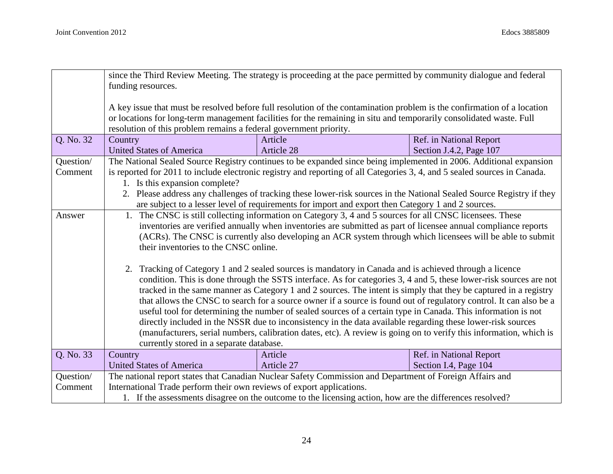|           | since the Third Review Meeting. The strategy is proceeding at the pace permitted by community dialogue and federal      |                                                                                                                           |                         |  |  |
|-----------|-------------------------------------------------------------------------------------------------------------------------|---------------------------------------------------------------------------------------------------------------------------|-------------------------|--|--|
|           | funding resources.                                                                                                      |                                                                                                                           |                         |  |  |
|           | A key issue that must be resolved before full resolution of the contamination problem is the confirmation of a location |                                                                                                                           |                         |  |  |
|           |                                                                                                                         | or locations for long-term management facilities for the remaining in situ and temporarily consolidated waste. Full       |                         |  |  |
|           | resolution of this problem remains a federal government priority.                                                       |                                                                                                                           |                         |  |  |
| Q. No. 32 | Country                                                                                                                 | Article                                                                                                                   | Ref. in National Report |  |  |
|           | <b>United States of America</b>                                                                                         | Article 28                                                                                                                | Section J.4.2, Page 107 |  |  |
| Question/ |                                                                                                                         | The National Sealed Source Registry continues to be expanded since being implemented in 2006. Additional expansion        |                         |  |  |
| Comment   |                                                                                                                         | is reported for 2011 to include electronic registry and reporting of all Categories 3, 4, and 5 sealed sources in Canada. |                         |  |  |
|           | 1. Is this expansion complete?                                                                                          |                                                                                                                           |                         |  |  |
|           |                                                                                                                         | 2. Please address any challenges of tracking these lower-risk sources in the National Sealed Source Registry if they      |                         |  |  |
|           |                                                                                                                         | are subject to a lesser level of requirements for import and export then Category 1 and 2 sources.                        |                         |  |  |
| Answer    |                                                                                                                         | 1. The CNSC is still collecting information on Category 3, 4 and 5 sources for all CNSC licensees. These                  |                         |  |  |
|           |                                                                                                                         | inventories are verified annually when inventories are submitted as part of licensee annual compliance reports            |                         |  |  |
|           | (ACRs). The CNSC is currently also developing an ACR system through which licensees will be able to submit              |                                                                                                                           |                         |  |  |
|           | their inventories to the CNSC online.                                                                                   |                                                                                                                           |                         |  |  |
|           |                                                                                                                         |                                                                                                                           |                         |  |  |
|           | 2. Tracking of Category 1 and 2 sealed sources is mandatory in Canada and is achieved through a licence                 |                                                                                                                           |                         |  |  |
|           | condition. This is done through the SSTS interface. As for categories 3, 4 and 5, these lower-risk sources are not      |                                                                                                                           |                         |  |  |
|           | tracked in the same manner as Category 1 and 2 sources. The intent is simply that they be captured in a registry        |                                                                                                                           |                         |  |  |
|           |                                                                                                                         | that allows the CNSC to search for a source owner if a source is found out of regulatory control. It can also be a        |                         |  |  |
|           |                                                                                                                         | useful tool for determining the number of sealed sources of a certain type in Canada. This information is not             |                         |  |  |
|           |                                                                                                                         | directly included in the NSSR due to inconsistency in the data available regarding these lower-risk sources               |                         |  |  |
|           |                                                                                                                         | (manufacturers, serial numbers, calibration dates, etc). A review is going on to verify this information, which is        |                         |  |  |
|           | currently stored in a separate database.                                                                                |                                                                                                                           |                         |  |  |
| Q. No. 33 | Country                                                                                                                 | Article                                                                                                                   | Ref. in National Report |  |  |
|           | <b>United States of America</b>                                                                                         | Article 27                                                                                                                | Section I.4, Page 104   |  |  |
| Question/ |                                                                                                                         | The national report states that Canadian Nuclear Safety Commission and Department of Foreign Affairs and                  |                         |  |  |
| Comment   | International Trade perform their own reviews of export applications.                                                   |                                                                                                                           |                         |  |  |
|           |                                                                                                                         | 1. If the assessments disagree on the outcome to the licensing action, how are the differences resolved?                  |                         |  |  |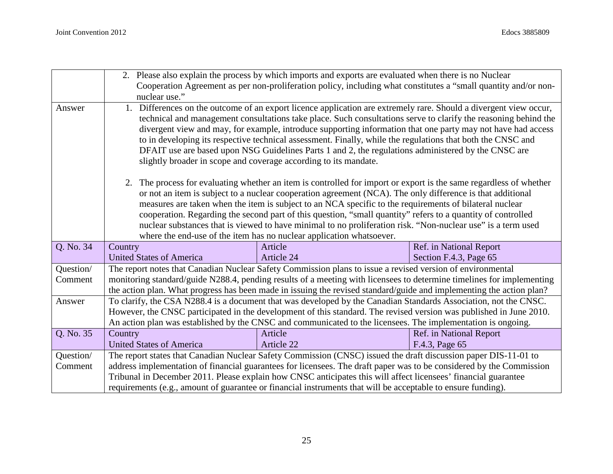|           | 2. Please also explain the process by which imports and exports are evaluated when there is no Nuclear<br>Cooperation Agreement as per non-proliferation policy, including what constitutes a "small quantity and/or non-<br>nuclear use."                                                                                                                                                                                                                                                                                                                                                                                                          |                                                                                                                                                                                                                                               |                                |  |
|-----------|-----------------------------------------------------------------------------------------------------------------------------------------------------------------------------------------------------------------------------------------------------------------------------------------------------------------------------------------------------------------------------------------------------------------------------------------------------------------------------------------------------------------------------------------------------------------------------------------------------------------------------------------------------|-----------------------------------------------------------------------------------------------------------------------------------------------------------------------------------------------------------------------------------------------|--------------------------------|--|
| Answer    | 1. Differences on the outcome of an export licence application are extremely rare. Should a divergent view occur,<br>technical and management consultations take place. Such consultations serve to clarify the reasoning behind the<br>divergent view and may, for example, introduce supporting information that one party may not have had access<br>to in developing its respective technical assessment. Finally, while the regulations that both the CNSC and<br>DFAIT use are based upon NSG Guidelines Parts 1 and 2, the regulations administered by the CNSC are<br>slightly broader in scope and coverage according to its mandate.      |                                                                                                                                                                                                                                               |                                |  |
|           | 2. The process for evaluating whether an item is controlled for import or export is the same regardless of whether<br>or not an item is subject to a nuclear cooperation agreement (NCA). The only difference is that additional<br>measures are taken when the item is subject to an NCA specific to the requirements of bilateral nuclear<br>cooperation. Regarding the second part of this question, "small quantity" refers to a quantity of controlled<br>nuclear substances that is viewed to have minimal to no proliferation risk. "Non-nuclear use" is a term used<br>where the end-use of the item has no nuclear application whatsoever. |                                                                                                                                                                                                                                               |                                |  |
| Q. No. 34 | Country                                                                                                                                                                                                                                                                                                                                                                                                                                                                                                                                                                                                                                             | Article                                                                                                                                                                                                                                       | Ref. in National Report        |  |
|           | <b>United States of America</b>                                                                                                                                                                                                                                                                                                                                                                                                                                                                                                                                                                                                                     | Article 24                                                                                                                                                                                                                                    | Section F.4.3, Page 65         |  |
| Question/ |                                                                                                                                                                                                                                                                                                                                                                                                                                                                                                                                                                                                                                                     | The report notes that Canadian Nuclear Safety Commission plans to issue a revised version of environmental                                                                                                                                    |                                |  |
| Comment   |                                                                                                                                                                                                                                                                                                                                                                                                                                                                                                                                                                                                                                                     | monitoring standard/guide N288.4, pending results of a meeting with licensees to determine timelines for implementing<br>the action plan. What progress has been made in issuing the revised standard/guide and implementing the action plan? |                                |  |
| Answer    | To clarify, the CSA N288.4 is a document that was developed by the Canadian Standards Association, not the CNSC.<br>However, the CNSC participated in the development of this standard. The revised version was published in June 2010.<br>An action plan was established by the CNSC and communicated to the licensees. The implementation is ongoing.                                                                                                                                                                                                                                                                                             |                                                                                                                                                                                                                                               |                                |  |
| Q. No. 35 | Country                                                                                                                                                                                                                                                                                                                                                                                                                                                                                                                                                                                                                                             | Article                                                                                                                                                                                                                                       | <b>Ref.</b> in National Report |  |
|           | <b>United States of America</b>                                                                                                                                                                                                                                                                                                                                                                                                                                                                                                                                                                                                                     | Article 22                                                                                                                                                                                                                                    | F.4.3, Page 65                 |  |
| Question/ |                                                                                                                                                                                                                                                                                                                                                                                                                                                                                                                                                                                                                                                     | The report states that Canadian Nuclear Safety Commission (CNSC) issued the draft discussion paper DIS-11-01 to                                                                                                                               |                                |  |
| Comment   |                                                                                                                                                                                                                                                                                                                                                                                                                                                                                                                                                                                                                                                     | address implementation of financial guarantees for licensees. The draft paper was to be considered by the Commission                                                                                                                          |                                |  |
|           |                                                                                                                                                                                                                                                                                                                                                                                                                                                                                                                                                                                                                                                     | Tribunal in December 2011. Please explain how CNSC anticipates this will affect licensees' financial guarantee                                                                                                                                |                                |  |
|           |                                                                                                                                                                                                                                                                                                                                                                                                                                                                                                                                                                                                                                                     | requirements (e.g., amount of guarantee or financial instruments that will be acceptable to ensure funding).                                                                                                                                  |                                |  |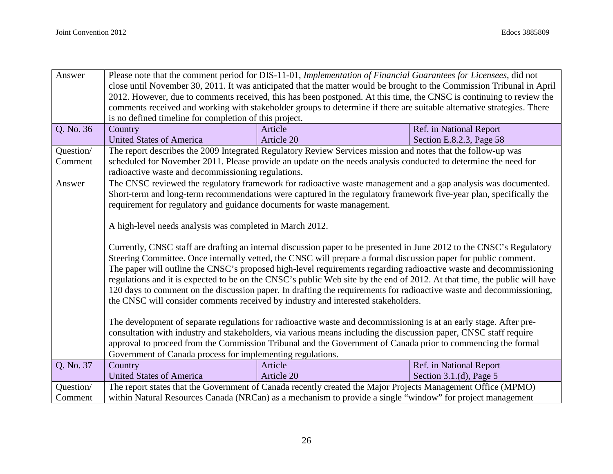| Answer    |                                                                                                                           | Please note that the comment period for DIS-11-01, Implementation of Financial Guarantees for Licensees, did not       |                           |  |
|-----------|---------------------------------------------------------------------------------------------------------------------------|------------------------------------------------------------------------------------------------------------------------|---------------------------|--|
|           | close until November 30, 2011. It was anticipated that the matter would be brought to the Commission Tribunal in April    |                                                                                                                        |                           |  |
|           | 2012. However, due to comments received, this has been postponed. At this time, the CNSC is continuing to review the      |                                                                                                                        |                           |  |
|           |                                                                                                                           | comments received and working with stakeholder groups to determine if there are suitable alternative strategies. There |                           |  |
|           | is no defined timeline for completion of this project.                                                                    |                                                                                                                        |                           |  |
| Q. No. 36 | Country                                                                                                                   | Article                                                                                                                | Ref. in National Report   |  |
|           | <b>United States of America</b>                                                                                           | Article 20                                                                                                             | Section E.8.2.3, Page 58  |  |
| Question/ |                                                                                                                           | The report describes the 2009 Integrated Regulatory Review Services mission and notes that the follow-up was           |                           |  |
| Comment   |                                                                                                                           | scheduled for November 2011. Please provide an update on the needs analysis conducted to determine the need for        |                           |  |
|           | radioactive waste and decommissioning regulations.                                                                        |                                                                                                                        |                           |  |
| Answer    |                                                                                                                           | The CNSC reviewed the regulatory framework for radioactive waste management and a gap analysis was documented.         |                           |  |
|           |                                                                                                                           | Short-term and long-term recommendations were captured in the regulatory framework five-year plan, specifically the    |                           |  |
|           | requirement for regulatory and guidance documents for waste management.                                                   |                                                                                                                        |                           |  |
|           |                                                                                                                           |                                                                                                                        |                           |  |
|           | A high-level needs analysis was completed in March 2012.                                                                  |                                                                                                                        |                           |  |
|           |                                                                                                                           |                                                                                                                        |                           |  |
|           | Currently, CNSC staff are drafting an internal discussion paper to be presented in June 2012 to the CNSC's Regulatory     |                                                                                                                        |                           |  |
|           | Steering Committee. Once internally vetted, the CNSC will prepare a formal discussion paper for public comment.           |                                                                                                                        |                           |  |
|           | The paper will outline the CNSC's proposed high-level requirements regarding radioactive waste and decommissioning        |                                                                                                                        |                           |  |
|           | regulations and it is expected to be on the CNSC's public Web site by the end of 2012. At that time, the public will have |                                                                                                                        |                           |  |
|           | 120 days to comment on the discussion paper. In drafting the requirements for radioactive waste and decommissioning,      |                                                                                                                        |                           |  |
|           |                                                                                                                           | the CNSC will consider comments received by industry and interested stakeholders.                                      |                           |  |
|           |                                                                                                                           |                                                                                                                        |                           |  |
|           |                                                                                                                           | The development of separate regulations for radioactive waste and decommissioning is at an early stage. After pre-     |                           |  |
|           |                                                                                                                           | consultation with industry and stakeholders, via various means including the discussion paper, CNSC staff require      |                           |  |
|           |                                                                                                                           | approval to proceed from the Commission Tribunal and the Government of Canada prior to commencing the formal           |                           |  |
|           | Government of Canada process for implementing regulations.                                                                |                                                                                                                        |                           |  |
| Q. No. 37 | Country                                                                                                                   | Article                                                                                                                | Ref. in National Report   |  |
|           | <b>United States of America</b>                                                                                           | Article 20                                                                                                             | Section 3.1.(d), Page $5$ |  |
| Question/ |                                                                                                                           | The report states that the Government of Canada recently created the Major Projects Management Office (MPMO)           |                           |  |
| Comment   | within Natural Resources Canada (NRCan) as a mechanism to provide a single "window" for project management                |                                                                                                                        |                           |  |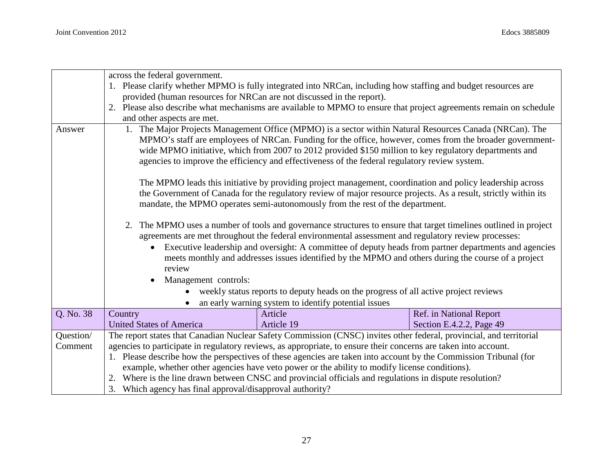|           | across the federal government.                                                                                     |                                                                                                                     |                          |  |
|-----------|--------------------------------------------------------------------------------------------------------------------|---------------------------------------------------------------------------------------------------------------------|--------------------------|--|
|           |                                                                                                                    | 1. Please clarify whether MPMO is fully integrated into NRCan, including how staffing and budget resources are      |                          |  |
|           | provided (human resources for NRCan are not discussed in the report).                                              |                                                                                                                     |                          |  |
|           |                                                                                                                    | 2. Please also describe what mechanisms are available to MPMO to ensure that project agreements remain on schedule  |                          |  |
|           | and other aspects are met.                                                                                         |                                                                                                                     |                          |  |
| Answer    |                                                                                                                    | 1. The Major Projects Management Office (MPMO) is a sector within Natural Resources Canada (NRCan). The             |                          |  |
|           |                                                                                                                    | MPMO's staff are employees of NRCan. Funding for the office, however, comes from the broader government-            |                          |  |
|           |                                                                                                                    | wide MPMO initiative, which from 2007 to 2012 provided \$150 million to key regulatory departments and              |                          |  |
|           |                                                                                                                    | agencies to improve the efficiency and effectiveness of the federal regulatory review system.                       |                          |  |
|           |                                                                                                                    |                                                                                                                     |                          |  |
|           |                                                                                                                    | The MPMO leads this initiative by providing project management, coordination and policy leadership across           |                          |  |
|           |                                                                                                                    | the Government of Canada for the regulatory review of major resource projects. As a result, strictly within its     |                          |  |
|           |                                                                                                                    | mandate, the MPMO operates semi-autonomously from the rest of the department.                                       |                          |  |
|           |                                                                                                                    |                                                                                                                     |                          |  |
|           | 2. The MPMO uses a number of tools and governance structures to ensure that target timelines outlined in project   |                                                                                                                     |                          |  |
|           | agreements are met throughout the federal environmental assessment and regulatory review processes:                |                                                                                                                     |                          |  |
|           | Executive leadership and oversight: A committee of deputy heads from partner departments and agencies<br>$\bullet$ |                                                                                                                     |                          |  |
|           | meets monthly and addresses issues identified by the MPMO and others during the course of a project<br>review      |                                                                                                                     |                          |  |
|           |                                                                                                                    |                                                                                                                     |                          |  |
|           | Management controls:<br>• weekly status reports to deputy heads on the progress of all active project reviews      |                                                                                                                     |                          |  |
|           |                                                                                                                    |                                                                                                                     |                          |  |
|           |                                                                                                                    | an early warning system to identify potential issues                                                                |                          |  |
| Q. No. 38 | Country                                                                                                            | Article                                                                                                             | Ref. in National Report  |  |
|           | <b>United States of America</b>                                                                                    | Article 19                                                                                                          | Section E.4.2.2, Page 49 |  |
| Question/ |                                                                                                                    | The report states that Canadian Nuclear Safety Commission (CNSC) invites other federal, provincial, and territorial |                          |  |
| Comment   | agencies to participate in regulatory reviews, as appropriate, to ensure their concerns are taken into account.    |                                                                                                                     |                          |  |
|           |                                                                                                                    | 1. Please describe how the perspectives of these agencies are taken into account by the Commission Tribunal (for    |                          |  |
|           |                                                                                                                    | example, whether other agencies have veto power or the ability to modify license conditions).                       |                          |  |
|           |                                                                                                                    | 2. Where is the line drawn between CNSC and provincial officials and regulations in dispute resolution?             |                          |  |
|           | 3. Which agency has final approval/disapproval authority?                                                          |                                                                                                                     |                          |  |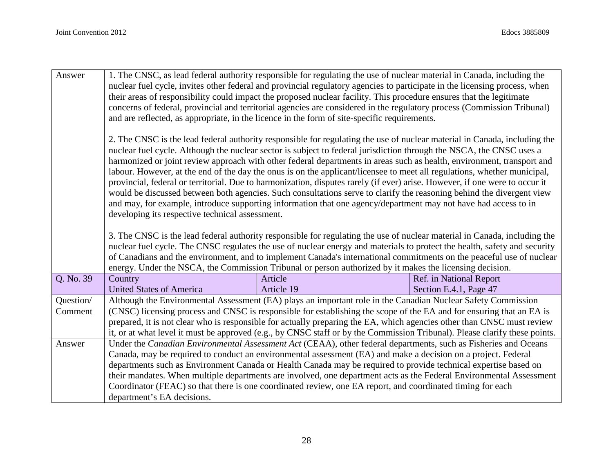| Answer    | 1. The CNSC, as lead federal authority responsible for regulating the use of nuclear material in Canada, including the<br>nuclear fuel cycle, invites other federal and provincial regulatory agencies to participate in the licensing process, when<br>their areas of responsibility could impact the proposed nuclear facility. This procedure ensures that the legitimate<br>concerns of federal, provincial and territorial agencies are considered in the regulatory process (Commission Tribunal)<br>and are reflected, as appropriate, in the licence in the form of site-specific requirements.                                                                                                                                                                                                                                                                                                                               |                                                                                                                                                                                                                                                                                                                                                                                                                                                                                            |                                |  |
|-----------|---------------------------------------------------------------------------------------------------------------------------------------------------------------------------------------------------------------------------------------------------------------------------------------------------------------------------------------------------------------------------------------------------------------------------------------------------------------------------------------------------------------------------------------------------------------------------------------------------------------------------------------------------------------------------------------------------------------------------------------------------------------------------------------------------------------------------------------------------------------------------------------------------------------------------------------|--------------------------------------------------------------------------------------------------------------------------------------------------------------------------------------------------------------------------------------------------------------------------------------------------------------------------------------------------------------------------------------------------------------------------------------------------------------------------------------------|--------------------------------|--|
|           | 2. The CNSC is the lead federal authority responsible for regulating the use of nuclear material in Canada, including the<br>nuclear fuel cycle. Although the nuclear sector is subject to federal jurisdiction through the NSCA, the CNSC uses a<br>harmonized or joint review approach with other federal departments in areas such as health, environment, transport and<br>labour. However, at the end of the day the onus is on the applicant/licensee to meet all regulations, whether municipal,<br>provincial, federal or territorial. Due to harmonization, disputes rarely (if ever) arise. However, if one were to occur it<br>would be discussed between both agencies. Such consultations serve to clarify the reasoning behind the divergent view<br>and may, for example, introduce supporting information that one agency/department may not have had access to in<br>developing its respective technical assessment. |                                                                                                                                                                                                                                                                                                                                                                                                                                                                                            |                                |  |
|           |                                                                                                                                                                                                                                                                                                                                                                                                                                                                                                                                                                                                                                                                                                                                                                                                                                                                                                                                       | 3. The CNSC is the lead federal authority responsible for regulating the use of nuclear material in Canada, including the<br>nuclear fuel cycle. The CNSC regulates the use of nuclear energy and materials to protect the health, safety and security<br>of Canadians and the environment, and to implement Canada's international commitments on the peaceful use of nuclear<br>energy. Under the NSCA, the Commission Tribunal or person authorized by it makes the licensing decision. |                                |  |
| Q. No. 39 | Country                                                                                                                                                                                                                                                                                                                                                                                                                                                                                                                                                                                                                                                                                                                                                                                                                                                                                                                               | Article                                                                                                                                                                                                                                                                                                                                                                                                                                                                                    | <b>Ref.</b> in National Report |  |
|           | <b>United States of America</b>                                                                                                                                                                                                                                                                                                                                                                                                                                                                                                                                                                                                                                                                                                                                                                                                                                                                                                       | Article 19                                                                                                                                                                                                                                                                                                                                                                                                                                                                                 | Section E.4.1, Page 47         |  |
| Question/ |                                                                                                                                                                                                                                                                                                                                                                                                                                                                                                                                                                                                                                                                                                                                                                                                                                                                                                                                       | Although the Environmental Assessment (EA) plays an important role in the Canadian Nuclear Safety Commission                                                                                                                                                                                                                                                                                                                                                                               |                                |  |
| Comment   |                                                                                                                                                                                                                                                                                                                                                                                                                                                                                                                                                                                                                                                                                                                                                                                                                                                                                                                                       | (CNSC) licensing process and CNSC is responsible for establishing the scope of the EA and for ensuring that an EA is                                                                                                                                                                                                                                                                                                                                                                       |                                |  |
|           |                                                                                                                                                                                                                                                                                                                                                                                                                                                                                                                                                                                                                                                                                                                                                                                                                                                                                                                                       | prepared, it is not clear who is responsible for actually preparing the EA, which agencies other than CNSC must review                                                                                                                                                                                                                                                                                                                                                                     |                                |  |
| Answer    |                                                                                                                                                                                                                                                                                                                                                                                                                                                                                                                                                                                                                                                                                                                                                                                                                                                                                                                                       | it, or at what level it must be approved (e.g., by CNSC staff or by the Commission Tribunal). Please clarify these points.<br>Under the Canadian Environmental Assessment Act (CEAA), other federal departments, such as Fisheries and Oceans                                                                                                                                                                                                                                              |                                |  |
|           |                                                                                                                                                                                                                                                                                                                                                                                                                                                                                                                                                                                                                                                                                                                                                                                                                                                                                                                                       | Canada, may be required to conduct an environmental assessment (EA) and make a decision on a project. Federal                                                                                                                                                                                                                                                                                                                                                                              |                                |  |
|           |                                                                                                                                                                                                                                                                                                                                                                                                                                                                                                                                                                                                                                                                                                                                                                                                                                                                                                                                       | departments such as Environment Canada or Health Canada may be required to provide technical expertise based on                                                                                                                                                                                                                                                                                                                                                                            |                                |  |
|           |                                                                                                                                                                                                                                                                                                                                                                                                                                                                                                                                                                                                                                                                                                                                                                                                                                                                                                                                       | their mandates. When multiple departments are involved, one department acts as the Federal Environmental Assessment                                                                                                                                                                                                                                                                                                                                                                        |                                |  |
|           |                                                                                                                                                                                                                                                                                                                                                                                                                                                                                                                                                                                                                                                                                                                                                                                                                                                                                                                                       | Coordinator (FEAC) so that there is one coordinated review, one EA report, and coordinated timing for each                                                                                                                                                                                                                                                                                                                                                                                 |                                |  |
|           | department's EA decisions.                                                                                                                                                                                                                                                                                                                                                                                                                                                                                                                                                                                                                                                                                                                                                                                                                                                                                                            |                                                                                                                                                                                                                                                                                                                                                                                                                                                                                            |                                |  |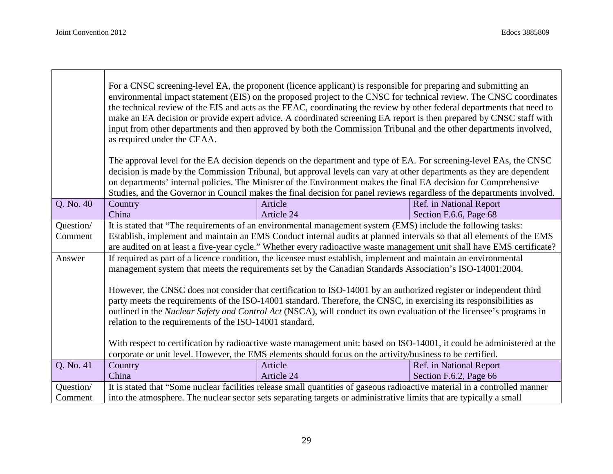|           | For a CNSC screening-level EA, the proponent (licence applicant) is responsible for preparing and submitting an<br>environmental impact statement (EIS) on the proposed project to the CNSC for technical review. The CNSC coordinates<br>the technical review of the EIS and acts as the FEAC, coordinating the review by other federal departments that need to<br>make an EA decision or provide expert advice. A coordinated screening EA report is then prepared by CNSC staff with<br>input from other departments and then approved by both the Commission Tribunal and the other departments involved,<br>as required under the CEAA. |                                                                                                                                                                                                                                            |                         |
|-----------|-----------------------------------------------------------------------------------------------------------------------------------------------------------------------------------------------------------------------------------------------------------------------------------------------------------------------------------------------------------------------------------------------------------------------------------------------------------------------------------------------------------------------------------------------------------------------------------------------------------------------------------------------|--------------------------------------------------------------------------------------------------------------------------------------------------------------------------------------------------------------------------------------------|-------------------------|
|           |                                                                                                                                                                                                                                                                                                                                                                                                                                                                                                                                                                                                                                               | The approval level for the EA decision depends on the department and type of EA. For screening-level EAs, the CNSC<br>decision is made by the Commission Tribunal, but approval levels can vary at other departments as they are dependent |                         |
|           |                                                                                                                                                                                                                                                                                                                                                                                                                                                                                                                                                                                                                                               | on departments' internal policies. The Minister of the Environment makes the final EA decision for Comprehensive                                                                                                                           |                         |
|           |                                                                                                                                                                                                                                                                                                                                                                                                                                                                                                                                                                                                                                               | Studies, and the Governor in Council makes the final decision for panel reviews regardless of the departments involved.                                                                                                                    |                         |
| Q. No. 40 | Country                                                                                                                                                                                                                                                                                                                                                                                                                                                                                                                                                                                                                                       | Article                                                                                                                                                                                                                                    | Ref. in National Report |
|           | China                                                                                                                                                                                                                                                                                                                                                                                                                                                                                                                                                                                                                                         | Article 24                                                                                                                                                                                                                                 | Section F.6.6, Page 68  |
| Question/ |                                                                                                                                                                                                                                                                                                                                                                                                                                                                                                                                                                                                                                               | It is stated that "The requirements of an environmental management system (EMS) include the following tasks:                                                                                                                               |                         |
| Comment   |                                                                                                                                                                                                                                                                                                                                                                                                                                                                                                                                                                                                                                               | Establish, implement and maintain an EMS Conduct internal audits at planned intervals so that all elements of the EMS                                                                                                                      |                         |
|           |                                                                                                                                                                                                                                                                                                                                                                                                                                                                                                                                                                                                                                               | are audited on at least a five-year cycle." Whether every radioactive waste management unit shall have EMS certificate?                                                                                                                    |                         |
| Answer    | If required as part of a licence condition, the licensee must establish, implement and maintain an environmental<br>management system that meets the requirements set by the Canadian Standards Association's ISO-14001:2004.                                                                                                                                                                                                                                                                                                                                                                                                                 |                                                                                                                                                                                                                                            |                         |
|           |                                                                                                                                                                                                                                                                                                                                                                                                                                                                                                                                                                                                                                               |                                                                                                                                                                                                                                            |                         |
|           | However, the CNSC does not consider that certification to ISO-14001 by an authorized register or independent third                                                                                                                                                                                                                                                                                                                                                                                                                                                                                                                            |                                                                                                                                                                                                                                            |                         |
|           |                                                                                                                                                                                                                                                                                                                                                                                                                                                                                                                                                                                                                                               | party meets the requirements of the ISO-14001 standard. Therefore, the CNSC, in exercising its responsibilities as                                                                                                                         |                         |
|           |                                                                                                                                                                                                                                                                                                                                                                                                                                                                                                                                                                                                                                               | outlined in the Nuclear Safety and Control Act (NSCA), will conduct its own evaluation of the licensee's programs in                                                                                                                       |                         |
|           | relation to the requirements of the ISO-14001 standard.                                                                                                                                                                                                                                                                                                                                                                                                                                                                                                                                                                                       |                                                                                                                                                                                                                                            |                         |
|           |                                                                                                                                                                                                                                                                                                                                                                                                                                                                                                                                                                                                                                               |                                                                                                                                                                                                                                            |                         |
|           |                                                                                                                                                                                                                                                                                                                                                                                                                                                                                                                                                                                                                                               | With respect to certification by radioactive waste management unit: based on ISO-14001, it could be administered at the                                                                                                                    |                         |
|           |                                                                                                                                                                                                                                                                                                                                                                                                                                                                                                                                                                                                                                               | corporate or unit level. However, the EMS elements should focus on the activity/business to be certified.                                                                                                                                  |                         |
| Q. No. 41 | Country                                                                                                                                                                                                                                                                                                                                                                                                                                                                                                                                                                                                                                       | Article                                                                                                                                                                                                                                    | Ref. in National Report |
|           | China                                                                                                                                                                                                                                                                                                                                                                                                                                                                                                                                                                                                                                         | Article 24                                                                                                                                                                                                                                 | Section F.6.2, Page 66  |
| Question/ | It is stated that "Some nuclear facilities release small quantities of gaseous radioactive material in a controlled manner                                                                                                                                                                                                                                                                                                                                                                                                                                                                                                                    |                                                                                                                                                                                                                                            |                         |
| Comment   | into the atmosphere. The nuclear sector sets separating targets or administrative limits that are typically a small                                                                                                                                                                                                                                                                                                                                                                                                                                                                                                                           |                                                                                                                                                                                                                                            |                         |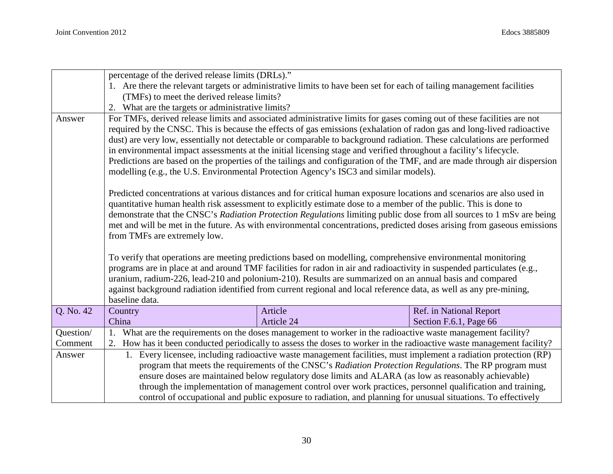|           | percentage of the derived release limits (DRLs)."                                                                                                                                                                                                                                                                                                                                                                                                                                                                                                                                                                                                                                                                                                                                                                                                                                                                                                                                                                           |                                                                                                                       |                         |
|-----------|-----------------------------------------------------------------------------------------------------------------------------------------------------------------------------------------------------------------------------------------------------------------------------------------------------------------------------------------------------------------------------------------------------------------------------------------------------------------------------------------------------------------------------------------------------------------------------------------------------------------------------------------------------------------------------------------------------------------------------------------------------------------------------------------------------------------------------------------------------------------------------------------------------------------------------------------------------------------------------------------------------------------------------|-----------------------------------------------------------------------------------------------------------------------|-------------------------|
|           |                                                                                                                                                                                                                                                                                                                                                                                                                                                                                                                                                                                                                                                                                                                                                                                                                                                                                                                                                                                                                             | 1. Are there the relevant targets or administrative limits to have been set for each of tailing management facilities |                         |
|           | (TMFs) to meet the derived release limits?                                                                                                                                                                                                                                                                                                                                                                                                                                                                                                                                                                                                                                                                                                                                                                                                                                                                                                                                                                                  |                                                                                                                       |                         |
|           | 2. What are the targets or administrative limits?                                                                                                                                                                                                                                                                                                                                                                                                                                                                                                                                                                                                                                                                                                                                                                                                                                                                                                                                                                           |                                                                                                                       |                         |
| Answer    | For TMFs, derived release limits and associated administrative limits for gases coming out of these facilities are not<br>required by the CNSC. This is because the effects of gas emissions (exhalation of radon gas and long-lived radioactive<br>dust) are very low, essentially not detectable or comparable to background radiation. These calculations are performed<br>in environmental impact assessments at the initial licensing stage and verified throughout a facility's lifecycle.<br>Predictions are based on the properties of the tailings and configuration of the TMF, and are made through air dispersion<br>modelling (e.g., the U.S. Environmental Protection Agency's ISC3 and similar models).                                                                                                                                                                                                                                                                                                      |                                                                                                                       |                         |
|           | Predicted concentrations at various distances and for critical human exposure locations and scenarios are also used in<br>quantitative human health risk assessment to explicitly estimate dose to a member of the public. This is done to<br>demonstrate that the CNSC's Radiation Protection Regulations limiting public dose from all sources to 1 mSv are being<br>met and will be met in the future. As with environmental concentrations, predicted doses arising from gaseous emissions<br>from TMFs are extremely low.<br>To verify that operations are meeting predictions based on modelling, comprehensive environmental monitoring<br>programs are in place at and around TMF facilities for radon in air and radioactivity in suspended particulates (e.g.,<br>uranium, radium-226, lead-210 and polonium-210). Results are summarized on an annual basis and compared<br>against background radiation identified from current regional and local reference data, as well as any pre-mining,<br>baseline data. |                                                                                                                       |                         |
| Q. No. 42 | Country                                                                                                                                                                                                                                                                                                                                                                                                                                                                                                                                                                                                                                                                                                                                                                                                                                                                                                                                                                                                                     | Article                                                                                                               | Ref. in National Report |
|           | China                                                                                                                                                                                                                                                                                                                                                                                                                                                                                                                                                                                                                                                                                                                                                                                                                                                                                                                                                                                                                       | Article 24                                                                                                            | Section F.6.1, Page 66  |
| Question/ |                                                                                                                                                                                                                                                                                                                                                                                                                                                                                                                                                                                                                                                                                                                                                                                                                                                                                                                                                                                                                             | What are the requirements on the doses management to worker in the radioactive waste management facility?             |                         |
| Comment   |                                                                                                                                                                                                                                                                                                                                                                                                                                                                                                                                                                                                                                                                                                                                                                                                                                                                                                                                                                                                                             | 2. How has it been conducted periodically to assess the doses to worker in the radioactive waste management facility? |                         |
| Answer    |                                                                                                                                                                                                                                                                                                                                                                                                                                                                                                                                                                                                                                                                                                                                                                                                                                                                                                                                                                                                                             | 1. Every licensee, including radioactive waste management facilities, must implement a radiation protection (RP)      |                         |
|           |                                                                                                                                                                                                                                                                                                                                                                                                                                                                                                                                                                                                                                                                                                                                                                                                                                                                                                                                                                                                                             | program that meets the requirements of the CNSC's Radiation Protection Regulations. The RP program must               |                         |
|           |                                                                                                                                                                                                                                                                                                                                                                                                                                                                                                                                                                                                                                                                                                                                                                                                                                                                                                                                                                                                                             | ensure doses are maintained below regulatory dose limits and ALARA (as low as reasonably achievable)                  |                         |
|           |                                                                                                                                                                                                                                                                                                                                                                                                                                                                                                                                                                                                                                                                                                                                                                                                                                                                                                                                                                                                                             | through the implementation of management control over work practices, personnel qualification and training,           |                         |
|           |                                                                                                                                                                                                                                                                                                                                                                                                                                                                                                                                                                                                                                                                                                                                                                                                                                                                                                                                                                                                                             | control of occupational and public exposure to radiation, and planning for unusual situations. To effectively         |                         |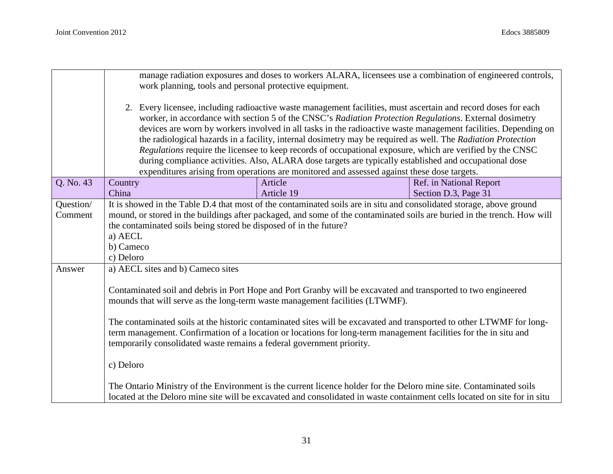|           | manage radiation exposures and doses to workers ALARA, licensees use a combination of engineered controls,<br>work planning, tools and personal protective equipment. |                                                                                                                           |                         |
|-----------|-----------------------------------------------------------------------------------------------------------------------------------------------------------------------|---------------------------------------------------------------------------------------------------------------------------|-------------------------|
|           | 2. Every licensee, including radioactive waste management facilities, must ascertain and record doses for each                                                        |                                                                                                                           |                         |
|           |                                                                                                                                                                       | worker, in accordance with section 5 of the CNSC's Radiation Protection Regulations. External dosimetry                   |                         |
|           |                                                                                                                                                                       | devices are worn by workers involved in all tasks in the radioactive waste management facilities. Depending on            |                         |
|           |                                                                                                                                                                       | the radiological hazards in a facility, internal dosimetry may be required as well. The Radiation Protection              |                         |
|           |                                                                                                                                                                       | Regulations require the licensee to keep records of occupational exposure, which are verified by the CNSC                 |                         |
|           |                                                                                                                                                                       | during compliance activities. Also, ALARA dose targets are typically established and occupational dose                    |                         |
|           |                                                                                                                                                                       | expenditures arising from operations are monitored and assessed against these dose targets.                               |                         |
| Q. No. 43 | Country                                                                                                                                                               | Article                                                                                                                   | Ref. in National Report |
|           | China                                                                                                                                                                 | Article 19                                                                                                                | Section D.3, Page 31    |
| Question/ |                                                                                                                                                                       | It is showed in the Table D.4 that most of the contaminated soils are in situ and consolidated storage, above ground      |                         |
| Comment   |                                                                                                                                                                       | mound, or stored in the buildings after packaged, and some of the contaminated soils are buried in the trench. How will   |                         |
|           | the contaminated soils being stored be disposed of in the future?                                                                                                     |                                                                                                                           |                         |
|           | a) AECL                                                                                                                                                               |                                                                                                                           |                         |
|           | b) Cameco                                                                                                                                                             |                                                                                                                           |                         |
| Answer    | c) Deloro                                                                                                                                                             |                                                                                                                           |                         |
|           | a) AECL sites and b) Cameco sites                                                                                                                                     |                                                                                                                           |                         |
|           | Contaminated soil and debris in Port Hope and Port Granby will be excavated and transported to two engineered                                                         |                                                                                                                           |                         |
|           | mounds that will serve as the long-term waste management facilities (LTWMF).                                                                                          |                                                                                                                           |                         |
|           |                                                                                                                                                                       |                                                                                                                           |                         |
|           |                                                                                                                                                                       | The contaminated soils at the historic contaminated sites will be excavated and transported to other LTWMF for long-      |                         |
|           |                                                                                                                                                                       | term management. Confirmation of a location or locations for long-term management facilities for the in situ and          |                         |
|           | temporarily consolidated waste remains a federal government priority.                                                                                                 |                                                                                                                           |                         |
|           |                                                                                                                                                                       |                                                                                                                           |                         |
|           | c) Deloro                                                                                                                                                             |                                                                                                                           |                         |
|           |                                                                                                                                                                       |                                                                                                                           |                         |
|           |                                                                                                                                                                       | The Ontario Ministry of the Environment is the current licence holder for the Deloro mine site. Contaminated soils        |                         |
|           |                                                                                                                                                                       | located at the Deloro mine site will be excavated and consolidated in waste containment cells located on site for in situ |                         |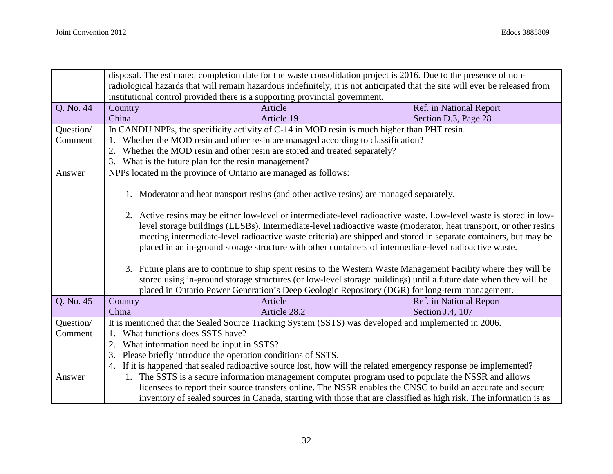|           | disposal. The estimated completion date for the waste consolidation project is 2016. Due to the presence of non-             |                                                                                                                    |                         |  |
|-----------|------------------------------------------------------------------------------------------------------------------------------|--------------------------------------------------------------------------------------------------------------------|-------------------------|--|
|           | radiological hazards that will remain hazardous indefinitely, it is not anticipated that the site will ever be released from |                                                                                                                    |                         |  |
|           | institutional control provided there is a supporting provincial government.                                                  |                                                                                                                    |                         |  |
| Q. No. 44 | Country                                                                                                                      | Article                                                                                                            | Ref. in National Report |  |
|           | China                                                                                                                        | Article 19                                                                                                         | Section D.3, Page 28    |  |
| Question/ | In CANDU NPPs, the specificity activity of C-14 in MOD resin is much higher than PHT resin.                                  |                                                                                                                    |                         |  |
| Comment   |                                                                                                                              | Whether the MOD resin and other resin are managed according to classification?                                     |                         |  |
|           | 2. Whether the MOD resin and other resin are stored and treated separately?                                                  |                                                                                                                    |                         |  |
|           | 3. What is the future plan for the resin management?                                                                         |                                                                                                                    |                         |  |
| Answer    | NPPs located in the province of Ontario are managed as follows:                                                              |                                                                                                                    |                         |  |
|           |                                                                                                                              |                                                                                                                    |                         |  |
|           |                                                                                                                              | 1. Moderator and heat transport resins (and other active resins) are managed separately.                           |                         |  |
|           |                                                                                                                              |                                                                                                                    |                         |  |
|           | 2. Active resins may be either low-level or intermediate-level radioactive waste. Low-level waste is stored in low-          |                                                                                                                    |                         |  |
|           | level storage buildings (LLSBs). Intermediate-level radioactive waste (moderator, heat transport, or other resins            |                                                                                                                    |                         |  |
|           | meeting intermediate-level radioactive waste criteria) are shipped and stored in separate containers, but may be             |                                                                                                                    |                         |  |
|           | placed in an in-ground storage structure with other containers of intermediate-level radioactive waste.                      |                                                                                                                    |                         |  |
|           |                                                                                                                              |                                                                                                                    |                         |  |
|           | 3. Future plans are to continue to ship spent resins to the Western Waste Management Facility where they will be             |                                                                                                                    |                         |  |
|           |                                                                                                                              | stored using in-ground storage structures (or low-level storage buildings) until a future date when they will be   |                         |  |
|           |                                                                                                                              | placed in Ontario Power Generation's Deep Geologic Repository (DGR) for long-term management.                      |                         |  |
| Q. No. 45 | Country                                                                                                                      | Article                                                                                                            | Ref. in National Report |  |
|           | China                                                                                                                        | Article 28.2                                                                                                       | Section J.4, 107        |  |
| Question/ |                                                                                                                              | It is mentioned that the Sealed Source Tracking System (SSTS) was developed and implemented in 2006.               |                         |  |
| Comment   | What functions does SSTS have?                                                                                               |                                                                                                                    |                         |  |
|           | What information need be input in SSTS?<br>2.                                                                                |                                                                                                                    |                         |  |
|           | Please briefly introduce the operation conditions of SSTS.<br>3.                                                             |                                                                                                                    |                         |  |
|           |                                                                                                                              | 4. If it is happened that sealed radioactive source lost, how will the related emergency response be implemented?  |                         |  |
| Answer    |                                                                                                                              | 1. The SSTS is a secure information management computer program used to populate the NSSR and allows               |                         |  |
|           |                                                                                                                              | licensees to report their source transfers online. The NSSR enables the CNSC to build an accurate and secure       |                         |  |
|           |                                                                                                                              | inventory of sealed sources in Canada, starting with those that are classified as high risk. The information is as |                         |  |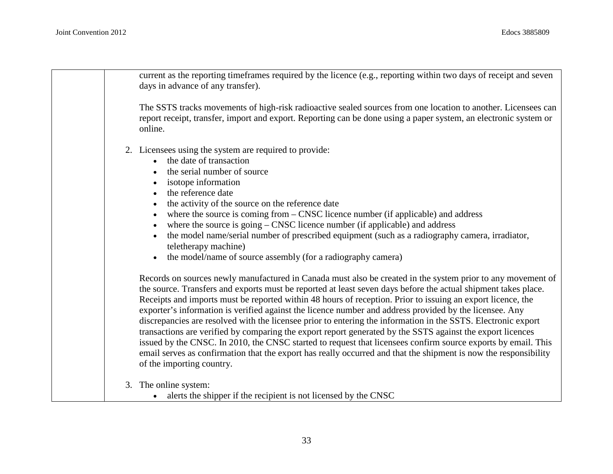| current as the reporting timeframes required by the licence (e.g., reporting within two days of receipt and seven<br>days in advance of any transfer).                                                                                                                                                                                                                                                                                                                                                                                                                                                                                                                                                                                                                                                                                                                                                                                                   |
|----------------------------------------------------------------------------------------------------------------------------------------------------------------------------------------------------------------------------------------------------------------------------------------------------------------------------------------------------------------------------------------------------------------------------------------------------------------------------------------------------------------------------------------------------------------------------------------------------------------------------------------------------------------------------------------------------------------------------------------------------------------------------------------------------------------------------------------------------------------------------------------------------------------------------------------------------------|
| The SSTS tracks movements of high-risk radioactive sealed sources from one location to another. Licensees can<br>report receipt, transfer, import and export. Reporting can be done using a paper system, an electronic system or<br>online.                                                                                                                                                                                                                                                                                                                                                                                                                                                                                                                                                                                                                                                                                                             |
| 2. Licensees using the system are required to provide:<br>the date of transaction<br>the serial number of source<br>isotope information<br>the reference date<br>the activity of the source on the reference date<br>where the source is coming from – CNSC licence number (if applicable) and address<br>where the source is $g\text{oing} - \text{CNSC}$ licence number (if applicable) and address<br>the model name/serial number of prescribed equipment (such as a radiography camera, irradiator,<br>teletherapy machine)<br>the model/name of source assembly (for a radiography camera)                                                                                                                                                                                                                                                                                                                                                         |
| Records on sources newly manufactured in Canada must also be created in the system prior to any movement of<br>the source. Transfers and exports must be reported at least seven days before the actual shipment takes place.<br>Receipts and imports must be reported within 48 hours of reception. Prior to issuing an export licence, the<br>exporter's information is verified against the licence number and address provided by the licensee. Any<br>discrepancies are resolved with the licensee prior to entering the information in the SSTS. Electronic export<br>transactions are verified by comparing the export report generated by the SSTS against the export licences<br>issued by the CNSC. In 2010, the CNSC started to request that licensees confirm source exports by email. This<br>email serves as confirmation that the export has really occurred and that the shipment is now the responsibility<br>of the importing country. |
| The online system:<br>3.<br>alerts the shipper if the recipient is not licensed by the CNSC                                                                                                                                                                                                                                                                                                                                                                                                                                                                                                                                                                                                                                                                                                                                                                                                                                                              |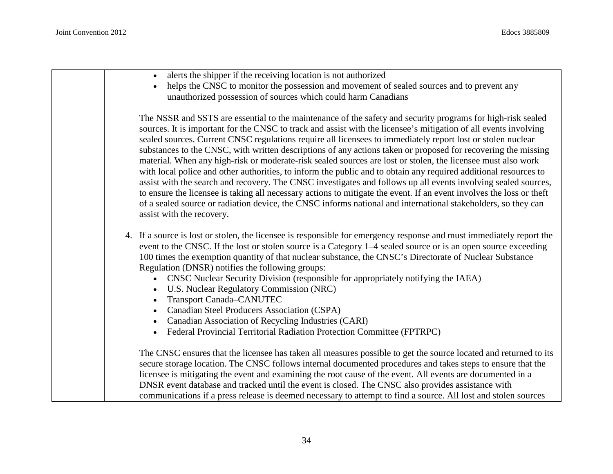| alerts the shipper if the receiving location is not authorized                                                                                                                                                                                                                                                                                                                                                                                                                                                                                                                                                                                                                                                                                                                                                                                                                                                                                                                                                                                                                              |
|---------------------------------------------------------------------------------------------------------------------------------------------------------------------------------------------------------------------------------------------------------------------------------------------------------------------------------------------------------------------------------------------------------------------------------------------------------------------------------------------------------------------------------------------------------------------------------------------------------------------------------------------------------------------------------------------------------------------------------------------------------------------------------------------------------------------------------------------------------------------------------------------------------------------------------------------------------------------------------------------------------------------------------------------------------------------------------------------|
| helps the CNSC to monitor the possession and movement of sealed sources and to prevent any                                                                                                                                                                                                                                                                                                                                                                                                                                                                                                                                                                                                                                                                                                                                                                                                                                                                                                                                                                                                  |
| unauthorized possession of sources which could harm Canadians                                                                                                                                                                                                                                                                                                                                                                                                                                                                                                                                                                                                                                                                                                                                                                                                                                                                                                                                                                                                                               |
| The NSSR and SSTS are essential to the maintenance of the safety and security programs for high-risk sealed<br>sources. It is important for the CNSC to track and assist with the licensee's mitigation of all events involving<br>sealed sources. Current CNSC regulations require all licensees to immediately report lost or stolen nuclear<br>substances to the CNSC, with written descriptions of any actions taken or proposed for recovering the missing<br>material. When any high-risk or moderate-risk sealed sources are lost or stolen, the licensee must also work<br>with local police and other authorities, to inform the public and to obtain any required additional resources to<br>assist with the search and recovery. The CNSC investigates and follows up all events involving sealed sources,<br>to ensure the licensee is taking all necessary actions to mitigate the event. If an event involves the loss or theft<br>of a sealed source or radiation device, the CNSC informs national and international stakeholders, so they can<br>assist with the recovery. |
| 4. If a source is lost or stolen, the licensee is responsible for emergency response and must immediately report the<br>event to the CNSC. If the lost or stolen source is a Category 1–4 sealed source or is an open source exceeding<br>100 times the exemption quantity of that nuclear substance, the CNSC's Directorate of Nuclear Substance<br>Regulation (DNSR) notifies the following groups:<br>CNSC Nuclear Security Division (responsible for appropriately notifying the IAEA)<br>U.S. Nuclear Regulatory Commission (NRC)<br>$\bullet$<br>Transport Canada-CANUTEC<br>Canadian Steel Producers Association (CSPA)<br>Canadian Association of Recycling Industries (CARI)<br>Federal Provincial Territorial Radiation Protection Committee (FPTRPC)                                                                                                                                                                                                                                                                                                                             |
| The CNSC ensures that the licensee has taken all measures possible to get the source located and returned to its<br>secure storage location. The CNSC follows internal documented procedures and takes steps to ensure that the<br>licensee is mitigating the event and examining the root cause of the event. All events are documented in a<br>DNSR event database and tracked until the event is closed. The CNSC also provides assistance with<br>communications if a press release is deemed necessary to attempt to find a source. All lost and stolen sources                                                                                                                                                                                                                                                                                                                                                                                                                                                                                                                        |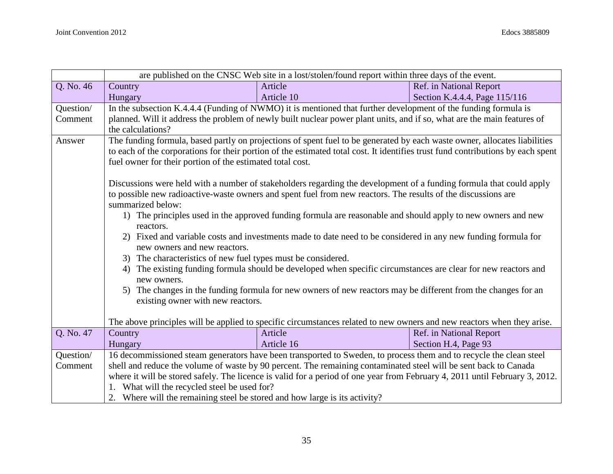|           | are published on the CNSC Web site in a lost/stolen/found report within three days of the event.                             |                                                                                                                                 |                               |
|-----------|------------------------------------------------------------------------------------------------------------------------------|---------------------------------------------------------------------------------------------------------------------------------|-------------------------------|
| Q. No. 46 | Country                                                                                                                      | Article                                                                                                                         | Ref. in National Report       |
|           | Hungary                                                                                                                      | Article 10                                                                                                                      | Section K.4.4.4, Page 115/116 |
| Question/ |                                                                                                                              | In the subsection K.4.4.4 (Funding of NWMO) it is mentioned that further development of the funding formula is                  |                               |
| Comment   |                                                                                                                              | planned. Will it address the problem of newly built nuclear power plant units, and if so, what are the main features of         |                               |
|           | the calculations?                                                                                                            |                                                                                                                                 |                               |
| Answer    | The funding formula, based partly on projections of spent fuel to be generated by each waste owner, allocates liabilities    |                                                                                                                                 |                               |
|           |                                                                                                                              | to each of the corporations for their portion of the estimated total cost. It identifies trust fund contributions by each spent |                               |
|           | fuel owner for their portion of the estimated total cost.                                                                    |                                                                                                                                 |                               |
|           |                                                                                                                              |                                                                                                                                 |                               |
|           |                                                                                                                              | Discussions were held with a number of stakeholders regarding the development of a funding formula that could apply             |                               |
|           |                                                                                                                              | to possible new radioactive-waste owners and spent fuel from new reactors. The results of the discussions are                   |                               |
|           | summarized below:                                                                                                            |                                                                                                                                 |                               |
|           | 1) The principles used in the approved funding formula are reasonable and should apply to new owners and new                 |                                                                                                                                 |                               |
|           | reactors.                                                                                                                    |                                                                                                                                 |                               |
|           | 2) Fixed and variable costs and investments made to date need to be considered in any new funding formula for                |                                                                                                                                 |                               |
|           | new owners and new reactors.                                                                                                 |                                                                                                                                 |                               |
|           | 3) The characteristics of new fuel types must be considered.                                                                 |                                                                                                                                 |                               |
|           | 4) The existing funding formula should be developed when specific circumstances are clear for new reactors and               |                                                                                                                                 |                               |
|           | new owners.<br>5) The changes in the funding formula for new owners of new reactors may be different from the changes for an |                                                                                                                                 |                               |
|           | existing owner with new reactors.                                                                                            |                                                                                                                                 |                               |
|           |                                                                                                                              |                                                                                                                                 |                               |
|           |                                                                                                                              | The above principles will be applied to specific circumstances related to new owners and new reactors when they arise.          |                               |
| Q. No. 47 | Country                                                                                                                      | Article                                                                                                                         | Ref. in National Report       |
|           | Hungary                                                                                                                      | Article 16                                                                                                                      | Section H.4, Page 93          |
| Question/ |                                                                                                                              | 16 decommissioned steam generators have been transported to Sweden, to process them and to recycle the clean steel              |                               |
| Comment   |                                                                                                                              | shell and reduce the volume of waste by 90 percent. The remaining contaminated steel will be sent back to Canada                |                               |
|           |                                                                                                                              | where it will be stored safely. The licence is valid for a period of one year from February 4, 2011 until February 3, 2012.     |                               |
|           | 1. What will the recycled steel be used for?                                                                                 |                                                                                                                                 |                               |
|           | 2. Where will the remaining steel be stored and how large is its activity?                                                   |                                                                                                                                 |                               |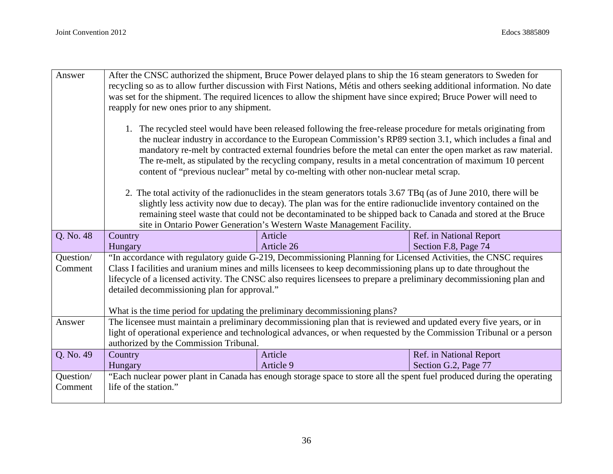| Answer               | After the CNSC authorized the shipment, Bruce Power delayed plans to ship the 16 steam generators to Sweden for<br>recycling so as to allow further discussion with First Nations, Métis and others seeking additional information. No date<br>was set for the shipment. The required licences to allow the shipment have since expired; Bruce Power will need to<br>reapply for new ones prior to any shipment.                                                                                                                                          |                                                                                                                      |                         |  |
|----------------------|-----------------------------------------------------------------------------------------------------------------------------------------------------------------------------------------------------------------------------------------------------------------------------------------------------------------------------------------------------------------------------------------------------------------------------------------------------------------------------------------------------------------------------------------------------------|----------------------------------------------------------------------------------------------------------------------|-------------------------|--|
|                      | 1. The recycled steel would have been released following the free-release procedure for metals originating from<br>the nuclear industry in accordance to the European Commission's RP89 section 3.1, which includes a final and<br>mandatory re-melt by contracted external foundries before the metal can enter the open market as raw material.<br>The re-melt, as stipulated by the recycling company, results in a metal concentration of maximum 10 percent<br>content of "previous nuclear" metal by co-melting with other non-nuclear metal scrap. |                                                                                                                      |                         |  |
|                      |                                                                                                                                                                                                                                                                                                                                                                                                                                                                                                                                                           | 2. The total activity of the radionuclides in the steam generators totals 3.67 TBq (as of June 2010, there will be   |                         |  |
|                      |                                                                                                                                                                                                                                                                                                                                                                                                                                                                                                                                                           | slightly less activity now due to decay). The plan was for the entire radionuclide inventory contained on the        |                         |  |
|                      | remaining steel waste that could not be decontaminated to be shipped back to Canada and stored at the Bruce<br>site in Ontario Power Generation's Western Waste Management Facility.                                                                                                                                                                                                                                                                                                                                                                      |                                                                                                                      |                         |  |
| Q. No. 48            | Ref. in National Report<br>Country<br>Article                                                                                                                                                                                                                                                                                                                                                                                                                                                                                                             |                                                                                                                      |                         |  |
|                      | Hungary                                                                                                                                                                                                                                                                                                                                                                                                                                                                                                                                                   | Article 26                                                                                                           | Section F.8, Page 74    |  |
| Question/<br>Comment | "In accordance with regulatory guide G-219, Decommissioning Planning for Licensed Activities, the CNSC requires<br>Class I facilities and uranium mines and mills licensees to keep decommissioning plans up to date throughout the<br>lifecycle of a licensed activity. The CNSC also requires licensees to prepare a preliminary decommissioning plan and<br>detailed decommissioning plan for approval."<br>What is the time period for updating the preliminary decommissioning plans?                                                                |                                                                                                                      |                         |  |
| Answer               |                                                                                                                                                                                                                                                                                                                                                                                                                                                                                                                                                           | The licensee must maintain a preliminary decommissioning plan that is reviewed and updated every five years, or in   |                         |  |
|                      |                                                                                                                                                                                                                                                                                                                                                                                                                                                                                                                                                           | light of operational experience and technological advances, or when requested by the Commission Tribunal or a person |                         |  |
|                      | authorized by the Commission Tribunal.                                                                                                                                                                                                                                                                                                                                                                                                                                                                                                                    |                                                                                                                      |                         |  |
| Q. No. 49            | Country                                                                                                                                                                                                                                                                                                                                                                                                                                                                                                                                                   | Article                                                                                                              | Ref. in National Report |  |
|                      | Hungary                                                                                                                                                                                                                                                                                                                                                                                                                                                                                                                                                   | Article 9                                                                                                            | Section G.2, Page 77    |  |
| Question/<br>Comment | "Each nuclear power plant in Canada has enough storage space to store all the spent fuel produced during the operating<br>life of the station."                                                                                                                                                                                                                                                                                                                                                                                                           |                                                                                                                      |                         |  |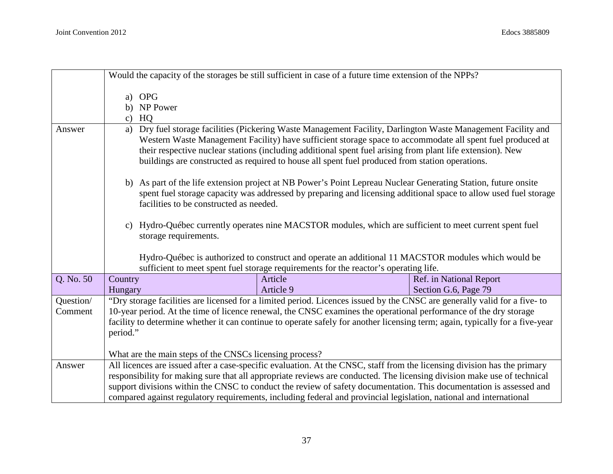|           |                                                                                                                                                                                                                                                                                                                                                                                                                                                 | Would the capacity of the storages be still sufficient in case of a future time extension of the NPPs?                                                                                                                                           |                         |
|-----------|-------------------------------------------------------------------------------------------------------------------------------------------------------------------------------------------------------------------------------------------------------------------------------------------------------------------------------------------------------------------------------------------------------------------------------------------------|--------------------------------------------------------------------------------------------------------------------------------------------------------------------------------------------------------------------------------------------------|-------------------------|
|           | <b>OPG</b><br>a)<br>b) NP Power<br>HQ<br>C)                                                                                                                                                                                                                                                                                                                                                                                                     |                                                                                                                                                                                                                                                  |                         |
| Answer    | Dry fuel storage facilities (Pickering Waste Management Facility, Darlington Waste Management Facility and<br>a)<br>Western Waste Management Facility) have sufficient storage space to accommodate all spent fuel produced at<br>their respective nuclear stations (including additional spent fuel arising from plant life extension). New<br>buildings are constructed as required to house all spent fuel produced from station operations. |                                                                                                                                                                                                                                                  |                         |
|           | facilities to be constructed as needed.                                                                                                                                                                                                                                                                                                                                                                                                         | b) As part of the life extension project at NB Power's Point Lepreau Nuclear Generating Station, future onsite<br>spent fuel storage capacity was addressed by preparing and licensing additional space to allow used fuel storage               |                         |
|           | c) Hydro-Québec currently operates nine MACSTOR modules, which are sufficient to meet current spent fuel<br>storage requirements.                                                                                                                                                                                                                                                                                                               |                                                                                                                                                                                                                                                  |                         |
|           |                                                                                                                                                                                                                                                                                                                                                                                                                                                 | Hydro-Québec is authorized to construct and operate an additional 11 MACSTOR modules which would be<br>sufficient to meet spent fuel storage requirements for the reactor's operating life.                                                      |                         |
| Q. No. 50 | Country                                                                                                                                                                                                                                                                                                                                                                                                                                         | Article                                                                                                                                                                                                                                          | Ref. in National Report |
|           | Hungary                                                                                                                                                                                                                                                                                                                                                                                                                                         | Article 9                                                                                                                                                                                                                                        | Section G.6, Page 79    |
| Question/ |                                                                                                                                                                                                                                                                                                                                                                                                                                                 | "Dry storage facilities are licensed for a limited period. Licences issued by the CNSC are generally valid for a five-to                                                                                                                         |                         |
| Comment   |                                                                                                                                                                                                                                                                                                                                                                                                                                                 | 10-year period. At the time of licence renewal, the CNSC examines the operational performance of the dry storage<br>facility to determine whether it can continue to operate safely for another licensing term; again, typically for a five-year |                         |
|           | period."                                                                                                                                                                                                                                                                                                                                                                                                                                        |                                                                                                                                                                                                                                                  |                         |
|           |                                                                                                                                                                                                                                                                                                                                                                                                                                                 |                                                                                                                                                                                                                                                  |                         |
| Answer    | What are the main steps of the CNSCs licensing process?                                                                                                                                                                                                                                                                                                                                                                                         | All licences are issued after a case-specific evaluation. At the CNSC, staff from the licensing division has the primary                                                                                                                         |                         |
|           |                                                                                                                                                                                                                                                                                                                                                                                                                                                 | responsibility for making sure that all appropriate reviews are conducted. The licensing division make use of technical                                                                                                                          |                         |
|           |                                                                                                                                                                                                                                                                                                                                                                                                                                                 | support divisions within the CNSC to conduct the review of safety documentation. This documentation is assessed and                                                                                                                              |                         |
|           |                                                                                                                                                                                                                                                                                                                                                                                                                                                 | compared against regulatory requirements, including federal and provincial legislation, national and international                                                                                                                               |                         |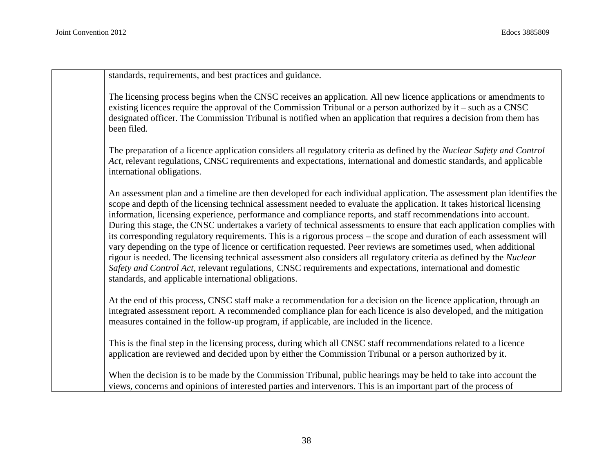standards, requirements, and best practices and guidance.

The licensing process begins when the CNSC receives an application. All new licence applications or amendments to existing licences require the approval of the Commission Tribunal or a person authorized by it – such as a CNSC designated officer. The Commission Tribunal is notified when an application that requires a decision from them has been filed.

The preparation of a licence application considers all regulatory criteria as defined by the *Nuclear Safety and Control Act,* relevant regulations, CNSC requirements and expectations, international and domestic standards, and applicable international obligations.

An assessment plan and a timeline are then developed for each individual application. The assessment plan identifies the scope and depth of the licensing technical assessment needed to evaluate the application. It takes historical licensing information, licensing experience, performance and compliance reports, and staff recommendations into account. During this stage, the CNSC undertakes a variety of technical assessments to ensure that each application complies with its corresponding regulatory requirements. This is a rigorous process – the scope and duration of each assessment will vary depending on the type of licence or certification requested. Peer reviews are sometimes used, when additional rigour is needed. The licensing technical assessment also considers all regulatory criteria as defined by the *Nuclear Safety and Control Act,* relevant regulations, CNSC requirements and expectations, international and domestic standards, and applicable international obligations.

At the end of this process, CNSC staff make a recommendation for a decision on the licence application, through an integrated assessment report. A recommended compliance plan for each licence is also developed, and the mitigation measures contained in the follow-up program, if applicable, are included in the licence.

This is the final step in the licensing process, during which all CNSC staff recommendations related to a licence application are reviewed and decided upon by either the Commission Tribunal or a person authorized by it.

When the decision is to be made by the Commission Tribunal, public hearings may be held to take into account the views, concerns and opinions of interested parties and intervenors. This is an important part of the process of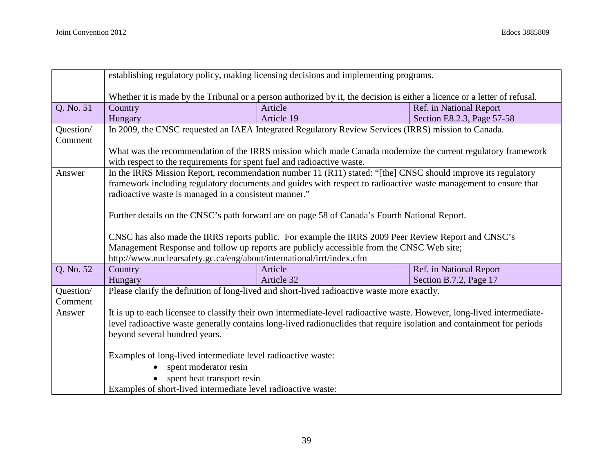|           | establishing regulatory policy, making licensing decisions and implementing programs.                                                                              |                                                                                                              |                            |
|-----------|--------------------------------------------------------------------------------------------------------------------------------------------------------------------|--------------------------------------------------------------------------------------------------------------|----------------------------|
|           | Whether it is made by the Tribunal or a person authorized by it, the decision is either a licence or a letter of refusal.                                          |                                                                                                              |                            |
| Q. No. 51 | Country                                                                                                                                                            | Article                                                                                                      | Ref. in National Report    |
|           | Hungary                                                                                                                                                            | Article 19                                                                                                   | Section E8.2.3, Page 57-58 |
| Question/ | In 2009, the CNSC requested an IAEA Integrated Regulatory Review Services (IRRS) mission to Canada.                                                                |                                                                                                              |                            |
| Comment   |                                                                                                                                                                    |                                                                                                              |                            |
|           | What was the recommendation of the IRRS mission which made Canada modernize the current regulatory framework                                                       |                                                                                                              |                            |
|           | with respect to the requirements for spent fuel and radioactive waste.                                                                                             |                                                                                                              |                            |
| Answer    |                                                                                                                                                                    | In the IRRS Mission Report, recommendation number 11 (R11) stated: "[the] CNSC should improve its regulatory |                            |
|           | framework including regulatory documents and guides with respect to radioactive waste management to ensure that                                                    |                                                                                                              |                            |
|           | radioactive waste is managed in a consistent manner."                                                                                                              |                                                                                                              |                            |
|           |                                                                                                                                                                    |                                                                                                              |                            |
|           | Further details on the CNSC's path forward are on page 58 of Canada's Fourth National Report.                                                                      |                                                                                                              |                            |
|           |                                                                                                                                                                    |                                                                                                              |                            |
|           | CNSC has also made the IRRS reports public. For example the IRRS 2009 Peer Review Report and CNSC's                                                                |                                                                                                              |                            |
|           | Management Response and follow up reports are publicly accessible from the CNSC Web site;<br>http://www.nuclearsafety.gc.ca/eng/about/international/irrt/index.cfm |                                                                                                              |                            |
| Q. No. 52 | Country                                                                                                                                                            | Article                                                                                                      | Ref. in National Report    |
|           | Hungary                                                                                                                                                            | Article 32                                                                                                   | Section B.7.2, Page 17     |
| Question/ | Please clarify the definition of long-lived and short-lived radioactive waste more exactly.                                                                        |                                                                                                              |                            |
| Comment   |                                                                                                                                                                    |                                                                                                              |                            |
| Answer    | It is up to each licensee to classify their own intermediate-level radioactive waste. However, long-lived intermediate-                                            |                                                                                                              |                            |
|           | level radioactive waste generally contains long-lived radionuclides that require isolation and containment for periods                                             |                                                                                                              |                            |
|           | beyond several hundred years.                                                                                                                                      |                                                                                                              |                            |
|           |                                                                                                                                                                    |                                                                                                              |                            |
|           | Examples of long-lived intermediate level radioactive waste:                                                                                                       |                                                                                                              |                            |
|           | spent moderator resin                                                                                                                                              |                                                                                                              |                            |
|           | spent heat transport resin                                                                                                                                         |                                                                                                              |                            |
|           | Examples of short-lived intermediate level radioactive waste:                                                                                                      |                                                                                                              |                            |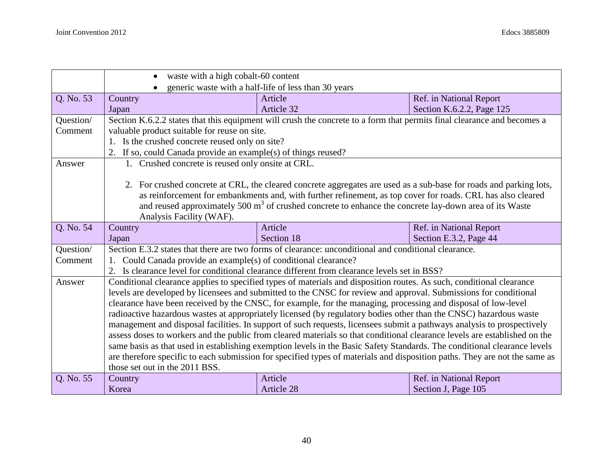|           | waste with a high cobalt-60 content                                                                                     |                                                                                                                            |                                                |
|-----------|-------------------------------------------------------------------------------------------------------------------------|----------------------------------------------------------------------------------------------------------------------------|------------------------------------------------|
|           | generic waste with a half-life of less than 30 years                                                                    |                                                                                                                            |                                                |
| Q. No. 53 | Country                                                                                                                 | Article                                                                                                                    | Ref. in National Report                        |
|           | Japan                                                                                                                   | Article 32                                                                                                                 | Section K.6.2.2, Page 125                      |
| Question/ | Section K.6.2.2 states that this equipment will crush the concrete to a form that permits final clearance and becomes a |                                                                                                                            |                                                |
| Comment   | valuable product suitable for reuse on site.                                                                            |                                                                                                                            |                                                |
|           | 1. Is the crushed concrete reused only on site?                                                                         |                                                                                                                            |                                                |
|           | 2. If so, could Canada provide an example(s) of things reused?                                                          |                                                                                                                            |                                                |
| Answer    | 1. Crushed concrete is reused only onsite at CRL.                                                                       |                                                                                                                            |                                                |
|           |                                                                                                                         |                                                                                                                            |                                                |
|           |                                                                                                                         | 2. For crushed concrete at CRL, the cleared concrete aggregates are used as a sub-base for roads and parking lots,         |                                                |
|           |                                                                                                                         | as reinforcement for embankments and, with further refinement, as top cover for roads. CRL has also cleared                |                                                |
|           |                                                                                                                         | and reused approximately 500 m <sup>3</sup> of crushed concrete to enhance the concrete lay-down area of its Waste         |                                                |
|           | Analysis Facility (WAF).                                                                                                |                                                                                                                            |                                                |
| Q. No. 54 | Country                                                                                                                 | Article                                                                                                                    | Ref. in National Report                        |
|           |                                                                                                                         |                                                                                                                            |                                                |
|           | Japan                                                                                                                   | Section 18                                                                                                                 | Section E.3.2, Page 44                         |
| Question/ |                                                                                                                         | Section E.3.2 states that there are two forms of clearance: unconditional and conditional clearance.                       |                                                |
| Comment   | Could Canada provide an example(s) of conditional clearance?                                                            |                                                                                                                            |                                                |
|           |                                                                                                                         | 2. Is clearance level for conditional clearance different from clearance levels set in BSS?                                |                                                |
| Answer    |                                                                                                                         | Conditional clearance applies to specified types of materials and disposition routes. As such, conditional clearance       |                                                |
|           |                                                                                                                         | levels are developed by licensees and submitted to the CNSC for review and approval. Submissions for conditional           |                                                |
|           |                                                                                                                         | clearance have been received by the CNSC, for example, for the managing, processing and disposal of low-level              |                                                |
|           |                                                                                                                         | radioactive hazardous wastes at appropriately licensed (by regulatory bodies other than the CNSC) hazardous waste          |                                                |
|           |                                                                                                                         | management and disposal facilities. In support of such requests, licensees submit a pathways analysis to prospectively     |                                                |
|           |                                                                                                                         | assess doses to workers and the public from cleared materials so that conditional clearance levels are established on the  |                                                |
|           |                                                                                                                         | same basis as that used in establishing exemption levels in the Basic Safety Standards. The conditional clearance levels   |                                                |
|           |                                                                                                                         | are therefore specific to each submission for specified types of materials and disposition paths. They are not the same as |                                                |
|           | those set out in the 2011 BSS.                                                                                          |                                                                                                                            |                                                |
| Q. No. 55 | Country<br>Korea                                                                                                        | Article<br>Article 28                                                                                                      | Ref. in National Report<br>Section J, Page 105 |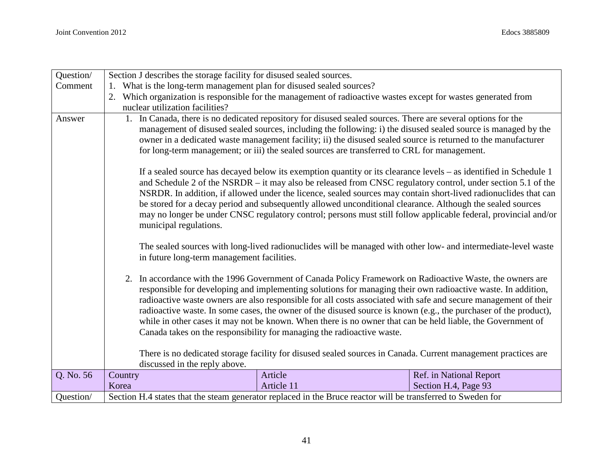| Question/ | Section J describes the storage facility for disused sealed sources.                                                                                                                                                                                                                                                                                                                                                                                                                                                                                                                                                                                                                                                                                                                                                                                                                                                                                                                                                                                          |                                                                                                               |                         |
|-----------|---------------------------------------------------------------------------------------------------------------------------------------------------------------------------------------------------------------------------------------------------------------------------------------------------------------------------------------------------------------------------------------------------------------------------------------------------------------------------------------------------------------------------------------------------------------------------------------------------------------------------------------------------------------------------------------------------------------------------------------------------------------------------------------------------------------------------------------------------------------------------------------------------------------------------------------------------------------------------------------------------------------------------------------------------------------|---------------------------------------------------------------------------------------------------------------|-------------------------|
| Comment   | What is the long-term management plan for disused sealed sources?                                                                                                                                                                                                                                                                                                                                                                                                                                                                                                                                                                                                                                                                                                                                                                                                                                                                                                                                                                                             |                                                                                                               |                         |
|           | nuclear utilization facilities?                                                                                                                                                                                                                                                                                                                                                                                                                                                                                                                                                                                                                                                                                                                                                                                                                                                                                                                                                                                                                               | Which organization is responsible for the management of radioactive wastes except for wastes generated from   |                         |
| Answer    | In Canada, there is no dedicated repository for disused sealed sources. There are several options for the<br>management of disused sealed sources, including the following: i) the disused sealed source is managed by the<br>owner in a dedicated waste management facility; ii) the disused sealed source is returned to the manufacturer<br>for long-term management; or iii) the sealed sources are transferred to CRL for management.<br>If a sealed source has decayed below its exemption quantity or its clearance levels – as identified in Schedule 1<br>and Schedule 2 of the NSRDR – it may also be released from CNSC regulatory control, under section 5.1 of the<br>NSRDR. In addition, if allowed under the licence, sealed sources may contain short-lived radionuclides that can<br>be stored for a decay period and subsequently allowed unconditional clearance. Although the sealed sources<br>may no longer be under CNSC regulatory control; persons must still follow applicable federal, provincial and/or<br>municipal regulations. |                                                                                                               |                         |
|           | The sealed sources with long-lived radionuclides will be managed with other low- and intermediate-level waste<br>in future long-term management facilities.<br>2. In accordance with the 1996 Government of Canada Policy Framework on Radioactive Waste, the owners are<br>responsible for developing and implementing solutions for managing their own radioactive waste. In addition,<br>radioactive waste owners are also responsible for all costs associated with safe and secure management of their<br>radioactive waste. In some cases, the owner of the disused source is known (e.g., the purchaser of the product),<br>while in other cases it may not be known. When there is no owner that can be held liable, the Government of<br>Canada takes on the responsibility for managing the radioactive waste.                                                                                                                                                                                                                                      |                                                                                                               |                         |
|           |                                                                                                                                                                                                                                                                                                                                                                                                                                                                                                                                                                                                                                                                                                                                                                                                                                                                                                                                                                                                                                                               |                                                                                                               |                         |
|           | discussed in the reply above.                                                                                                                                                                                                                                                                                                                                                                                                                                                                                                                                                                                                                                                                                                                                                                                                                                                                                                                                                                                                                                 | There is no dedicated storage facility for disused sealed sources in Canada. Current management practices are |                         |
| Q. No. 56 | Country                                                                                                                                                                                                                                                                                                                                                                                                                                                                                                                                                                                                                                                                                                                                                                                                                                                                                                                                                                                                                                                       | Article                                                                                                       | Ref. in National Report |
|           | Korea                                                                                                                                                                                                                                                                                                                                                                                                                                                                                                                                                                                                                                                                                                                                                                                                                                                                                                                                                                                                                                                         | Article 11                                                                                                    | Section H.4, Page 93    |
| Question/ | Section H.4 states that the steam generator replaced in the Bruce reactor will be transferred to Sweden for                                                                                                                                                                                                                                                                                                                                                                                                                                                                                                                                                                                                                                                                                                                                                                                                                                                                                                                                                   |                                                                                                               |                         |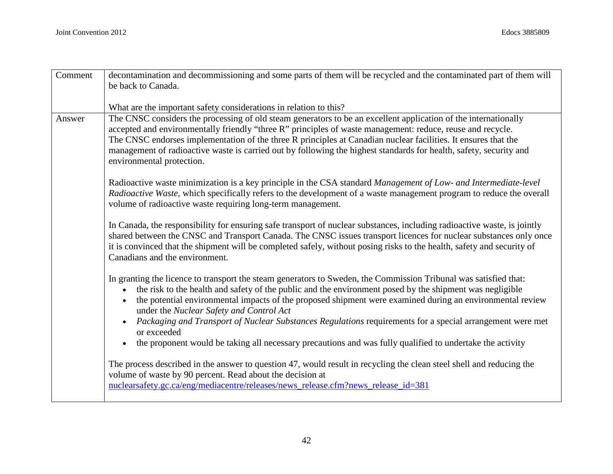| Comment | decontamination and decommissioning and some parts of them will be recycled and the contaminated part of them will                                                                                                                                                                                                                                                                                                                                                                                                                                                                                                                                                    |  |  |
|---------|-----------------------------------------------------------------------------------------------------------------------------------------------------------------------------------------------------------------------------------------------------------------------------------------------------------------------------------------------------------------------------------------------------------------------------------------------------------------------------------------------------------------------------------------------------------------------------------------------------------------------------------------------------------------------|--|--|
|         | be back to Canada.                                                                                                                                                                                                                                                                                                                                                                                                                                                                                                                                                                                                                                                    |  |  |
|         |                                                                                                                                                                                                                                                                                                                                                                                                                                                                                                                                                                                                                                                                       |  |  |
|         | What are the important safety considerations in relation to this?                                                                                                                                                                                                                                                                                                                                                                                                                                                                                                                                                                                                     |  |  |
| Answer  | The CNSC considers the processing of old steam generators to be an excellent application of the internationally<br>accepted and environmentally friendly "three R" principles of waste management: reduce, reuse and recycle.<br>The CNSC endorses implementation of the three R principles at Canadian nuclear facilities. It ensures that the<br>management of radioactive waste is carried out by following the highest standards for health, safety, security and<br>environmental protection.                                                                                                                                                                    |  |  |
|         | Radioactive waste minimization is a key principle in the CSA standard Management of Low- and Intermediate-level<br>Radioactive Waste, which specifically refers to the development of a waste management program to reduce the overall<br>volume of radioactive waste requiring long-term management.                                                                                                                                                                                                                                                                                                                                                                 |  |  |
|         | In Canada, the responsibility for ensuring safe transport of nuclear substances, including radioactive waste, is jointly<br>shared between the CNSC and Transport Canada. The CNSC issues transport licences for nuclear substances only once<br>it is convinced that the shipment will be completed safely, without posing risks to the health, safety and security of<br>Canadians and the environment.                                                                                                                                                                                                                                                             |  |  |
|         | In granting the licence to transport the steam generators to Sweden, the Commission Tribunal was satisfied that:<br>the risk to the health and safety of the public and the environment posed by the shipment was negligible<br>the potential environmental impacts of the proposed shipment were examined during an environmental review<br>$\bullet$<br>under the Nuclear Safety and Control Act<br>Packaging and Transport of Nuclear Substances Regulations requirements for a special arrangement were met<br>$\bullet$<br>or exceeded<br>the proponent would be taking all necessary precautions and was fully qualified to undertake the activity<br>$\bullet$ |  |  |
|         | The process described in the answer to question 47, would result in recycling the clean steel shell and reducing the<br>volume of waste by 90 percent. Read about the decision at<br>nuclearsafety.gc.ca/eng/mediacentre/releases/news_release.cfm?news_release_id=381                                                                                                                                                                                                                                                                                                                                                                                                |  |  |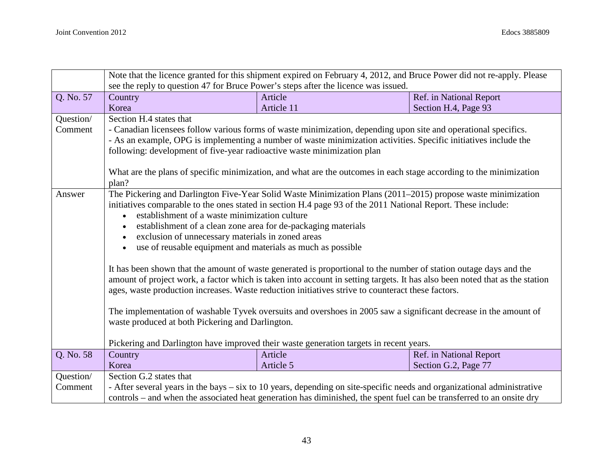|           | Note that the licence granted for this shipment expired on February 4, 2012, and Bruce Power did not re-apply. Please<br>see the reply to question 47 for Bruce Power's steps after the licence was issued. |                                                                                                                         |                         |
|-----------|-------------------------------------------------------------------------------------------------------------------------------------------------------------------------------------------------------------|-------------------------------------------------------------------------------------------------------------------------|-------------------------|
|           |                                                                                                                                                                                                             |                                                                                                                         |                         |
| Q. No. 57 | Country                                                                                                                                                                                                     | Article                                                                                                                 | Ref. in National Report |
|           | Korea                                                                                                                                                                                                       | Article 11                                                                                                              | Section H.4, Page 93    |
| Question/ | Section H.4 states that                                                                                                                                                                                     |                                                                                                                         |                         |
| Comment   | - Canadian licensees follow various forms of waste minimization, depending upon site and operational specifics.                                                                                             |                                                                                                                         |                         |
|           |                                                                                                                                                                                                             | - As an example, OPG is implementing a number of waste minimization activities. Specific initiatives include the        |                         |
|           | following: development of five-year radioactive waste minimization plan                                                                                                                                     |                                                                                                                         |                         |
|           |                                                                                                                                                                                                             | What are the plans of specific minimization, and what are the outcomes in each stage according to the minimization      |                         |
|           | plan?                                                                                                                                                                                                       |                                                                                                                         |                         |
| Answer    |                                                                                                                                                                                                             | The Pickering and Darlington Five-Year Solid Waste Minimization Plans (2011–2015) propose waste minimization            |                         |
|           |                                                                                                                                                                                                             | initiatives comparable to the ones stated in section H.4 page 93 of the 2011 National Report. These include:            |                         |
|           | establishment of a waste minimization culture                                                                                                                                                               |                                                                                                                         |                         |
|           | establishment of a clean zone area for de-packaging materials                                                                                                                                               |                                                                                                                         |                         |
|           | exclusion of unnecessary materials in zoned areas<br>$\bullet$                                                                                                                                              |                                                                                                                         |                         |
|           | use of reusable equipment and materials as much as possible                                                                                                                                                 |                                                                                                                         |                         |
|           |                                                                                                                                                                                                             |                                                                                                                         |                         |
|           | It has been shown that the amount of waste generated is proportional to the number of station outage days and the                                                                                           |                                                                                                                         |                         |
|           | amount of project work, a factor which is taken into account in setting targets. It has also been noted that as the station                                                                                 |                                                                                                                         |                         |
|           | ages, waste production increases. Waste reduction initiatives strive to counteract these factors.                                                                                                           |                                                                                                                         |                         |
|           |                                                                                                                                                                                                             | The implementation of washable Tyvek oversuits and overshoes in 2005 saw a significant decrease in the amount of        |                         |
|           | waste produced at both Pickering and Darlington.                                                                                                                                                            |                                                                                                                         |                         |
|           |                                                                                                                                                                                                             |                                                                                                                         |                         |
|           |                                                                                                                                                                                                             | Pickering and Darlington have improved their waste generation targets in recent years.                                  |                         |
| Q. No. 58 | Country                                                                                                                                                                                                     | Article                                                                                                                 | Ref. in National Report |
|           | Korea                                                                                                                                                                                                       | Article 5                                                                                                               | Section G.2, Page 77    |
| Question/ | Section G.2 states that                                                                                                                                                                                     |                                                                                                                         |                         |
| Comment   |                                                                                                                                                                                                             | - After several years in the bays – six to 10 years, depending on site-specific needs and organizational administrative |                         |
|           |                                                                                                                                                                                                             | controls – and when the associated heat generation has diminished, the spent fuel can be transferred to an onsite dry   |                         |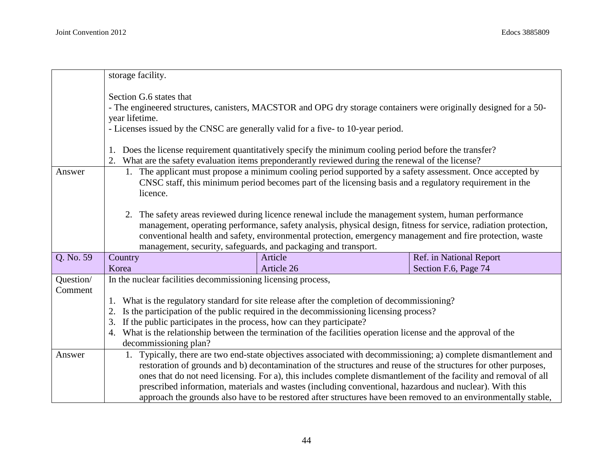|                      | storage facility.                                                                                                                                                                                                                                                                                                                                                                                                                                                               |                                                                                                                                                                                                                                                                                                                                                                                                                                                                                                                                                                                  |                                                 |
|----------------------|---------------------------------------------------------------------------------------------------------------------------------------------------------------------------------------------------------------------------------------------------------------------------------------------------------------------------------------------------------------------------------------------------------------------------------------------------------------------------------|----------------------------------------------------------------------------------------------------------------------------------------------------------------------------------------------------------------------------------------------------------------------------------------------------------------------------------------------------------------------------------------------------------------------------------------------------------------------------------------------------------------------------------------------------------------------------------|-------------------------------------------------|
|                      | Section G.6 states that<br>- The engineered structures, canisters, MACSTOR and OPG dry storage containers were originally designed for a 50-<br>year lifetime.<br>- Licenses issued by the CNSC are generally valid for a five- to 10-year period.<br>Does the license requirement quantitatively specify the minimum cooling period before the transfer?                                                                                                                       |                                                                                                                                                                                                                                                                                                                                                                                                                                                                                                                                                                                  |                                                 |
| Answer               | What are the safety evaluation items preponderantly reviewed during the renewal of the license?<br>1. The applicant must propose a minimum cooling period supported by a safety assessment. Once accepted by<br>CNSC staff, this minimum period becomes part of the licensing basis and a regulatory requirement in the<br>licence.                                                                                                                                             |                                                                                                                                                                                                                                                                                                                                                                                                                                                                                                                                                                                  |                                                 |
|                      |                                                                                                                                                                                                                                                                                                                                                                                                                                                                                 | 2. The safety areas reviewed during licence renewal include the management system, human performance<br>management, operating performance, safety analysis, physical design, fitness for service, radiation protection,<br>conventional health and safety, environmental protection, emergency management and fire protection, waste<br>management, security, safeguards, and packaging and transport.                                                                                                                                                                           |                                                 |
| Q. No. 59            | Country<br>Korea                                                                                                                                                                                                                                                                                                                                                                                                                                                                | Article<br>Article 26                                                                                                                                                                                                                                                                                                                                                                                                                                                                                                                                                            | Ref. in National Report<br>Section F.6, Page 74 |
| Question/<br>Comment | In the nuclear facilities decommissioning licensing process,<br>What is the regulatory standard for site release after the completion of decommissioning?<br>Is the participation of the public required in the decommissioning licensing process?<br>If the public participates in the process, how can they participate?<br>3.<br>What is the relationship between the termination of the facilities operation license and the approval of the<br>4.<br>decommissioning plan? |                                                                                                                                                                                                                                                                                                                                                                                                                                                                                                                                                                                  |                                                 |
| Answer               |                                                                                                                                                                                                                                                                                                                                                                                                                                                                                 | Typically, there are two end-state objectives associated with decommissioning; a) complete dismantlement and<br>restoration of grounds and b) decontamination of the structures and reuse of the structures for other purposes,<br>ones that do not need licensing. For a), this includes complete dismantlement of the facility and removal of all<br>prescribed information, materials and wastes (including conventional, hazardous and nuclear). With this<br>approach the grounds also have to be restored after structures have been removed to an environmentally stable, |                                                 |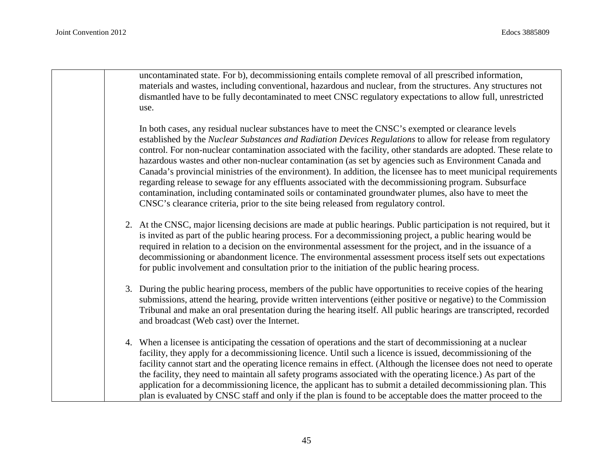uncontaminated state. For b), decommissioning entails complete removal of all prescribed information, materials and wastes, including conventional, hazardous and nuclear, from the structures. Any structures not dismantled have to be fully decontaminated to meet CNSC regulatory expectations to allow full, unrestricted use.

In both cases, any residual nuclear substances have to meet the CNSC's exempted or clearance levels established by the *Nuclear Substances and Radiation Devices Regulations* to allow for release from regulatory control. For non-nuclear contamination associated with the facility, other standards are adopted. These relate to hazardous wastes and other non-nuclear contamination (as set by agencies such as Environment Canada and Canada's provincial ministries of the environment). In addition, the licensee has to meet municipal requirements regarding release to sewage for any effluents associated with the decommissioning program. Subsurface contamination, including contaminated soils or contaminated groundwater plumes, also have to meet the CNSC's clearance criteria, prior to the site being released from regulatory control.

- 2. At the CNSC, major licensing decisions are made at public hearings. Public participation is not required, but it is invited as part of the public hearing process. For a decommissioning project, a public hearing would be required in relation to a decision on the environmental assessment for the project, and in the issuance of a decommissioning or abandonment licence. The environmental assessment process itself sets out expectations for public involvement and consultation prior to the initiation of the public hearing process.
- 3. During the public hearing process, members of the public have opportunities to receive copies of the hearing submissions, attend the hearing, provide written interventions (either positive or negative) to the Commission Tribunal and make an oral presentation during the hearing itself. All public hearings are transcripted, recorded and broadcast (Web cast) over the Internet.
- 4. When a licensee is anticipating the cessation of operations and the start of decommissioning at a nuclear facility, they apply for a decommissioning licence. Until such a licence is issued, decommissioning of the facility cannot start and the operating licence remains in effect. (Although the licensee does not need to operate the facility, they need to maintain all safety programs associated with the operating licence.) As part of the application for a decommissioning licence, the applicant has to submit a detailed decommissioning plan. This plan is evaluated by CNSC staff and only if the plan is found to be acceptable does the matter proceed to the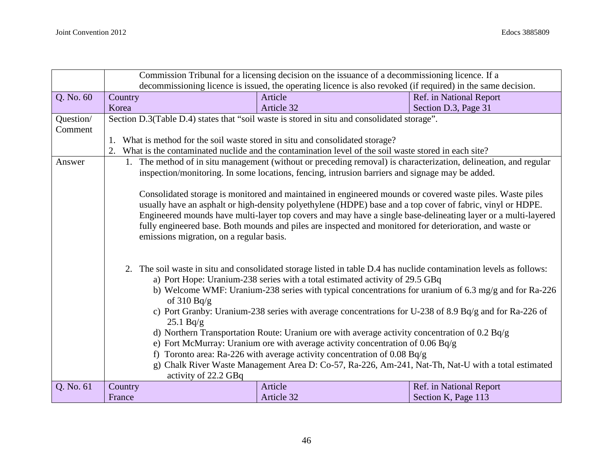|           | Commission Tribunal for a licensing decision on the issuance of a decommissioning licence. If a                     |                                                                                                                  |                         |  |
|-----------|---------------------------------------------------------------------------------------------------------------------|------------------------------------------------------------------------------------------------------------------|-------------------------|--|
|           | decommissioning licence is issued, the operating licence is also revoked (if required) in the same decision.        |                                                                                                                  |                         |  |
| Q. No. 60 | Country                                                                                                             | Article                                                                                                          | Ref. in National Report |  |
|           | Korea                                                                                                               | Article 32                                                                                                       | Section D.3, Page 31    |  |
| Question/ | Section D.3(Table D.4) states that "soil waste is stored in situ and consolidated storage".                         |                                                                                                                  |                         |  |
| Comment   |                                                                                                                     |                                                                                                                  |                         |  |
|           |                                                                                                                     | What is method for the soil waste stored in situ and consolidated storage?                                       |                         |  |
|           | 2.                                                                                                                  | What is the contaminated nuclide and the contamination level of the soil waste stored in each site?              |                         |  |
| Answer    |                                                                                                                     | 1. The method of in situ management (without or preceding removal) is characterization, delineation, and regular |                         |  |
|           |                                                                                                                     | inspection/monitoring. In some locations, fencing, intrusion barriers and signage may be added.                  |                         |  |
|           |                                                                                                                     |                                                                                                                  |                         |  |
|           |                                                                                                                     | Consolidated storage is monitored and maintained in engineered mounds or covered waste piles. Waste piles        |                         |  |
|           |                                                                                                                     | usually have an asphalt or high-density polyethylene (HDPE) base and a top cover of fabric, vinyl or HDPE.       |                         |  |
|           |                                                                                                                     | Engineered mounds have multi-layer top covers and may have a single base-delineating layer or a multi-layered    |                         |  |
|           |                                                                                                                     | fully engineered base. Both mounds and piles are inspected and monitored for deterioration, and waste or         |                         |  |
|           | emissions migration, on a regular basis.                                                                            |                                                                                                                  |                         |  |
|           |                                                                                                                     |                                                                                                                  |                         |  |
|           |                                                                                                                     |                                                                                                                  |                         |  |
|           | 2. The soil waste in situ and consolidated storage listed in table D.4 has nuclide contamination levels as follows: |                                                                                                                  |                         |  |
|           | a) Port Hope: Uranium-238 series with a total estimated activity of 29.5 GBq                                        |                                                                                                                  |                         |  |
|           | b) Welcome WMF: Uranium-238 series with typical concentrations for uranium of 6.3 mg/g and for Ra-226               |                                                                                                                  |                         |  |
|           |                                                                                                                     | of $310 Bq/g$                                                                                                    |                         |  |
|           |                                                                                                                     | c) Port Granby: Uranium-238 series with average concentrations for U-238 of 8.9 Bq/g and for Ra-226 of           |                         |  |
|           | 25.1 Bq/g                                                                                                           |                                                                                                                  |                         |  |
|           |                                                                                                                     | d) Northern Transportation Route: Uranium ore with average activity concentration of 0.2 Bq/g                    |                         |  |
|           |                                                                                                                     | e) Fort McMurray: Uranium ore with average activity concentration of 0.06 Bq/g                                   |                         |  |
|           |                                                                                                                     | f) Toronto area: Ra-226 with average activity concentration of $0.08$ Bq/g                                       |                         |  |
|           |                                                                                                                     | g) Chalk River Waste Management Area D: Co-57, Ra-226, Am-241, Nat-Th, Nat-U with a total estimated              |                         |  |
|           | activity of 22.2 GBq                                                                                                |                                                                                                                  |                         |  |
| Q. No. 61 | Country                                                                                                             | Article                                                                                                          | Ref. in National Report |  |
|           | France                                                                                                              | Article 32                                                                                                       | Section K, Page 113     |  |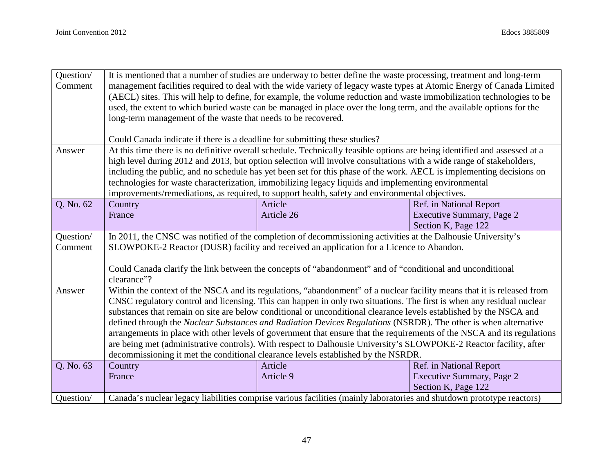| Question/ | It is mentioned that a number of studies are underway to better define the waste processing, treatment and long-term   |                                                                                                                           |                                  |  |
|-----------|------------------------------------------------------------------------------------------------------------------------|---------------------------------------------------------------------------------------------------------------------------|----------------------------------|--|
| Comment   | management facilities required to deal with the wide variety of legacy waste types at Atomic Energy of Canada Limited  |                                                                                                                           |                                  |  |
|           | (AECL) sites. This will help to define, for example, the volume reduction and waste immobilization technologies to be  |                                                                                                                           |                                  |  |
|           | used, the extent to which buried waste can be managed in place over the long term, and the available options for the   |                                                                                                                           |                                  |  |
|           | long-term management of the waste that needs to be recovered.                                                          |                                                                                                                           |                                  |  |
|           |                                                                                                                        |                                                                                                                           |                                  |  |
|           | Could Canada indicate if there is a deadline for submitting these studies?                                             |                                                                                                                           |                                  |  |
| Answer    |                                                                                                                        | At this time there is no definitive overall schedule. Technically feasible options are being identified and assessed at a |                                  |  |
|           |                                                                                                                        | high level during 2012 and 2013, but option selection will involve consultations with a wide range of stakeholders,       |                                  |  |
|           |                                                                                                                        | including the public, and no schedule has yet been set for this phase of the work. AECL is implementing decisions on      |                                  |  |
|           |                                                                                                                        | technologies for waste characterization, immobilizing legacy liquids and implementing environmental                       |                                  |  |
|           |                                                                                                                        | improvements/remediations, as required, to support health, safety and environmental objectives.                           |                                  |  |
| Q. No. 62 | Country                                                                                                                | Article                                                                                                                   | Ref. in National Report          |  |
|           | France                                                                                                                 | Article 26                                                                                                                | <b>Executive Summary, Page 2</b> |  |
|           |                                                                                                                        |                                                                                                                           | Section K, Page 122              |  |
| Question/ |                                                                                                                        | In 2011, the CNSC was notified of the completion of decommissioning activities at the Dalhousie University's              |                                  |  |
| Comment   | SLOWPOKE-2 Reactor (DUSR) facility and received an application for a Licence to Abandon.                               |                                                                                                                           |                                  |  |
|           |                                                                                                                        |                                                                                                                           |                                  |  |
|           | Could Canada clarify the link between the concepts of "abandonment" and of "conditional and unconditional              |                                                                                                                           |                                  |  |
|           | clearance"?                                                                                                            |                                                                                                                           |                                  |  |
| Answer    | Within the context of the NSCA and its regulations, "abandonment" of a nuclear facility means that it is released from |                                                                                                                           |                                  |  |
|           |                                                                                                                        | CNSC regulatory control and licensing. This can happen in only two situations. The first is when any residual nuclear     |                                  |  |
|           |                                                                                                                        | substances that remain on site are below conditional or unconditional clearance levels established by the NSCA and        |                                  |  |
|           |                                                                                                                        | defined through the Nuclear Substances and Radiation Devices Regulations (NSRDR). The other is when alternative           |                                  |  |
|           |                                                                                                                        | arrangements in place with other levels of government that ensure that the requirements of the NSCA and its regulations   |                                  |  |
|           |                                                                                                                        | are being met (administrative controls). With respect to Dalhousie University's SLOWPOKE-2 Reactor facility, after        |                                  |  |
|           |                                                                                                                        | decommissioning it met the conditional clearance levels established by the NSRDR.                                         |                                  |  |
| Q. No. 63 | Country                                                                                                                | Article                                                                                                                   | Ref. in National Report          |  |
|           | France                                                                                                                 | Article 9                                                                                                                 | Executive Summary, Page 2        |  |
|           |                                                                                                                        |                                                                                                                           | Section K, Page 122              |  |
| Question/ |                                                                                                                        | Canada's nuclear legacy liabilities comprise various facilities (mainly laboratories and shutdown prototype reactors)     |                                  |  |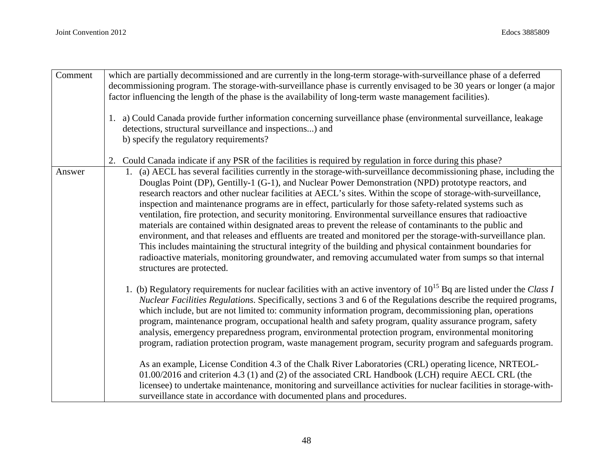| Comment | which are partially decommissioned and are currently in the long-term storage-with-surveillance phase of a deferred<br>decommissioning program. The storage-with-surveillance phase is currently envisaged to be 30 years or longer (a major<br>factor influencing the length of the phase is the availability of long-term waste management facilities).                                                                                                                                                                                                                                                                                                                                                                                                                                                                                                                                                                                                                                                                                                   |
|---------|-------------------------------------------------------------------------------------------------------------------------------------------------------------------------------------------------------------------------------------------------------------------------------------------------------------------------------------------------------------------------------------------------------------------------------------------------------------------------------------------------------------------------------------------------------------------------------------------------------------------------------------------------------------------------------------------------------------------------------------------------------------------------------------------------------------------------------------------------------------------------------------------------------------------------------------------------------------------------------------------------------------------------------------------------------------|
|         | 1. a) Could Canada provide further information concerning surveillance phase (environmental surveillance, leakage<br>detections, structural surveillance and inspections) and<br>b) specify the regulatory requirements?                                                                                                                                                                                                                                                                                                                                                                                                                                                                                                                                                                                                                                                                                                                                                                                                                                    |
|         | Could Canada indicate if any PSR of the facilities is required by regulation in force during this phase?<br>2.                                                                                                                                                                                                                                                                                                                                                                                                                                                                                                                                                                                                                                                                                                                                                                                                                                                                                                                                              |
| Answer  | 1. (a) AECL has several facilities currently in the storage-with-surveillance decommissioning phase, including the<br>Douglas Point (DP), Gentilly-1 (G-1), and Nuclear Power Demonstration (NPD) prototype reactors, and<br>research reactors and other nuclear facilities at AECL's sites. Within the scope of storage-with-surveillance,<br>inspection and maintenance programs are in effect, particularly for those safety-related systems such as<br>ventilation, fire protection, and security monitoring. Environmental surveillance ensures that radioactive<br>materials are contained within designated areas to prevent the release of contaminants to the public and<br>environment, and that releases and effluents are treated and monitored per the storage-with-surveillance plan.<br>This includes maintaining the structural integrity of the building and physical containment boundaries for<br>radioactive materials, monitoring groundwater, and removing accumulated water from sumps so that internal<br>structures are protected. |
|         | 1. (b) Regulatory requirements for nuclear facilities with an active inventory of $10^{15}$ Bq are listed under the Class I<br>Nuclear Facilities Regulations. Specifically, sections 3 and 6 of the Regulations describe the required programs,<br>which include, but are not limited to: community information program, decommissioning plan, operations<br>program, maintenance program, occupational health and safety program, quality assurance program, safety<br>analysis, emergency preparedness program, environmental protection program, environmental monitoring<br>program, radiation protection program, waste management program, security program and safeguards program.                                                                                                                                                                                                                                                                                                                                                                  |
|         | As an example, License Condition 4.3 of the Chalk River Laboratories (CRL) operating licence, NRTEOL-<br>01.00/2016 and criterion 4.3 (1) and (2) of the associated CRL Handbook (LCH) require AECL CRL (the<br>licensee) to undertake maintenance, monitoring and surveillance activities for nuclear facilities in storage-with-<br>surveillance state in accordance with documented plans and procedures.                                                                                                                                                                                                                                                                                                                                                                                                                                                                                                                                                                                                                                                |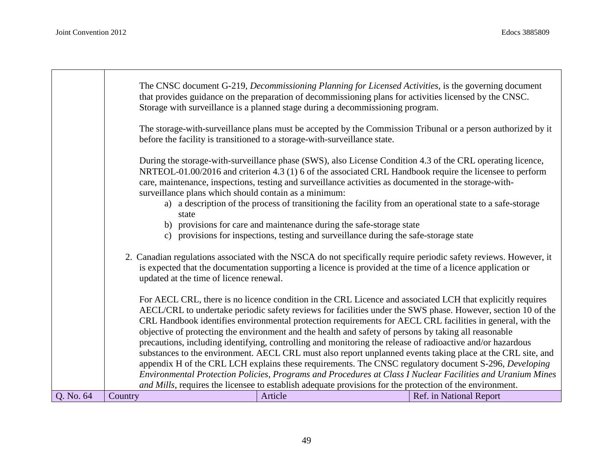|           | The CNSC document G-219, Decommissioning Planning for Licensed Activities, is the governing document<br>that provides guidance on the preparation of decommissioning plans for activities licensed by the CNSC.<br>Storage with surveillance is a planned stage during a decommissioning program. |                                                                                                                                                                                                                                                                                                                                                                                                                                                                                                                                                                                                                                                                                |  |                         |
|-----------|---------------------------------------------------------------------------------------------------------------------------------------------------------------------------------------------------------------------------------------------------------------------------------------------------|--------------------------------------------------------------------------------------------------------------------------------------------------------------------------------------------------------------------------------------------------------------------------------------------------------------------------------------------------------------------------------------------------------------------------------------------------------------------------------------------------------------------------------------------------------------------------------------------------------------------------------------------------------------------------------|--|-------------------------|
|           |                                                                                                                                                                                                                                                                                                   | The storage-with-surveillance plans must be accepted by the Commission Tribunal or a person authorized by it<br>before the facility is transitioned to a storage-with-surveillance state.                                                                                                                                                                                                                                                                                                                                                                                                                                                                                      |  |                         |
|           |                                                                                                                                                                                                                                                                                                   | During the storage-with-surveillance phase (SWS), also License Condition 4.3 of the CRL operating licence,<br>NRTEOL-01.00/2016 and criterion 4.3 (1) 6 of the associated CRL Handbook require the licensee to perform<br>care, maintenance, inspections, testing and surveillance activities as documented in the storage-with-<br>surveillance plans which should contain as a minimum:                                                                                                                                                                                                                                                                                      |  |                         |
|           |                                                                                                                                                                                                                                                                                                   | a) a description of the process of transitioning the facility from an operational state to a safe-storage<br>state<br>b) provisions for care and maintenance during the safe-storage state                                                                                                                                                                                                                                                                                                                                                                                                                                                                                     |  |                         |
|           |                                                                                                                                                                                                                                                                                                   | c) provisions for inspections, testing and surveillance during the safe-storage state                                                                                                                                                                                                                                                                                                                                                                                                                                                                                                                                                                                          |  |                         |
|           | 2. Canadian regulations associated with the NSCA do not specifically require periodic safety reviews. However, it<br>is expected that the documentation supporting a licence is provided at the time of a licence application or<br>updated at the time of licence renewal.                       |                                                                                                                                                                                                                                                                                                                                                                                                                                                                                                                                                                                                                                                                                |  |                         |
|           |                                                                                                                                                                                                                                                                                                   | For AECL CRL, there is no licence condition in the CRL Licence and associated LCH that explicitly requires<br>AECL/CRL to undertake periodic safety reviews for facilities under the SWS phase. However, section 10 of the<br>CRL Handbook identifies environmental protection requirements for AECL CRL facilities in general, with the<br>objective of protecting the environment and the health and safety of persons by taking all reasonable<br>precautions, including identifying, controlling and monitoring the release of radioactive and/or hazardous<br>substances to the environment. AECL CRL must also report unplanned events taking place at the CRL site, and |  |                         |
|           |                                                                                                                                                                                                                                                                                                   | appendix H of the CRL LCH explains these requirements. The CNSC regulatory document S-296, Developing<br>Environmental Protection Policies, Programs and Procedures at Class I Nuclear Facilities and Uranium Mines<br>and Mills, requires the licensee to establish adequate provisions for the protection of the environment.                                                                                                                                                                                                                                                                                                                                                |  |                         |
| Q. No. 64 | Country                                                                                                                                                                                                                                                                                           | Article                                                                                                                                                                                                                                                                                                                                                                                                                                                                                                                                                                                                                                                                        |  | Ref. in National Report |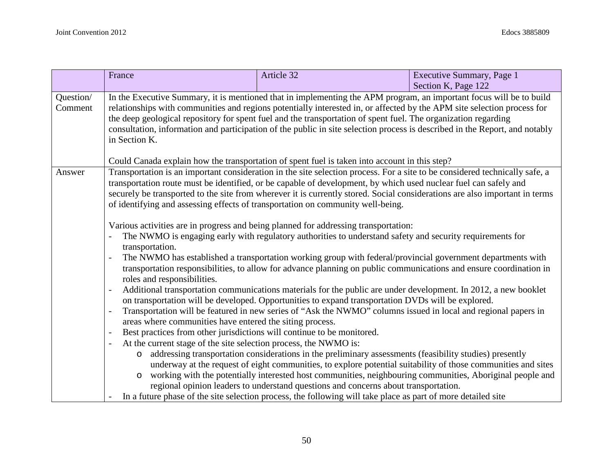|                      | France                                                                                                                                                                                                                                                                                                                                                                                                                                                                                                                                                                                                                                                                                   | Article 32                                                                                                                                                                                                                                                                                                                                                                                                                                                                                                                                   | Executive Summary, Page 1 |
|----------------------|------------------------------------------------------------------------------------------------------------------------------------------------------------------------------------------------------------------------------------------------------------------------------------------------------------------------------------------------------------------------------------------------------------------------------------------------------------------------------------------------------------------------------------------------------------------------------------------------------------------------------------------------------------------------------------------|----------------------------------------------------------------------------------------------------------------------------------------------------------------------------------------------------------------------------------------------------------------------------------------------------------------------------------------------------------------------------------------------------------------------------------------------------------------------------------------------------------------------------------------------|---------------------------|
|                      |                                                                                                                                                                                                                                                                                                                                                                                                                                                                                                                                                                                                                                                                                          |                                                                                                                                                                                                                                                                                                                                                                                                                                                                                                                                              | Section K, Page 122       |
| Question/<br>Comment | In the Executive Summary, it is mentioned that in implementing the APM program, an important focus will be to build<br>relationships with communities and regions potentially interested in, or affected by the APM site selection process for<br>the deep geological repository for spent fuel and the transportation of spent fuel. The organization regarding<br>consultation, information and participation of the public in site selection process is described in the Report, and notably<br>in Section K.<br>Could Canada explain how the transportation of spent fuel is taken into account in this step?                                                                        |                                                                                                                                                                                                                                                                                                                                                                                                                                                                                                                                              |                           |
| Answer               | Transportation is an important consideration in the site selection process. For a site to be considered technically safe, a<br>transportation route must be identified, or be capable of development, by which used nuclear fuel can safely and<br>securely be transported to the site from wherever it is currently stored. Social considerations are also important in terms<br>of identifying and assessing effects of transportation on community well-being.<br>Various activities are in progress and being planned for addressing transportation:<br>The NWMO is engaging early with regulatory authorities to understand safety and security requirements for<br>transportation. |                                                                                                                                                                                                                                                                                                                                                                                                                                                                                                                                              |                           |
|                      | The NWMO has established a transportation working group with federal/provincial government departments with<br>transportation responsibilities, to allow for advance planning on public communications and ensure coordination in<br>roles and responsibilities.                                                                                                                                                                                                                                                                                                                                                                                                                         |                                                                                                                                                                                                                                                                                                                                                                                                                                                                                                                                              |                           |
|                      | $\overline{a}$                                                                                                                                                                                                                                                                                                                                                                                                                                                                                                                                                                                                                                                                           | Additional transportation communications materials for the public are under development. In 2012, a new booklet<br>on transportation will be developed. Opportunities to expand transportation DVDs will be explored.                                                                                                                                                                                                                                                                                                                        |                           |
|                      | Transportation will be featured in new series of "Ask the NWMO" columns issued in local and regional papers in<br>÷,<br>areas where communities have entered the siting process.                                                                                                                                                                                                                                                                                                                                                                                                                                                                                                         |                                                                                                                                                                                                                                                                                                                                                                                                                                                                                                                                              |                           |
|                      | Best practices from other jurisdictions will continue to be monitored.<br>$\overline{\phantom{0}}$                                                                                                                                                                                                                                                                                                                                                                                                                                                                                                                                                                                       |                                                                                                                                                                                                                                                                                                                                                                                                                                                                                                                                              |                           |
|                      | At the current stage of the site selection process, the NWMO is:<br>$\overline{\phantom{0}}$                                                                                                                                                                                                                                                                                                                                                                                                                                                                                                                                                                                             |                                                                                                                                                                                                                                                                                                                                                                                                                                                                                                                                              |                           |
|                      | $\circ$<br>$\circ$                                                                                                                                                                                                                                                                                                                                                                                                                                                                                                                                                                                                                                                                       | addressing transportation considerations in the preliminary assessments (feasibility studies) presently<br>underway at the request of eight communities, to explore potential suitability of those communities and sites<br>working with the potentially interested host communities, neighbouring communities, Aboriginal people and<br>regional opinion leaders to understand questions and concerns about transportation.<br>In a future phase of the site selection process, the following will take place as part of more detailed site |                           |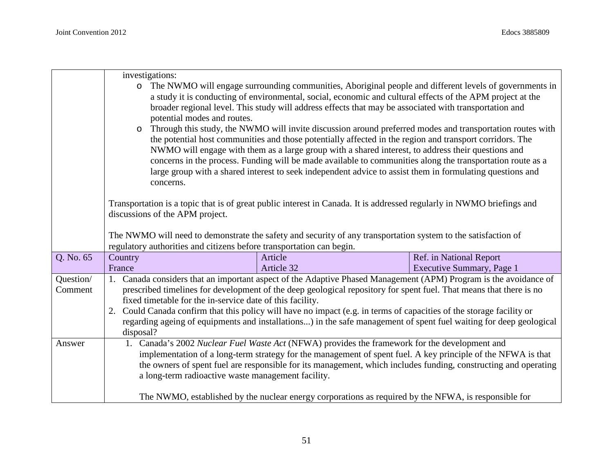|           | investigations:                                                                                                      |                                                                                                                                                                                                                      |                                                                                                                                                                                                                  |  |
|-----------|----------------------------------------------------------------------------------------------------------------------|----------------------------------------------------------------------------------------------------------------------------------------------------------------------------------------------------------------------|------------------------------------------------------------------------------------------------------------------------------------------------------------------------------------------------------------------|--|
|           | $\circ$                                                                                                              |                                                                                                                                                                                                                      | The NWMO will engage surrounding communities, Aboriginal people and different levels of governments in                                                                                                           |  |
|           |                                                                                                                      | a study it is conducting of environmental, social, economic and cultural effects of the APM project at the<br>broader regional level. This study will address effects that may be associated with transportation and |                                                                                                                                                                                                                  |  |
|           | potential modes and routes.                                                                                          |                                                                                                                                                                                                                      |                                                                                                                                                                                                                  |  |
|           | Through this study, the NWMO will invite discussion around preferred modes and transportation routes with<br>$\circ$ |                                                                                                                                                                                                                      |                                                                                                                                                                                                                  |  |
|           |                                                                                                                      | the potential host communities and those potentially affected in the region and transport corridors. The                                                                                                             |                                                                                                                                                                                                                  |  |
|           |                                                                                                                      |                                                                                                                                                                                                                      | NWMO will engage with them as a large group with a shared interest, to address their questions and<br>concerns in the process. Funding will be made available to communities along the transportation route as a |  |
|           |                                                                                                                      |                                                                                                                                                                                                                      | large group with a shared interest to seek independent advice to assist them in formulating questions and                                                                                                        |  |
|           | concerns.                                                                                                            |                                                                                                                                                                                                                      |                                                                                                                                                                                                                  |  |
|           |                                                                                                                      |                                                                                                                                                                                                                      | Transportation is a topic that is of great public interest in Canada. It is addressed regularly in NWMO briefings and                                                                                            |  |
|           | discussions of the APM project.                                                                                      |                                                                                                                                                                                                                      |                                                                                                                                                                                                                  |  |
|           |                                                                                                                      |                                                                                                                                                                                                                      |                                                                                                                                                                                                                  |  |
|           |                                                                                                                      |                                                                                                                                                                                                                      | The NWMO will need to demonstrate the safety and security of any transportation system to the satisfaction of                                                                                                    |  |
|           |                                                                                                                      | regulatory authorities and citizens before transportation can begin.                                                                                                                                                 |                                                                                                                                                                                                                  |  |
| Q. No. 65 | Country                                                                                                              | Article                                                                                                                                                                                                              | Ref. in National Report                                                                                                                                                                                          |  |
|           | France                                                                                                               | Article 32                                                                                                                                                                                                           | Executive Summary, Page 1                                                                                                                                                                                        |  |
| Question/ |                                                                                                                      |                                                                                                                                                                                                                      | 1. Canada considers that an important aspect of the Adaptive Phased Management (APM) Program is the avoidance of                                                                                                 |  |
| Comment   |                                                                                                                      |                                                                                                                                                                                                                      | prescribed timelines for development of the deep geological repository for spent fuel. That means that there is no                                                                                               |  |
|           |                                                                                                                      | fixed timetable for the in-service date of this facility.                                                                                                                                                            |                                                                                                                                                                                                                  |  |
|           |                                                                                                                      |                                                                                                                                                                                                                      | Could Canada confirm that this policy will have no impact (e.g. in terms of capacities of the storage facility or                                                                                                |  |
|           |                                                                                                                      |                                                                                                                                                                                                                      | regarding ageing of equipments and installations) in the safe management of spent fuel waiting for deep geological                                                                                               |  |
|           | disposal?                                                                                                            |                                                                                                                                                                                                                      |                                                                                                                                                                                                                  |  |
| Answer    | 1.                                                                                                                   | Canada's 2002 Nuclear Fuel Waste Act (NFWA) provides the framework for the development and                                                                                                                           |                                                                                                                                                                                                                  |  |
|           |                                                                                                                      |                                                                                                                                                                                                                      | implementation of a long-term strategy for the management of spent fuel. A key principle of the NFWA is that                                                                                                     |  |
|           |                                                                                                                      |                                                                                                                                                                                                                      | the owners of spent fuel are responsible for its management, which includes funding, constructing and operating                                                                                                  |  |
|           |                                                                                                                      | a long-term radioactive waste management facility.                                                                                                                                                                   |                                                                                                                                                                                                                  |  |
|           |                                                                                                                      |                                                                                                                                                                                                                      |                                                                                                                                                                                                                  |  |
|           |                                                                                                                      |                                                                                                                                                                                                                      | The NWMO, established by the nuclear energy corporations as required by the NFWA, is responsible for                                                                                                             |  |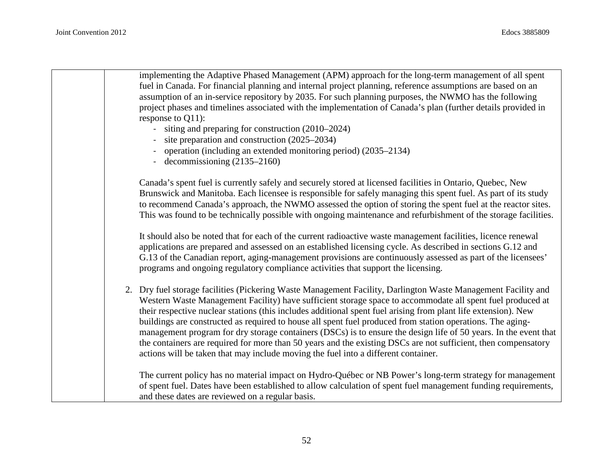| implementing the Adaptive Phased Management (APM) approach for the long-term management of all spent<br>fuel in Canada. For financial planning and internal project planning, reference assumptions are based on an<br>assumption of an in-service repository by 2035. For such planning purposes, the NWMO has the following<br>project phases and timelines associated with the implementation of Canada's plan (further details provided in<br>response to $Q11$ :<br>siting and preparing for construction (2010–2024)<br>site preparation and construction (2025–2034)<br>operation (including an extended monitoring period) (2035–2134)<br>- decommissioning $(2135-2160)$                                                                                                       |
|-----------------------------------------------------------------------------------------------------------------------------------------------------------------------------------------------------------------------------------------------------------------------------------------------------------------------------------------------------------------------------------------------------------------------------------------------------------------------------------------------------------------------------------------------------------------------------------------------------------------------------------------------------------------------------------------------------------------------------------------------------------------------------------------|
| Canada's spent fuel is currently safely and securely stored at licensed facilities in Ontario, Quebec, New<br>Brunswick and Manitoba. Each licensee is responsible for safely managing this spent fuel. As part of its study<br>to recommend Canada's approach, the NWMO assessed the option of storing the spent fuel at the reactor sites.<br>This was found to be technically possible with ongoing maintenance and refurbishment of the storage facilities.                                                                                                                                                                                                                                                                                                                         |
| It should also be noted that for each of the current radioactive waste management facilities, licence renewal<br>applications are prepared and assessed on an established licensing cycle. As described in sections G.12 and<br>G.13 of the Canadian report, aging-management provisions are continuously assessed as part of the licensees'<br>programs and ongoing regulatory compliance activities that support the licensing.                                                                                                                                                                                                                                                                                                                                                       |
| 2. Dry fuel storage facilities (Pickering Waste Management Facility, Darlington Waste Management Facility and<br>Western Waste Management Facility) have sufficient storage space to accommodate all spent fuel produced at<br>their respective nuclear stations (this includes additional spent fuel arising from plant life extension). New<br>buildings are constructed as required to house all spent fuel produced from station operations. The aging-<br>management program for dry storage containers (DSCs) is to ensure the design life of 50 years. In the event that<br>the containers are required for more than 50 years and the existing DSCs are not sufficient, then compensatory<br>actions will be taken that may include moving the fuel into a different container. |
| The current policy has no material impact on Hydro-Québec or NB Power's long-term strategy for management<br>of spent fuel. Dates have been established to allow calculation of spent fuel management funding requirements,<br>and these dates are reviewed on a regular basis.                                                                                                                                                                                                                                                                                                                                                                                                                                                                                                         |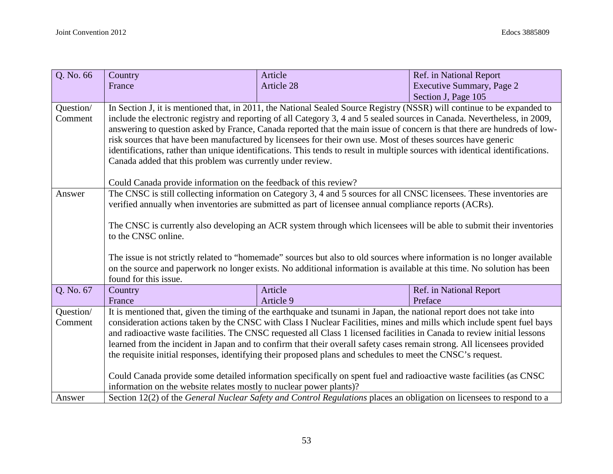| Q. No. 66 | Country                                                                                                                       | Article                                                                                                                   | Ref. in National Report   |  |  |  |
|-----------|-------------------------------------------------------------------------------------------------------------------------------|---------------------------------------------------------------------------------------------------------------------------|---------------------------|--|--|--|
|           | France                                                                                                                        | <b>Article 28</b>                                                                                                         | Executive Summary, Page 2 |  |  |  |
|           |                                                                                                                               |                                                                                                                           | Section J, Page 105       |  |  |  |
| Question/ |                                                                                                                               | In Section J, it is mentioned that, in 2011, the National Sealed Source Registry (NSSR) will continue to be expanded to   |                           |  |  |  |
| Comment   |                                                                                                                               | include the electronic registry and reporting of all Category 3, 4 and 5 sealed sources in Canada. Nevertheless, in 2009, |                           |  |  |  |
|           | answering to question asked by France, Canada reported that the main issue of concern is that there are hundreds of low-      |                                                                                                                           |                           |  |  |  |
|           | risk sources that have been manufactured by licensees for their own use. Most of theses sources have generic                  |                                                                                                                           |                           |  |  |  |
|           | identifications, rather than unique identifications. This tends to result in multiple sources with identical identifications. |                                                                                                                           |                           |  |  |  |
|           | Canada added that this problem was currently under review.                                                                    |                                                                                                                           |                           |  |  |  |
|           |                                                                                                                               |                                                                                                                           |                           |  |  |  |
|           | Could Canada provide information on the feedback of this review?                                                              |                                                                                                                           |                           |  |  |  |
| Answer    | The CNSC is still collecting information on Category 3, 4 and 5 sources for all CNSC licensees. These inventories are         |                                                                                                                           |                           |  |  |  |
|           |                                                                                                                               | verified annually when inventories are submitted as part of licensee annual compliance reports (ACRs).                    |                           |  |  |  |
|           |                                                                                                                               |                                                                                                                           |                           |  |  |  |
|           |                                                                                                                               | The CNSC is currently also developing an ACR system through which licensees will be able to submit their inventories      |                           |  |  |  |
|           | to the CNSC online.                                                                                                           |                                                                                                                           |                           |  |  |  |
|           |                                                                                                                               |                                                                                                                           |                           |  |  |  |
|           |                                                                                                                               | The issue is not strictly related to "homemade" sources but also to old sources where information is no longer available  |                           |  |  |  |
|           | on the source and paperwork no longer exists. No additional information is available at this time. No solution has been       |                                                                                                                           |                           |  |  |  |
|           | found for this issue.                                                                                                         |                                                                                                                           |                           |  |  |  |
| Q. No. 67 | Country                                                                                                                       | Article                                                                                                                   | Ref. in National Report   |  |  |  |
|           | France                                                                                                                        | Article 9                                                                                                                 | Preface                   |  |  |  |
| Question/ |                                                                                                                               | It is mentioned that, given the timing of the earthquake and tsunami in Japan, the national report does not take into     |                           |  |  |  |
| Comment   |                                                                                                                               | consideration actions taken by the CNSC with Class I Nuclear Facilities, mines and mills which include spent fuel bays    |                           |  |  |  |
|           |                                                                                                                               | and radioactive waste facilities. The CNSC requested all Class 1 licensed facilities in Canada to review initial lessons  |                           |  |  |  |
|           |                                                                                                                               | learned from the incident in Japan and to confirm that their overall safety cases remain strong. All licensees provided   |                           |  |  |  |
|           |                                                                                                                               | the requisite initial responses, identifying their proposed plans and schedules to meet the CNSC's request.               |                           |  |  |  |
|           |                                                                                                                               |                                                                                                                           |                           |  |  |  |
|           | Could Canada provide some detailed information specifically on spent fuel and radioactive waste facilities (as CNSC           |                                                                                                                           |                           |  |  |  |
|           | information on the website relates mostly to nuclear power plants)?                                                           |                                                                                                                           |                           |  |  |  |
| Answer    |                                                                                                                               | Section 12(2) of the General Nuclear Safety and Control Regulations places an obligation on licensees to respond to a     |                           |  |  |  |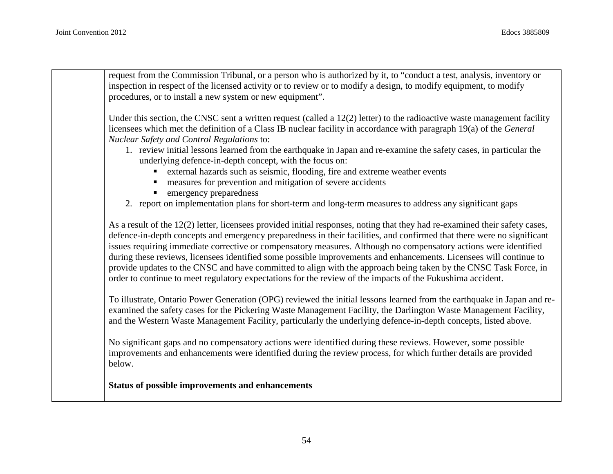request from the Commission Tribunal, or a person who is authorized by it, to "conduct a test, analysis, inventory or inspection in respect of the licensed activity or to review or to modify a design, to modify equipment, to modify procedures, or to install a new system or new equipment".

Under this section, the CNSC sent a written request (called a  $12(2)$  letter) to the radioactive waste management facility licensees which met the definition of a Class IB nuclear facility in accordance with paragraph 19(a) of the *General Nuclear Safety and Control Regulations* to:

- 1. review initial lessons learned from the earthquake in Japan and re-examine the safety cases, in particular the underlying defence-in-depth concept, with the focus on:
	- external hazards such as seismic, flooding, fire and extreme weather events
	- measures for prevention and mitigation of severe accidents
	- emergency preparedness
- 2. report on implementation plans for short-term and long-term measures to address any significant gaps

As a result of the 12(2) letter, licensees provided initial responses, noting that they had re-examined their safety cases, defence-in-depth concepts and emergency preparedness in their facilities, and confirmed that there were no significant issues requiring immediate corrective or compensatory measures. Although no compensatory actions were identified during these reviews, licensees identified some possible improvements and enhancements. Licensees will continue to provide updates to the CNSC and have committed to align with the approach being taken by the CNSC Task Force, in order to continue to meet regulatory expectations for the review of the impacts of the Fukushima accident.

To illustrate, Ontario Power Generation (OPG) reviewed the initial lessons learned from the earthquake in Japan and reexamined the safety cases for the Pickering Waste Management Facility, the Darlington Waste Management Facility, and the Western Waste Management Facility, particularly the underlying defence-in-depth concepts, listed above.

No significant gaps and no compensatory actions were identified during these reviews. However, some possible improvements and enhancements were identified during the review process, for which further details are provided below.

**Status of possible improvements and enhancements**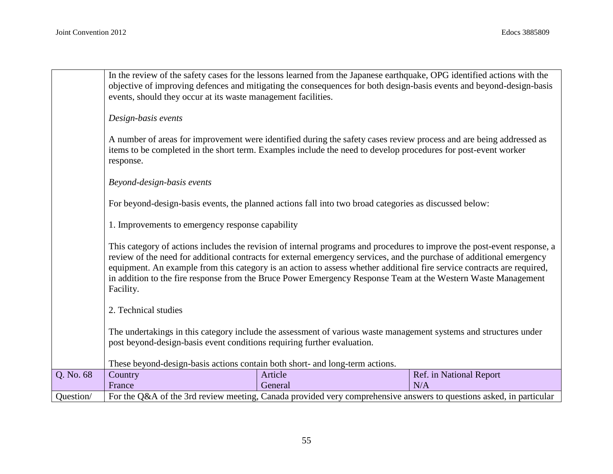|           |                                                                                                                          | In the review of the safety cases for the lessons learned from the Japanese earthquake, OPG identified actions with the |                         |  |  |
|-----------|--------------------------------------------------------------------------------------------------------------------------|-------------------------------------------------------------------------------------------------------------------------|-------------------------|--|--|
|           |                                                                                                                          | objective of improving defences and mitigating the consequences for both design-basis events and beyond-design-basis    |                         |  |  |
|           | events, should they occur at its waste management facilities.                                                            |                                                                                                                         |                         |  |  |
|           |                                                                                                                          |                                                                                                                         |                         |  |  |
|           | Design-basis events                                                                                                      |                                                                                                                         |                         |  |  |
|           |                                                                                                                          | A number of areas for improvement were identified during the safety cases review process and are being addressed as     |                         |  |  |
|           | items to be completed in the short term. Examples include the need to develop procedures for post-event worker           |                                                                                                                         |                         |  |  |
|           | response.                                                                                                                |                                                                                                                         |                         |  |  |
|           | Beyond-design-basis events                                                                                               |                                                                                                                         |                         |  |  |
|           |                                                                                                                          |                                                                                                                         |                         |  |  |
|           |                                                                                                                          | For beyond-design-basis events, the planned actions fall into two broad categories as discussed below:                  |                         |  |  |
|           |                                                                                                                          |                                                                                                                         |                         |  |  |
|           | 1. Improvements to emergency response capability                                                                         |                                                                                                                         |                         |  |  |
|           | This category of actions includes the revision of internal programs and procedures to improve the post-event response, a |                                                                                                                         |                         |  |  |
|           | review of the need for additional contracts for external emergency services, and the purchase of additional emergency    |                                                                                                                         |                         |  |  |
|           | equipment. An example from this category is an action to assess whether additional fire service contracts are required,  |                                                                                                                         |                         |  |  |
|           | in addition to the fire response from the Bruce Power Emergency Response Team at the Western Waste Management            |                                                                                                                         |                         |  |  |
|           | Facility.                                                                                                                |                                                                                                                         |                         |  |  |
|           | 2. Technical studies                                                                                                     |                                                                                                                         |                         |  |  |
|           |                                                                                                                          |                                                                                                                         |                         |  |  |
|           |                                                                                                                          | The undertakings in this category include the assessment of various waste management systems and structures under       |                         |  |  |
|           | post beyond-design-basis event conditions requiring further evaluation.                                                  |                                                                                                                         |                         |  |  |
|           | These beyond-design-basis actions contain both short- and long-term actions.                                             |                                                                                                                         |                         |  |  |
| Q. No. 68 | Country                                                                                                                  | Article                                                                                                                 | Ref. in National Report |  |  |
|           | France                                                                                                                   | General                                                                                                                 | N/A                     |  |  |
| Question/ |                                                                                                                          | For the Q&A of the 3rd review meeting, Canada provided very comprehensive answers to questions asked, in particular     |                         |  |  |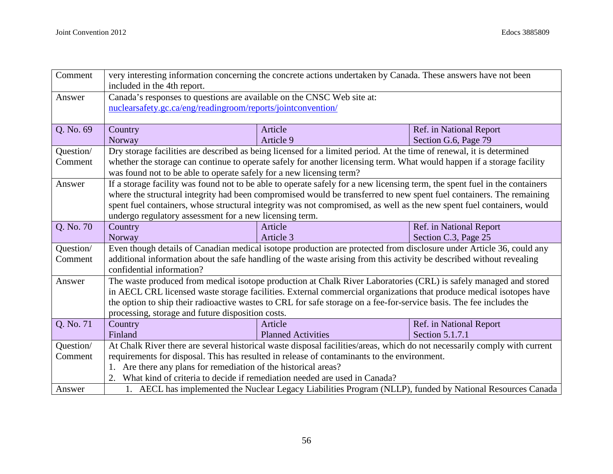| Comment   | very interesting information concerning the concrete actions undertaken by Canada. These answers have not been<br>included in the 4th report. |                                                                                                                             |                                                                                                            |  |
|-----------|-----------------------------------------------------------------------------------------------------------------------------------------------|-----------------------------------------------------------------------------------------------------------------------------|------------------------------------------------------------------------------------------------------------|--|
| Answer    | Canada's responses to questions are available on the CNSC Web site at:                                                                        |                                                                                                                             |                                                                                                            |  |
|           | nuclearsafety.gc.ca/eng/readingroom/reports/jointconvention/                                                                                  |                                                                                                                             |                                                                                                            |  |
|           |                                                                                                                                               |                                                                                                                             |                                                                                                            |  |
| Q. No. 69 | Country                                                                                                                                       | Article                                                                                                                     | Ref. in National Report                                                                                    |  |
|           | Norway                                                                                                                                        | Article 9                                                                                                                   | Section G.6, Page 79                                                                                       |  |
| Question/ |                                                                                                                                               | Dry storage facilities are described as being licensed for a limited period. At the time of renewal, it is determined       |                                                                                                            |  |
| Comment   | whether the storage can continue to operate safely for another licensing term. What would happen if a storage facility                        |                                                                                                                             |                                                                                                            |  |
|           | was found not to be able to operate safely for a new licensing term?                                                                          |                                                                                                                             |                                                                                                            |  |
| Answer    |                                                                                                                                               | If a storage facility was found not to be able to operate safely for a new licensing term, the spent fuel in the containers |                                                                                                            |  |
|           |                                                                                                                                               | where the structural integrity had been compromised would be transferred to new spent fuel containers. The remaining        |                                                                                                            |  |
|           |                                                                                                                                               | spent fuel containers, whose structural integrity was not compromised, as well as the new spent fuel containers, would      |                                                                                                            |  |
|           | undergo regulatory assessment for a new licensing term.                                                                                       |                                                                                                                             |                                                                                                            |  |
| Q. No. 70 | Country                                                                                                                                       | Article                                                                                                                     | Ref. in National Report                                                                                    |  |
|           | Norway                                                                                                                                        | Article 3                                                                                                                   | Section C.3, Page 25                                                                                       |  |
| Question/ |                                                                                                                                               | Even though details of Canadian medical isotope production are protected from disclosure under Article 36, could any        |                                                                                                            |  |
| Comment   | additional information about the safe handling of the waste arising from this activity be described without revealing                         |                                                                                                                             |                                                                                                            |  |
|           | confidential information?                                                                                                                     |                                                                                                                             |                                                                                                            |  |
| Answer    |                                                                                                                                               | The waste produced from medical isotope production at Chalk River Laboratories (CRL) is safely managed and stored           |                                                                                                            |  |
|           |                                                                                                                                               | in AECL CRL licensed waste storage facilities. External commercial organizations that produce medical isotopes have         |                                                                                                            |  |
|           |                                                                                                                                               | the option to ship their radioactive wastes to CRL for safe storage on a fee-for-service basis. The fee includes the        |                                                                                                            |  |
|           | processing, storage and future disposition costs.                                                                                             |                                                                                                                             |                                                                                                            |  |
| Q. No. 71 | Country                                                                                                                                       | Article                                                                                                                     | Ref. in National Report                                                                                    |  |
|           | Finland                                                                                                                                       | <b>Planned Activities</b>                                                                                                   | Section 5.1.7.1                                                                                            |  |
| Question/ |                                                                                                                                               | At Chalk River there are several historical waste disposal facilities/areas, which do not necessarily comply with current   |                                                                                                            |  |
| Comment   |                                                                                                                                               | requirements for disposal. This has resulted in release of contaminants to the environment.                                 |                                                                                                            |  |
|           | 1. Are there any plans for remediation of the historical areas?                                                                               |                                                                                                                             |                                                                                                            |  |
|           | 2. What kind of criteria to decide if remediation needed are used in Canada?                                                                  |                                                                                                                             |                                                                                                            |  |
| Answer    |                                                                                                                                               |                                                                                                                             | 1. AECL has implemented the Nuclear Legacy Liabilities Program (NLLP), funded by National Resources Canada |  |